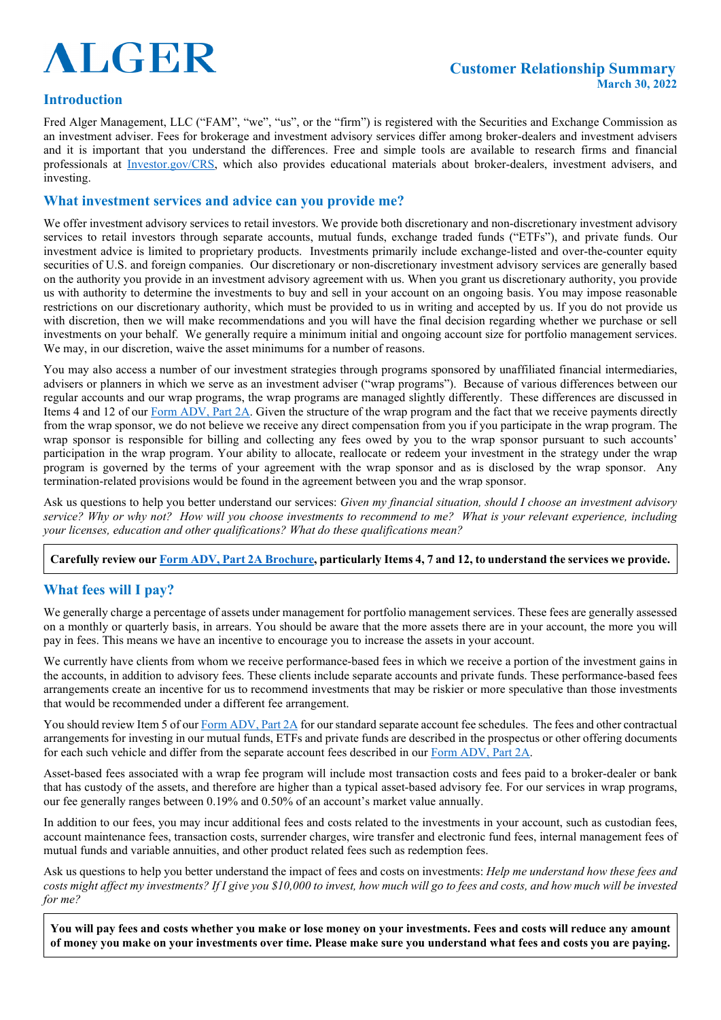# **ALGER**

#### **Customer Relationship Summary March 30, 2022**

#### **Introduction**

Fred Alger Management, LLC ("FAM", "we", "us", or the "firm") is registered with the Securities and Exchange Commission as an investment adviser. Fees for brokerage and investment advisory services differ among broker-dealers and investment advisers and it is important that you understand the differences. Free and simple tools are available to research firms and financial professionals at [Investor.gov/CRS,](https://www.investor.gov/CRS) which also provides educational materials about broker-dealers, investment advisers, and investing.

#### **What investment services and advice can you provide me?**

We offer investment advisory services to retail investors. We provide both discretionary and non-discretionary investment advisory services to retail investors through separate accounts, mutual funds, exchange traded funds ("ETFs"), and private funds. Our investment advice is limited to proprietary products. Investments primarily include exchange-listed and over-the-counter equity securities of U.S. and foreign companies. Our discretionary or non-discretionary investment advisory services are generally based on the authority you provide in an investment advisory agreement with us. When you grant us discretionary authority, you provide us with authority to determine the investments to buy and sell in your account on an ongoing basis. You may impose reasonable restrictions on our discretionary authority, which must be provided to us in writing and accepted by us. If you do not provide us with discretion, then we will make recommendations and you will have the final decision regarding whether we purchase or sell investments on your behalf. We generally require a minimum initial and ongoing account size for portfolio management services. We may, in our discretion, waive the asset minimums for a number of reasons.

You may also access a number of our investment strategies through programs sponsored by unaffiliated financial intermediaries, advisers or planners in which we serve as an investment adviser ("wrap programs"). Because of various differences between our regular accounts and our wrap programs, the wrap programs are managed slightly differently. These differences are discussed in Items 4 and 12 of ou[r Form ADV, Part 2A.](https://adviserinfo.sec.gov/firm/brochure/106750) Given the structure of the wrap program and the fact that we receive payments directly from the wrap sponsor, we do not believe we receive any direct compensation from you if you participate in the wrap program. The wrap sponsor is responsible for billing and collecting any fees owed by you to the wrap sponsor pursuant to such accounts' participation in the wrap program. Your ability to allocate, reallocate or redeem your investment in the strategy under the wrap program is governed by the terms of your agreement with the wrap sponsor and as is disclosed by the wrap sponsor. Any termination-related provisions would be found in the agreement between you and the wrap sponsor.

Ask us questions to help you better understand our services: *Given my financial situation, should I choose an investment advisory service? Why or why not? How will you choose investments to recommend to me? What is your relevant experience, including your licenses, education and other qualifications? What do these qualifications mean?*

#### **Carefully review ou[r Form ADV, Part 2A Brochure,](https://adviserinfo.sec.gov/firm/brochure/106750) particularly Items 4, 7 and 12, to understand the services we provide.**

#### **What fees will I pay?**

We generally charge a percentage of assets under management for portfolio management services. These fees are generally assessed on a monthly or quarterly basis, in arrears. You should be aware that the more assets there are in your account, the more you will pay in fees. This means we have an incentive to encourage you to increase the assets in your account.

We currently have clients from whom we receive performance-based fees in which we receive a portion of the investment gains in the accounts, in addition to advisory fees. These clients include separate accounts and private funds. These performance-based fees arrangements create an incentive for us to recommend investments that may be riskier or more speculative than those investments that would be recommended under a different fee arrangement.

You should review Item 5 of our [Form ADV, Part 2A](https://adviserinfo.sec.gov/firm/brochure/106750) for our standard separate account fee schedules. The fees and other contractual arrangements for investing in our mutual funds, ETFs and private funds are described in the prospectus or other offering documents for each such vehicle and differ from the separate account fees described in our [Form ADV, Part 2A.](https://adviserinfo.sec.gov/firm/brochure/106750)

Asset-based fees associated with a wrap fee program will include most transaction costs and fees paid to a broker-dealer or bank that has custody of the assets, and therefore are higher than a typical asset-based advisory fee. For our services in wrap programs, our fee generally ranges between 0.19% and 0.50% of an account's market value annually.

In addition to our fees, you may incur additional fees and costs related to the investments in your account, such as custodian fees, account maintenance fees, transaction costs, surrender charges, wire transfer and electronic fund fees, internal management fees of mutual funds and variable annuities, and other product related fees such as redemption fees.

Ask us questions to help you better understand the impact of fees and costs on investments: *Help me understand how these fees and costs might affect my investments? If I give you \$10,000 to invest, how much will go to fees and costs, and how much will be invested for me?*

**You will pay fees and costs whether you make or lose money on your investments. Fees and costs will reduce any amount of money you make on your investments over time. Please make sure you understand what fees and costs you are paying.**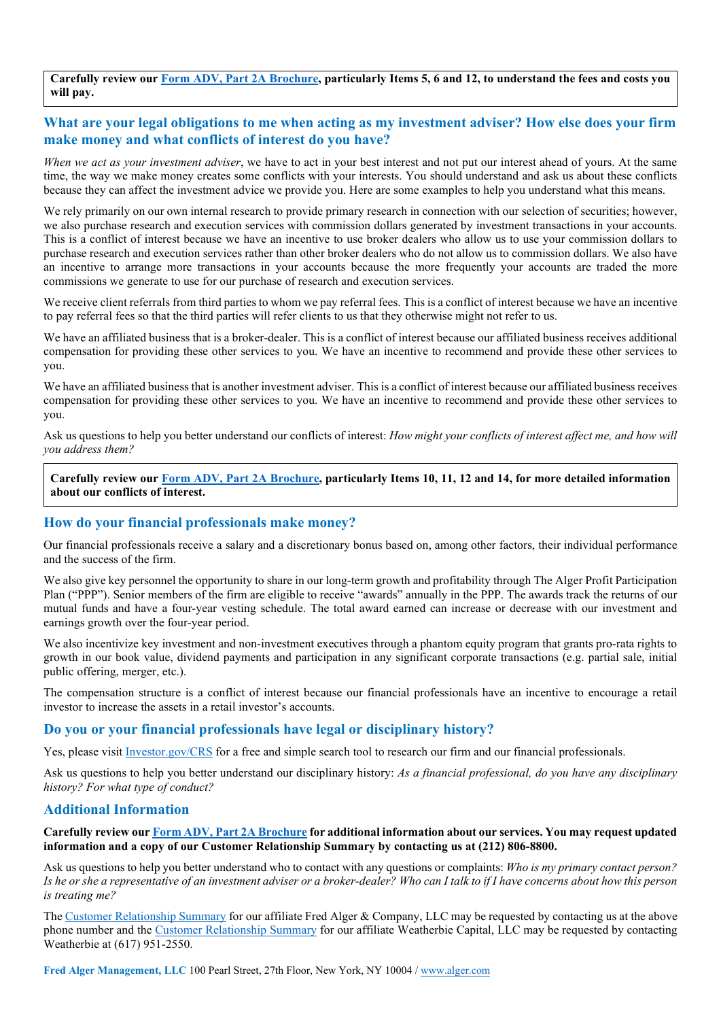**Carefully review our Form ADV, [Part 2A Brochure,](https://adviserinfo.sec.gov/firm/brochure/106750) particularly Items 5, 6 and 12, to understand the fees and costs you will pay.**

#### **What are your legal obligations to me when acting as my investment adviser? How else does your firm make money and what conflicts of interest do you have?**

*When we act as your investment adviser*, we have to act in your best interest and not put our interest ahead of yours. At the same time, the way we make money creates some conflicts with your interests. You should understand and ask us about these conflicts because they can affect the investment advice we provide you. Here are some examples to help you understand what this means.

We rely primarily on our own internal research to provide primary research in connection with our selection of securities; however, we also purchase research and execution services with commission dollars generated by investment transactions in your accounts. This is a conflict of interest because we have an incentive to use broker dealers who allow us to use your commission dollars to purchase research and execution services rather than other broker dealers who do not allow us to commission dollars. We also have an incentive to arrange more transactions in your accounts because the more frequently your accounts are traded the more commissions we generate to use for our purchase of research and execution services.

We receive client referrals from third parties to whom we pay referral fees. This is a conflict of interest because we have an incentive to pay referral fees so that the third parties will refer clients to us that they otherwise might not refer to us.

We have an affiliated business that is a broker-dealer. This is a conflict of interest because our affiliated business receives additional compensation for providing these other services to you. We have an incentive to recommend and provide these other services to you.

We have an affiliated business that is another investment adviser. This is a conflict of interest because our affiliated business receives compensation for providing these other services to you. We have an incentive to recommend and provide these other services to you.

Ask us questions to help you better understand our conflicts of interest: *How might your conflicts of interest affect me, and how will you address them?*

**Carefully review our [Form ADV, Part 2A Brochure,](https://adviserinfo.sec.gov/firm/brochure/106750) particularly Items 10, 11, 12 and 14, for more detailed information about our conflicts of interest.**

#### **How do your financial professionals make money?**

Our financial professionals receive a salary and a discretionary bonus based on, among other factors, their individual performance and the success of the firm.

We also give key personnel the opportunity to share in our long-term growth and profitability through The Alger Profit Participation Plan ("PPP"). Senior members of the firm are eligible to receive "awards" annually in the PPP. The awards track the returns of our mutual funds and have a four-year vesting schedule. The total award earned can increase or decrease with our investment and earnings growth over the four-year period.

We also incentivize key investment and non-investment executives through a phantom equity program that grants pro-rata rights to growth in our book value, dividend payments and participation in any significant corporate transactions (e.g. partial sale, initial public offering, merger, etc.).

The compensation structure is a conflict of interest because our financial professionals have an incentive to encourage a retail investor to increase the assets in a retail investor's accounts.

#### **Do you or your financial professionals have legal or disciplinary history?**

Yes, please visit [Investor.gov/CRS](https://www.investor.gov/CRS) for a free and simple search tool to research our firm and our financial professionals.

Ask us questions to help you better understand our disciplinary history: *As a financial professional, do you have any disciplinary history? For what type of conduct?*

#### **Additional Information**

#### **Carefully review our [Form ADV, Part 2A Brochure](https://adviserinfo.sec.gov/firm/brochure/106750) for additional information about our services. You may request updated information and a copy of our Customer Relationship Summary by contacting us at (212) 806-8800.**

Ask us questions to help you better understand who to contact with any questions or complaints: *Who is my primary contact person? Is he or she a representative of an investment adviser or a broker-dealer? Who can I talk to if I have concerns about how this person is treating me?*

The [Customer Relationship Summary](https://www.alger.com/AlgerDocuments/Form_CRS_FAC.pdf) for our affiliate Fred Alger & Company, LLC may be requested by contacting us at the above phone number and the [Customer Relationship Summary](https://www.alger.com/AlgerDocuments/Form_CRS_Weatherbie.pdf) for our affiliate Weatherbie Capital, LLC may be requested by contacting Weatherbie at (617) 951-2550.

**Fred Alger Management, LLC** 100 Pearl Street, 27th Floor, New York, NY 10004 [/ www.alger.com](http://www.alger.com/)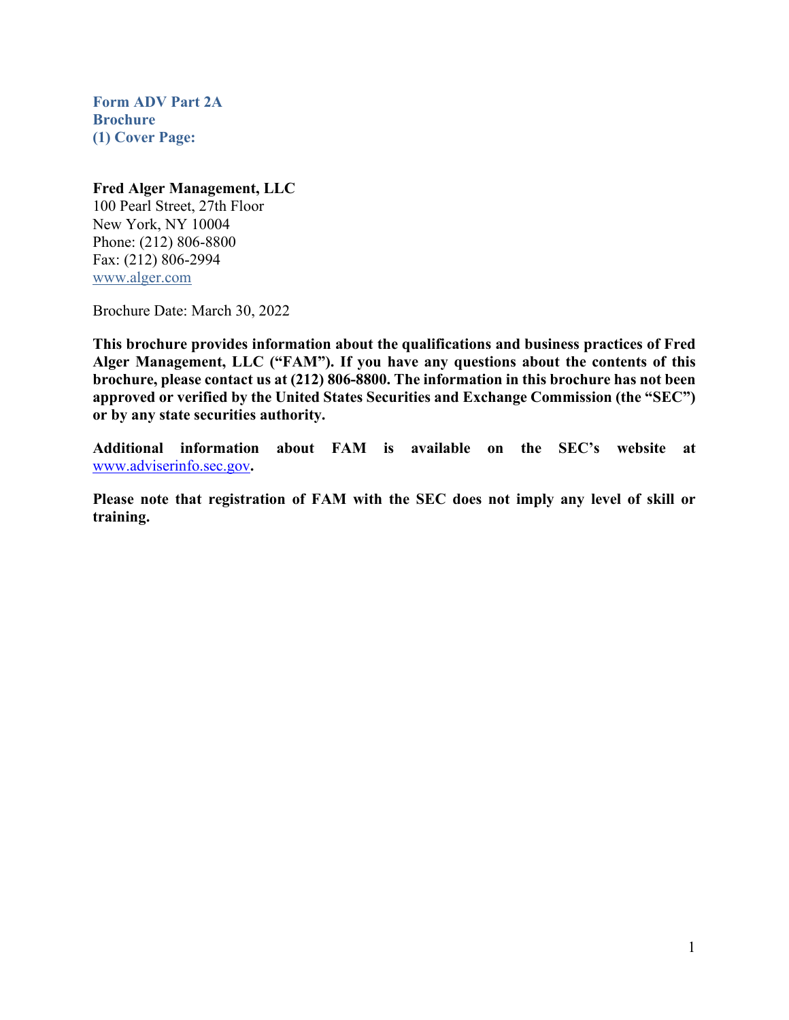<span id="page-2-0"></span>**Form ADV Part 2A Brochure (1) Cover Page:**

#### **Fred Alger Management, LLC**

100 Pearl Street, 27th Floor New York, NY 10004 Phone: (212) 806-8800 Fax: (212) 806-2994 [www.alger.com](http://www.alger.com/)

Brochure Date: March 30, 2022

**This brochure provides information about the qualifications and business practices of Fred Alger Management, LLC ("FAM"). If you have any questions about the contents of this brochure, please contact us at (212) 806-8800. The information in this brochure has not been approved or verified by the United States Securities and Exchange Commission (the "SEC") or by any state securities authority.** 

**Additional information about FAM is available on the SEC's website at**  [www.adviserinfo.sec.gov](http://www.adviserinfo.sec.gov/)**.** 

**Please note that registration of FAM with the SEC does not imply any level of skill or training.**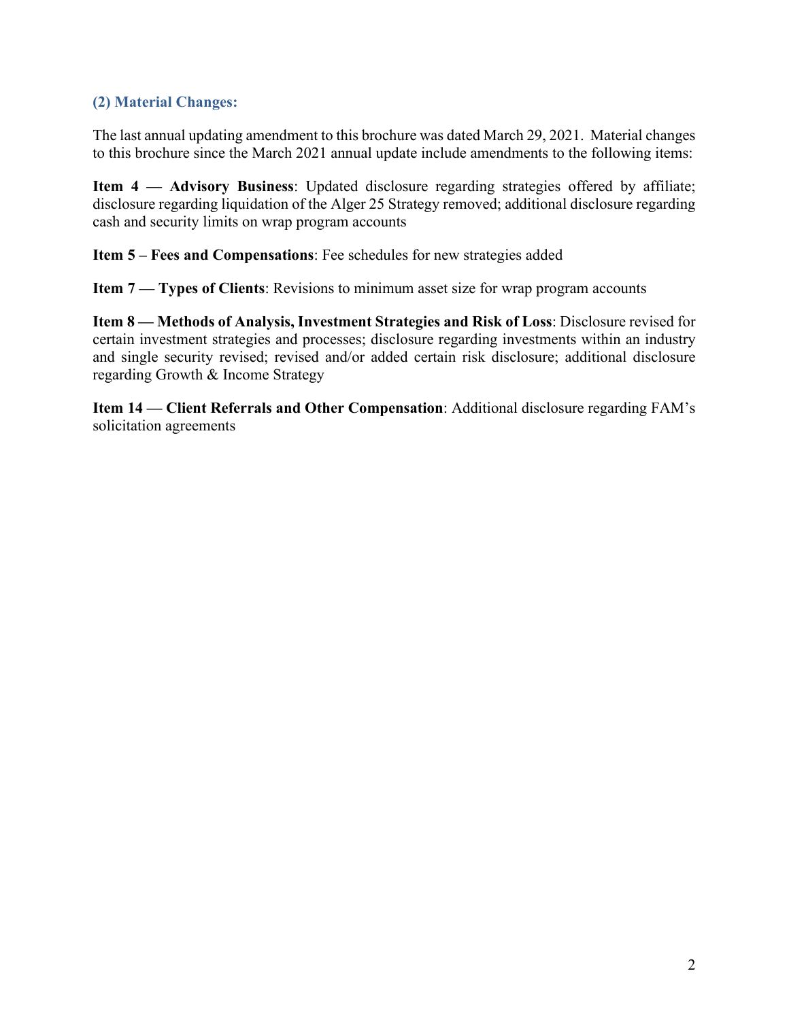# <span id="page-3-0"></span>**(2) Material Changes:**

The last annual updating amendment to this brochure was dated March 29, 2021. Material changes to this brochure since the March 2021 annual update include amendments to the following items:

**Item 4 — Advisory Business**: Updated disclosure regarding strategies offered by affiliate; disclosure regarding liquidation of the Alger 25 Strategy removed; additional disclosure regarding cash and security limits on wrap program accounts

**Item 5 – Fees and Compensations**: Fee schedules for new strategies added

**Item 7 — Types of Clients**: Revisions to minimum asset size for wrap program accounts

**Item 8 — Methods of Analysis, Investment Strategies and Risk of Loss**: Disclosure revised for certain investment strategies and processes; disclosure regarding investments within an industry and single security revised; revised and/or added certain risk disclosure; additional disclosure regarding Growth & Income Strategy

**Item 14 — Client Referrals and Other Compensation**: Additional disclosure regarding FAM's solicitation agreements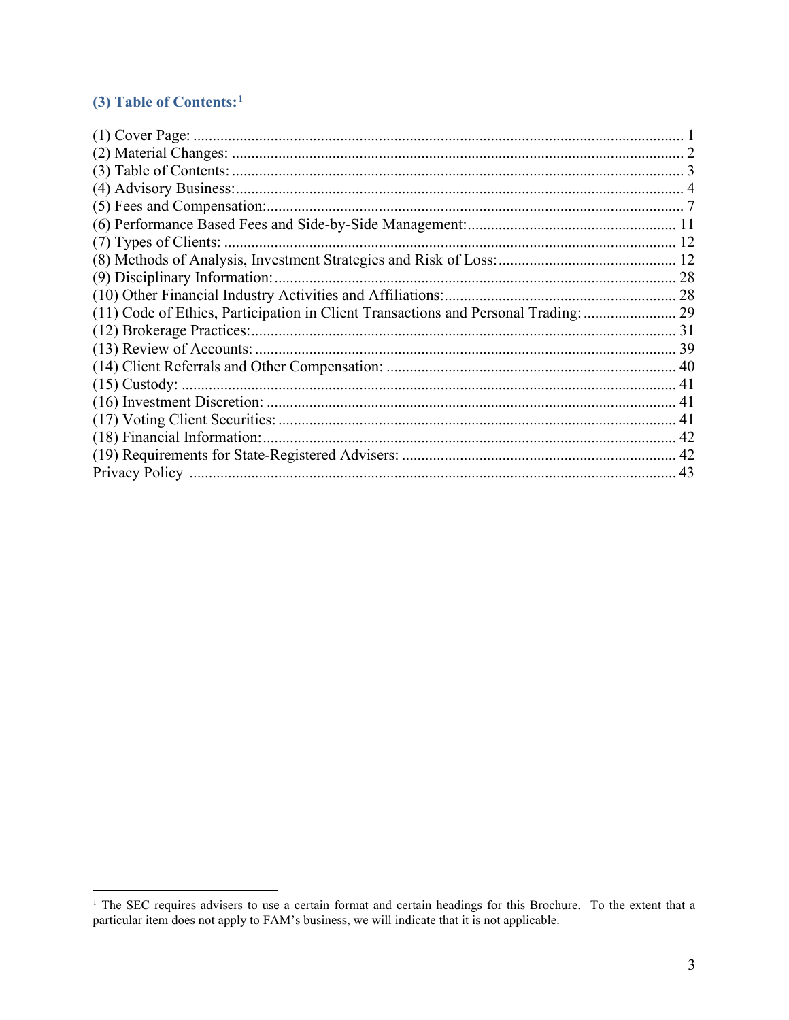# <span id="page-4-0"></span>(3) Table of Contents:<sup>1</sup>

| (9) Disciplinary Information:                                                       |  |
|-------------------------------------------------------------------------------------|--|
|                                                                                     |  |
| (11) Code of Ethics, Participation in Client Transactions and Personal Trading:  29 |  |
|                                                                                     |  |
|                                                                                     |  |
|                                                                                     |  |
|                                                                                     |  |
|                                                                                     |  |
|                                                                                     |  |
|                                                                                     |  |
|                                                                                     |  |
|                                                                                     |  |

<span id="page-4-1"></span><sup>&</sup>lt;sup>1</sup> The SEC requires advisers to use a certain format and certain headings for this Brochure. To the extent that a particular item does not apply to FAM's business, we will indicate that it is not applicable.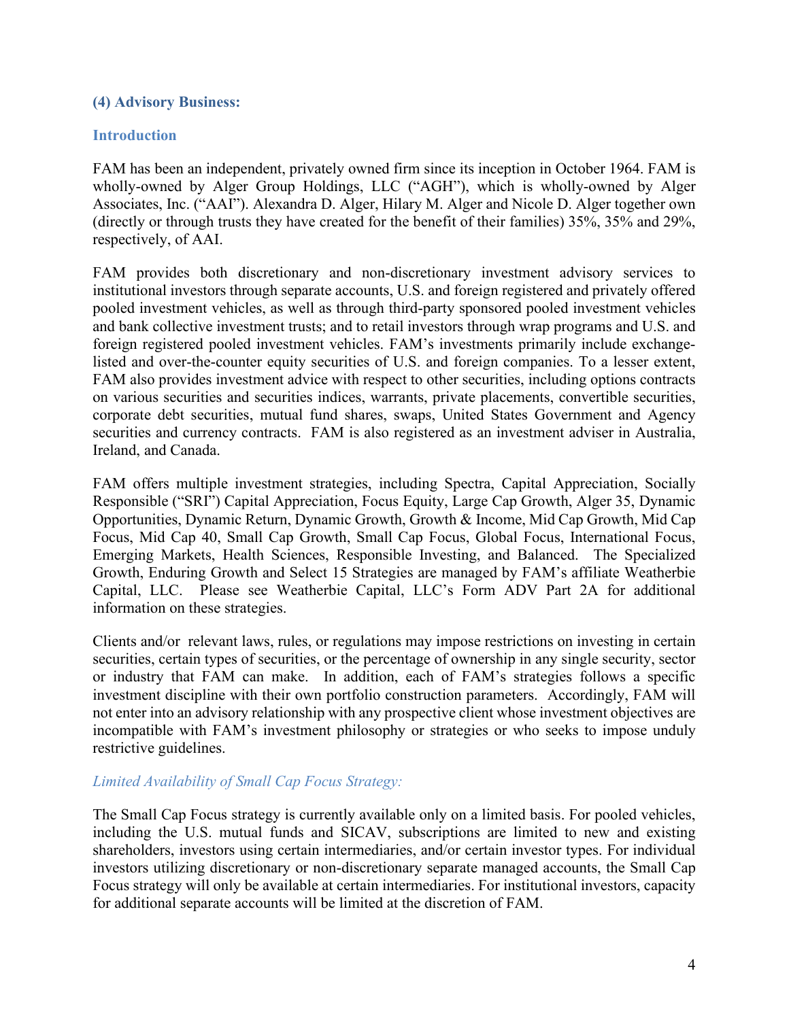#### <span id="page-5-0"></span>**(4) Advisory Business:**

#### **Introduction**

FAM has been an independent, privately owned firm since its inception in October 1964. FAM is wholly-owned by Alger Group Holdings, LLC ("AGH"), which is wholly-owned by Alger Associates, Inc. ("AAI"). Alexandra D. Alger, Hilary M. Alger and Nicole D. Alger together own (directly or through trusts they have created for the benefit of their families) 35%, 35% and 29%, respectively, of AAI.

FAM provides both discretionary and non-discretionary investment advisory services to institutional investors through separate accounts, U.S. and foreign registered and privately offered pooled investment vehicles, as well as through third-party sponsored pooled investment vehicles and bank collective investment trusts; and to retail investors through wrap programs and U.S. and foreign registered pooled investment vehicles. FAM's investments primarily include exchangelisted and over-the-counter equity securities of U.S. and foreign companies. To a lesser extent, FAM also provides investment advice with respect to other securities, including options contracts on various securities and securities indices, warrants, private placements, convertible securities, corporate debt securities, mutual fund shares, swaps, United States Government and Agency securities and currency contracts. FAM is also registered as an investment adviser in Australia, Ireland, and Canada.

FAM offers multiple investment strategies, including Spectra, Capital Appreciation, Socially Responsible ("SRI") Capital Appreciation, Focus Equity, Large Cap Growth, Alger 35, Dynamic Opportunities, Dynamic Return, Dynamic Growth, Growth & Income, Mid Cap Growth, Mid Cap Focus, Mid Cap 40, Small Cap Growth, Small Cap Focus, Global Focus, International Focus, Emerging Markets, Health Sciences, Responsible Investing, and Balanced. The Specialized Growth, Enduring Growth and Select 15 Strategies are managed by FAM's affiliate Weatherbie Capital, LLC. Please see Weatherbie Capital, LLC's Form ADV Part 2A for additional information on these strategies.

Clients and/or relevant laws, rules, or regulations may impose restrictions on investing in certain securities, certain types of securities, or the percentage of ownership in any single security, sector or industry that FAM can make. In addition, each of FAM's strategies follows a specific investment discipline with their own portfolio construction parameters. Accordingly, FAM will not enter into an advisory relationship with any prospective client whose investment objectives are incompatible with FAM's investment philosophy or strategies or who seeks to impose unduly restrictive guidelines.

#### *Limited Availability of Small Cap Focus Strategy:*

The Small Cap Focus strategy is currently available only on a limited basis. For pooled vehicles, including the U.S. mutual funds and SICAV, subscriptions are limited to new and existing shareholders, investors using certain intermediaries, and/or certain investor types. For individual investors utilizing discretionary or non-discretionary separate managed accounts, the Small Cap Focus strategy will only be available at certain intermediaries. For institutional investors, capacity for additional separate accounts will be limited at the discretion of FAM.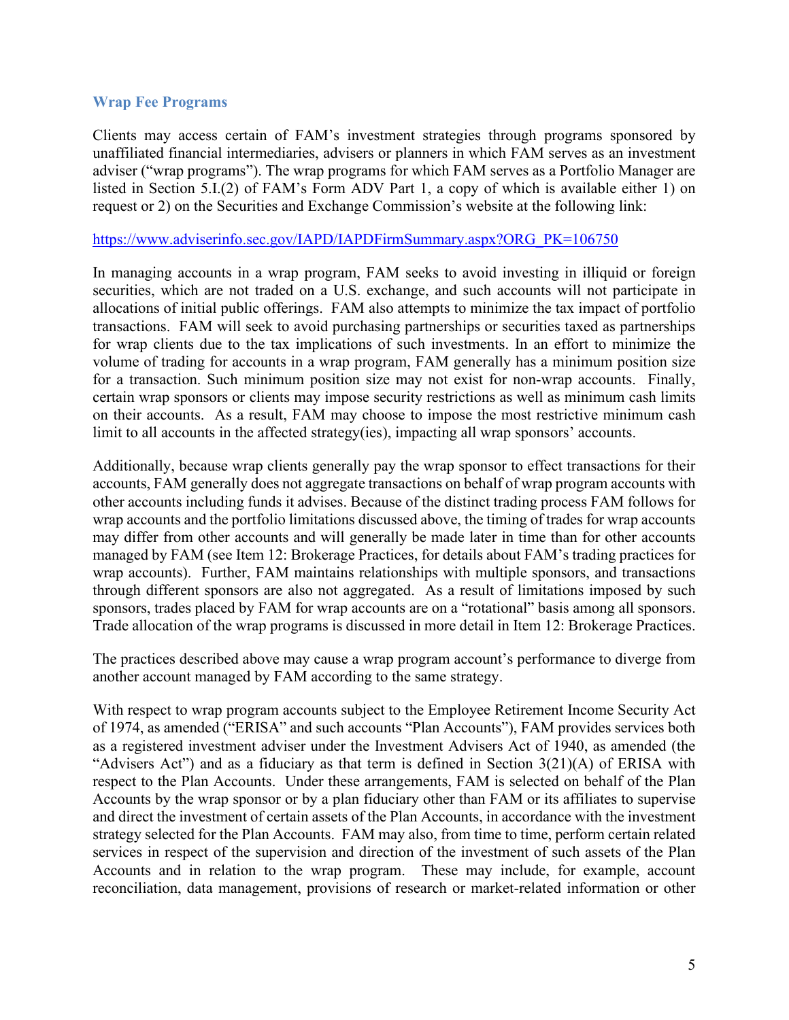#### **Wrap Fee Programs**

Clients may access certain of FAM's investment strategies through programs sponsored by unaffiliated financial intermediaries, advisers or planners in which FAM serves as an investment adviser ("wrap programs"). The wrap programs for which FAM serves as a Portfolio Manager are listed in Section 5.I.(2) of FAM's Form ADV Part 1, a copy of which is available either 1) on request or 2) on the Securities and Exchange Commission's website at the following link:

#### [https://www.adviserinfo.sec.gov/IAPD/IAPDFirmSummary.aspx?ORG\\_PK=106750](https://www.adviserinfo.sec.gov/IAPD/IAPDFirmSummary.aspx?ORG_PK=106750)

In managing accounts in a wrap program, FAM seeks to avoid investing in illiquid or foreign securities, which are not traded on a U.S. exchange, and such accounts will not participate in allocations of initial public offerings. FAM also attempts to minimize the tax impact of portfolio transactions. FAM will seek to avoid purchasing partnerships or securities taxed as partnerships for wrap clients due to the tax implications of such investments. In an effort to minimize the volume of trading for accounts in a wrap program, FAM generally has a minimum position size for a transaction. Such minimum position size may not exist for non-wrap accounts. Finally, certain wrap sponsors or clients may impose security restrictions as well as minimum cash limits on their accounts. As a result, FAM may choose to impose the most restrictive minimum cash limit to all accounts in the affected strategy(ies), impacting all wrap sponsors' accounts.

Additionally, because wrap clients generally pay the wrap sponsor to effect transactions for their accounts, FAM generally does not aggregate transactions on behalf of wrap program accounts with other accounts including funds it advises. Because of the distinct trading process FAM follows for wrap accounts and the portfolio limitations discussed above, the timing of trades for wrap accounts may differ from other accounts and will generally be made later in time than for other accounts managed by FAM (see Item 12: Brokerage Practices, for details about FAM's trading practices for wrap accounts). Further, FAM maintains relationships with multiple sponsors, and transactions through different sponsors are also not aggregated. As a result of limitations imposed by such sponsors, trades placed by FAM for wrap accounts are on a "rotational" basis among all sponsors. Trade allocation of the wrap programs is discussed in more detail in Item 12: Brokerage Practices.

The practices described above may cause a wrap program account's performance to diverge from another account managed by FAM according to the same strategy.

With respect to wrap program accounts subject to the Employee Retirement Income Security Act of 1974, as amended ("ERISA" and such accounts "Plan Accounts"), FAM provides services both as a registered investment adviser under the Investment Advisers Act of 1940, as amended (the "Advisers Act") and as a fiduciary as that term is defined in Section  $3(21)(A)$  of ERISA with respect to the Plan Accounts. Under these arrangements, FAM is selected on behalf of the Plan Accounts by the wrap sponsor or by a plan fiduciary other than FAM or its affiliates to supervise and direct the investment of certain assets of the Plan Accounts, in accordance with the investment strategy selected for the Plan Accounts. FAM may also, from time to time, perform certain related services in respect of the supervision and direction of the investment of such assets of the Plan Accounts and in relation to the wrap program. These may include, for example, account reconciliation, data management, provisions of research or market-related information or other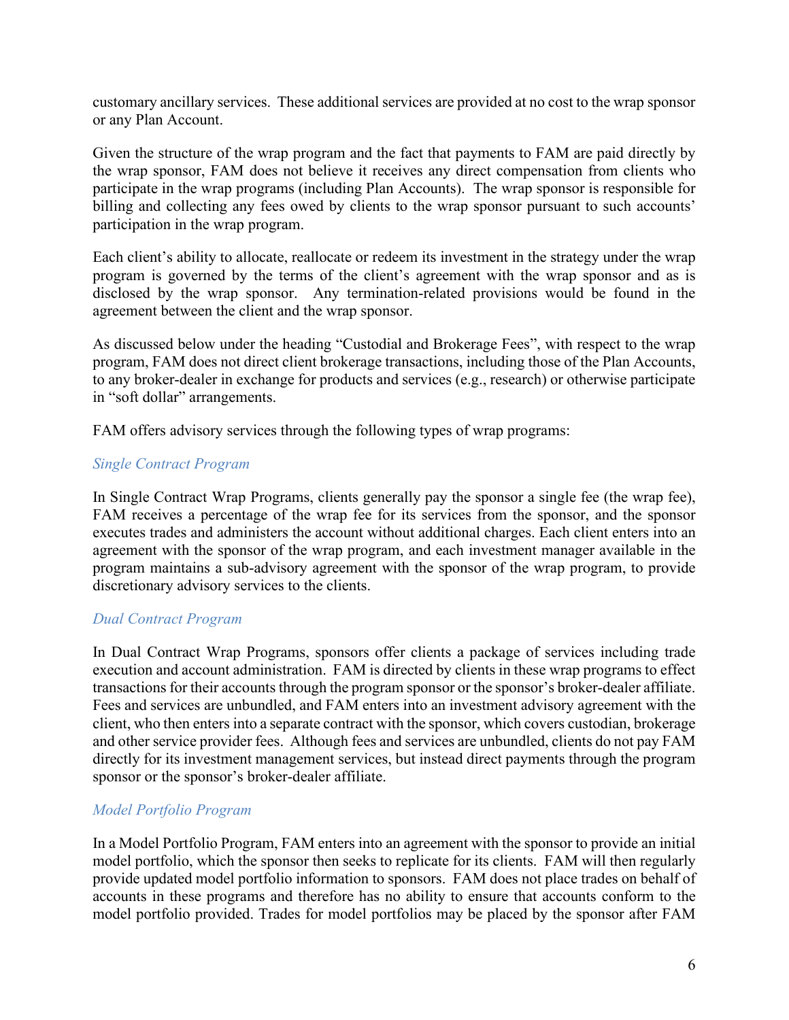customary ancillary services. These additional services are provided at no cost to the wrap sponsor or any Plan Account.

Given the structure of the wrap program and the fact that payments to FAM are paid directly by the wrap sponsor, FAM does not believe it receives any direct compensation from clients who participate in the wrap programs (including Plan Accounts). The wrap sponsor is responsible for billing and collecting any fees owed by clients to the wrap sponsor pursuant to such accounts' participation in the wrap program.

Each client's ability to allocate, reallocate or redeem its investment in the strategy under the wrap program is governed by the terms of the client's agreement with the wrap sponsor and as is disclosed by the wrap sponsor. Any termination-related provisions would be found in the agreement between the client and the wrap sponsor.

As discussed below under the heading "Custodial and Brokerage Fees", with respect to the wrap program, FAM does not direct client brokerage transactions, including those of the Plan Accounts, to any broker-dealer in exchange for products and services (e.g., research) or otherwise participate in "soft dollar" arrangements.

FAM offers advisory services through the following types of wrap programs:

## *Single Contract Program*

In Single Contract Wrap Programs, clients generally pay the sponsor a single fee (the wrap fee), FAM receives a percentage of the wrap fee for its services from the sponsor, and the sponsor executes trades and administers the account without additional charges. Each client enters into an agreement with the sponsor of the wrap program, and each investment manager available in the program maintains a sub-advisory agreement with the sponsor of the wrap program, to provide discretionary advisory services to the clients.

## *Dual Contract Program*

In Dual Contract Wrap Programs, sponsors offer clients a package of services including trade execution and account administration. FAM is directed by clients in these wrap programs to effect transactions for their accounts through the program sponsor or the sponsor's broker-dealer affiliate. Fees and services are unbundled, and FAM enters into an investment advisory agreement with the client, who then enters into a separate contract with the sponsor, which covers custodian, brokerage and other service provider fees. Although fees and services are unbundled, clients do not pay FAM directly for its investment management services, but instead direct payments through the program sponsor or the sponsor's broker-dealer affiliate.

# *Model Portfolio Program*

In a Model Portfolio Program, FAM enters into an agreement with the sponsor to provide an initial model portfolio, which the sponsor then seeks to replicate for its clients. FAM will then regularly provide updated model portfolio information to sponsors. FAM does not place trades on behalf of accounts in these programs and therefore has no ability to ensure that accounts conform to the model portfolio provided. Trades for model portfolios may be placed by the sponsor after FAM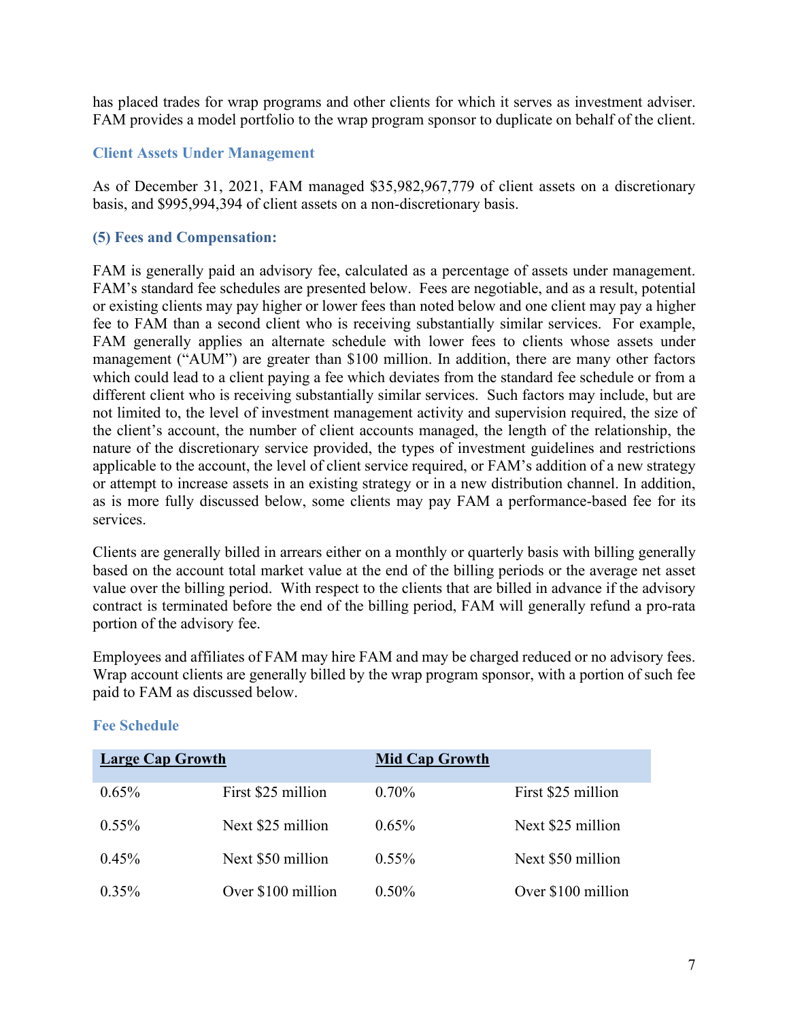has placed trades for wrap programs and other clients for which it serves as investment adviser. FAM provides a model portfolio to the wrap program sponsor to duplicate on behalf of the client.

#### **Client Assets Under Management**

As of December 31, 2021, FAM managed \$35,982,967,779 of client assets on a discretionary basis, and \$995,994,394 of client assets on a non-discretionary basis.

#### <span id="page-8-0"></span>**(5) Fees and Compensation:**

FAM is generally paid an advisory fee, calculated as a percentage of assets under management. FAM's standard fee schedules are presented below. Fees are negotiable, and as a result, potential or existing clients may pay higher or lower fees than noted below and one client may pay a higher fee to FAM than a second client who is receiving substantially similar services. For example, FAM generally applies an alternate schedule with lower fees to clients whose assets under management ("AUM") are greater than \$100 million. In addition, there are many other factors which could lead to a client paying a fee which deviates from the standard fee schedule or from a different client who is receiving substantially similar services. Such factors may include, but are not limited to, the level of investment management activity and supervision required, the size of the client's account, the number of client accounts managed, the length of the relationship, the nature of the discretionary service provided, the types of investment guidelines and restrictions applicable to the account, the level of client service required, or FAM's addition of a new strategy or attempt to increase assets in an existing strategy or in a new distribution channel. In addition, as is more fully discussed below, some clients may pay FAM a performance-based fee for its services.

Clients are generally billed in arrears either on a monthly or quarterly basis with billing generally based on the account total market value at the end of the billing periods or the average net asset value over the billing period. With respect to the clients that are billed in advance if the advisory contract is terminated before the end of the billing period, FAM will generally refund a pro-rata portion of the advisory fee.

Employees and affiliates of FAM may hire FAM and may be charged reduced or no advisory fees. Wrap account clients are generally billed by the wrap program sponsor, with a portion of such fee paid to FAM as discussed below.

| Large Cap Growth |                    | <b>Mid Cap Growth</b> |                    |
|------------------|--------------------|-----------------------|--------------------|
| $0.65\%$         | First \$25 million | $0.70\%$              | First \$25 million |
| $0.55\%$         | Next \$25 million  | $0.65\%$              | Next \$25 million  |
| $0.45\%$         | Next \$50 million  | $0.55\%$              | Next \$50 million  |
| $0.35\%$         | Over \$100 million | $0.50\%$              | Over \$100 million |

## **Fee Schedule**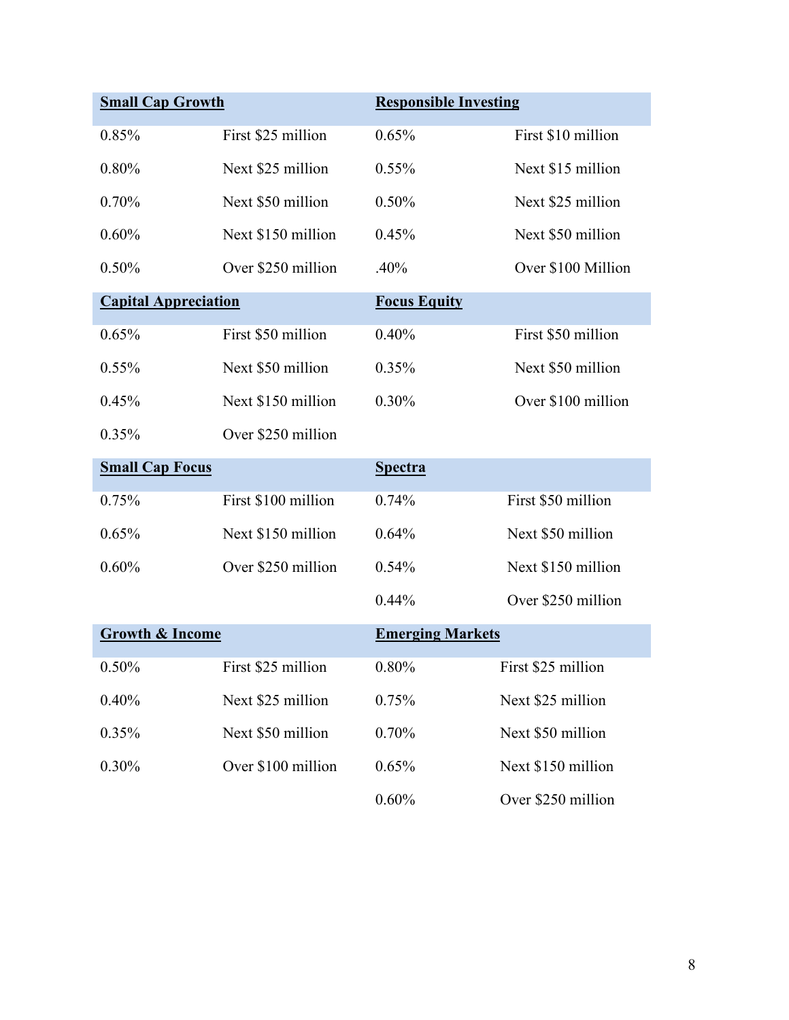| <b>Small Cap Growth</b>     |                     | <b>Responsible Investing</b> |                    |
|-----------------------------|---------------------|------------------------------|--------------------|
| 0.85%                       | First \$25 million  | 0.65%                        | First \$10 million |
| 0.80%                       | Next \$25 million   | 0.55%                        | Next \$15 million  |
| 0.70%                       | Next \$50 million   | 0.50%                        | Next \$25 million  |
| 0.60%                       | Next \$150 million  | 0.45%                        | Next \$50 million  |
| 0.50%                       | Over \$250 million  | .40%                         | Over \$100 Million |
| <b>Capital Appreciation</b> |                     | <b>Focus Equity</b>          |                    |
| 0.65%                       | First \$50 million  | 0.40%                        | First \$50 million |
| $0.55\%$                    | Next \$50 million   | 0.35%                        | Next \$50 million  |
| 0.45%                       | Next \$150 million  | 0.30%                        | Over \$100 million |
| 0.35%                       | Over \$250 million  |                              |                    |
| <b>Small Cap Focus</b>      |                     | <b>Spectra</b>               |                    |
| 0.75%                       | First \$100 million | 0.74%                        | First \$50 million |
| 0.65%                       | Next \$150 million  | 0.64%                        | Next \$50 million  |
| 0.60%                       | Over \$250 million  | 0.54%                        | Next \$150 million |
|                             |                     | 0.44%                        | Over \$250 million |
| <b>Growth &amp; Income</b>  |                     | <b>Emerging Markets</b>      |                    |
| 0.50%                       | First \$25 million  | $0.80\%$                     | First \$25 million |
| 0.40%                       | Next \$25 million   | 0.75%                        | Next \$25 million  |
| 0.35%                       | Next \$50 million   | 0.70%                        | Next \$50 million  |
| 0.30%                       | Over \$100 million  | 0.65%                        | Next \$150 million |
|                             |                     | $0.60\%$                     | Over \$250 million |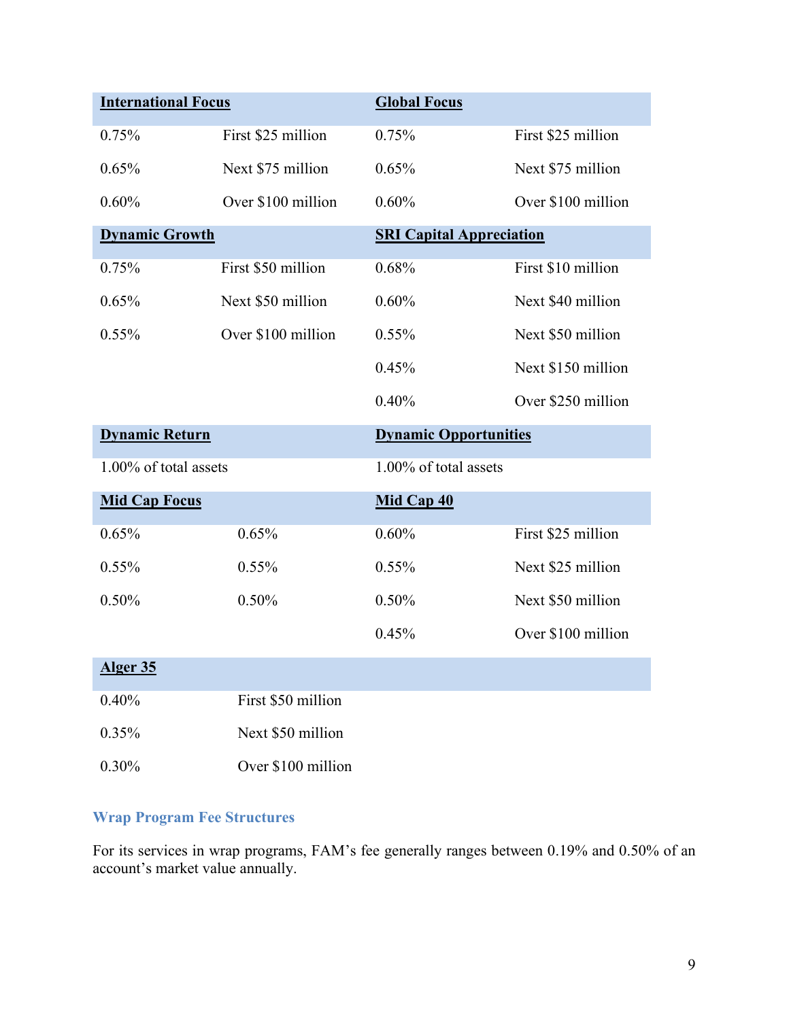| <b>International Focus</b> |                    | <b>Global Focus</b>             |                    |
|----------------------------|--------------------|---------------------------------|--------------------|
| 0.75%                      | First \$25 million | 0.75%                           | First \$25 million |
| 0.65%                      | Next \$75 million  | 0.65%                           | Next \$75 million  |
| 0.60%                      | Over \$100 million | 0.60%                           | Over \$100 million |
| <b>Dynamic Growth</b>      |                    | <b>SRI Capital Appreciation</b> |                    |
| 0.75%                      | First \$50 million | 0.68%                           | First \$10 million |
| 0.65%                      | Next \$50 million  | 0.60%                           | Next \$40 million  |
| 0.55%                      | Over \$100 million | 0.55%                           | Next \$50 million  |
|                            |                    | 0.45%                           | Next \$150 million |
|                            |                    | 0.40%                           | Over \$250 million |
| <b>Dynamic Return</b>      |                    | <b>Dynamic Opportunities</b>    |                    |
| 1.00% of total assets      |                    | 1.00% of total assets           |                    |
| <b>Mid Cap Focus</b>       |                    | Mid Cap 40                      |                    |
| 0.65%                      | 0.65%              | 0.60%                           | First \$25 million |
| 0.55%                      | $0.55\%$           | 0.55%                           | Next \$25 million  |
| 0.50%                      |                    |                                 |                    |
|                            | 0.50%              | 0.50%                           | Next \$50 million  |
|                            |                    | 0.45%                           | Over \$100 million |
| Alger 35                   |                    |                                 |                    |
| 0.40%                      | First \$50 million |                                 |                    |
| 0.35%                      | Next \$50 million  |                                 |                    |

# **Wrap Program Fee Structures**

For its services in wrap programs, FAM's fee generally ranges between 0.19% and 0.50% of an account's market value annually.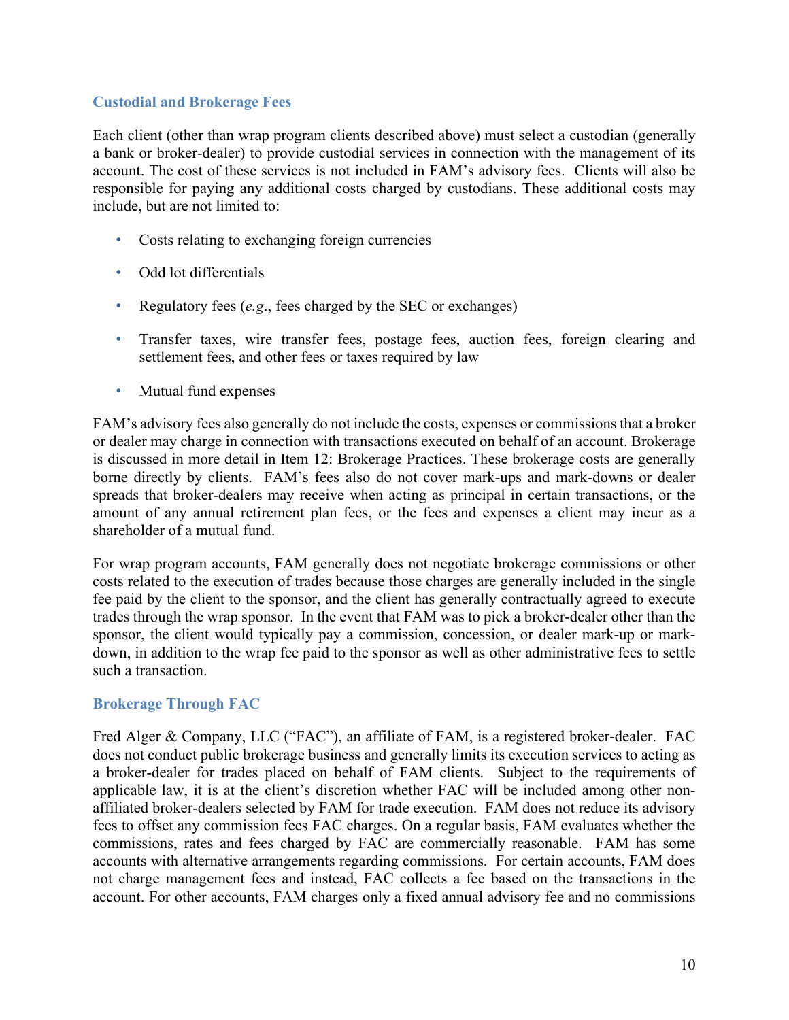## **Custodial and Brokerage Fees**

Each client (other than wrap program clients described above) must select a custodian (generally a bank or broker-dealer) to provide custodial services in connection with the management of its account. The cost of these services is not included in FAM's advisory fees. Clients will also be responsible for paying any additional costs charged by custodians. These additional costs may include, but are not limited to:

- Costs relating to exchanging foreign currencies
- Odd lot differentials
- Regulatory fees (*e.g*., fees charged by the SEC or exchanges)
- Transfer taxes, wire transfer fees, postage fees, auction fees, foreign clearing and settlement fees, and other fees or taxes required by law
- Mutual fund expenses

FAM's advisory fees also generally do not include the costs, expenses or commissions that a broker or dealer may charge in connection with transactions executed on behalf of an account. Brokerage is discussed in more detail in Item 12: Brokerage Practices. These brokerage costs are generally borne directly by clients. FAM's fees also do not cover mark-ups and mark-downs or dealer spreads that broker-dealers may receive when acting as principal in certain transactions, or the amount of any annual retirement plan fees, or the fees and expenses a client may incur as a shareholder of a mutual fund.

For wrap program accounts, FAM generally does not negotiate brokerage commissions or other costs related to the execution of trades because those charges are generally included in the single fee paid by the client to the sponsor, and the client has generally contractually agreed to execute trades through the wrap sponsor. In the event that FAM was to pick a broker-dealer other than the sponsor, the client would typically pay a commission, concession, or dealer mark-up or markdown, in addition to the wrap fee paid to the sponsor as well as other administrative fees to settle such a transaction.

## **Brokerage Through FAC**

Fred Alger & Company, LLC ("FAC"), an affiliate of FAM, is a registered broker-dealer. FAC does not conduct public brokerage business and generally limits its execution services to acting as a broker-dealer for trades placed on behalf of FAM clients. Subject to the requirements of applicable law, it is at the client's discretion whether FAC will be included among other nonaffiliated broker-dealers selected by FAM for trade execution. FAM does not reduce its advisory fees to offset any commission fees FAC charges. On a regular basis, FAM evaluates whether the commissions, rates and fees charged by FAC are commercially reasonable. FAM has some accounts with alternative arrangements regarding commissions. For certain accounts, FAM does not charge management fees and instead, FAC collects a fee based on the transactions in the account. For other accounts, FAM charges only a fixed annual advisory fee and no commissions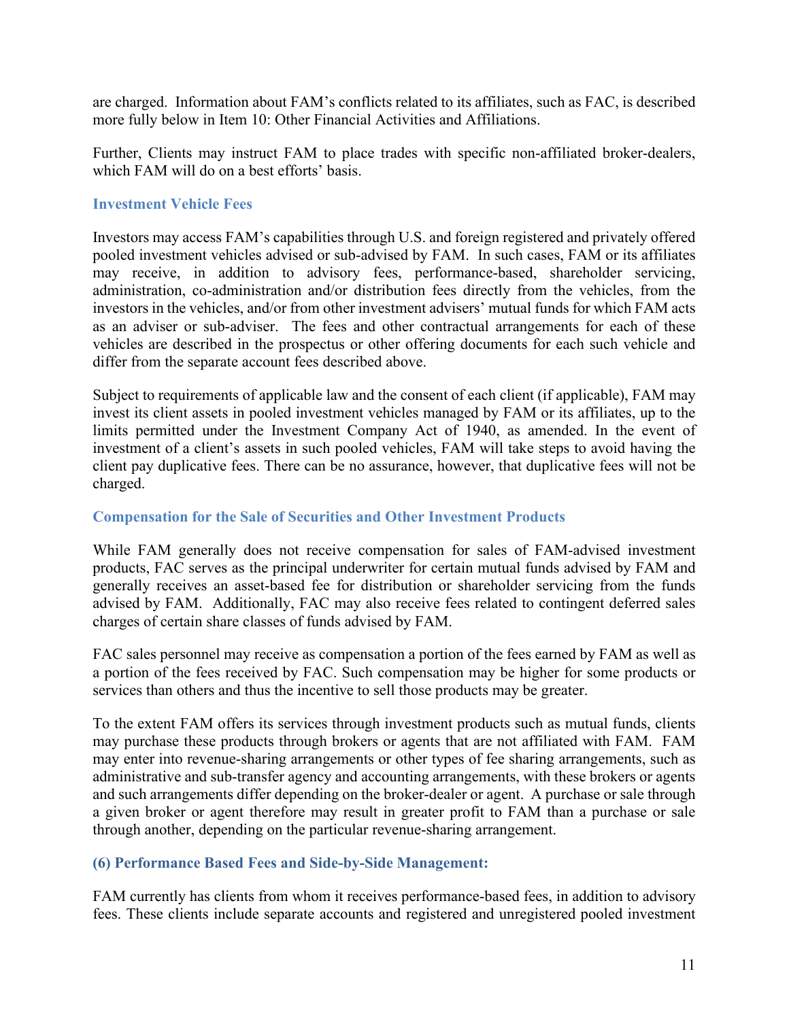are charged. Information about FAM's conflicts related to its affiliates, such as FAC, is described more fully below in Item 10: Other Financial Activities and Affiliations.

Further, Clients may instruct FAM to place trades with specific non-affiliated broker-dealers, which FAM will do on a best efforts' basis.

#### **Investment Vehicle Fees**

Investors may access FAM's capabilities through U.S. and foreign registered and privately offered pooled investment vehicles advised or sub-advised by FAM. In such cases, FAM or its affiliates may receive, in addition to advisory fees, performance-based, shareholder servicing, administration, co-administration and/or distribution fees directly from the vehicles, from the investors in the vehicles, and/or from other investment advisers' mutual funds for which FAM acts as an adviser or sub-adviser. The fees and other contractual arrangements for each of these vehicles are described in the prospectus or other offering documents for each such vehicle and differ from the separate account fees described above.

Subject to requirements of applicable law and the consent of each client (if applicable), FAM may invest its client assets in pooled investment vehicles managed by FAM or its affiliates, up to the limits permitted under the Investment Company Act of 1940, as amended. In the event of investment of a client's assets in such pooled vehicles, FAM will take steps to avoid having the client pay duplicative fees. There can be no assurance, however, that duplicative fees will not be charged.

## **Compensation for the Sale of Securities and Other Investment Products**

While FAM generally does not receive compensation for sales of FAM-advised investment products, FAC serves as the principal underwriter for certain mutual funds advised by FAM and generally receives an asset-based fee for distribution or shareholder servicing from the funds advised by FAM. Additionally, FAC may also receive fees related to contingent deferred sales charges of certain share classes of funds advised by FAM.

FAC sales personnel may receive as compensation a portion of the fees earned by FAM as well as a portion of the fees received by FAC. Such compensation may be higher for some products or services than others and thus the incentive to sell those products may be greater.

To the extent FAM offers its services through investment products such as mutual funds, clients may purchase these products through brokers or agents that are not affiliated with FAM. FAM may enter into revenue-sharing arrangements or other types of fee sharing arrangements, such as administrative and sub-transfer agency and accounting arrangements, with these brokers or agents and such arrangements differ depending on the broker-dealer or agent. A purchase or sale through a given broker or agent therefore may result in greater profit to FAM than a purchase or sale through another, depending on the particular revenue-sharing arrangement.

## <span id="page-12-0"></span>**(6) Performance Based Fees and Side-by-Side Management:**

FAM currently has clients from whom it receives performance-based fees, in addition to advisory fees. These clients include separate accounts and registered and unregistered pooled investment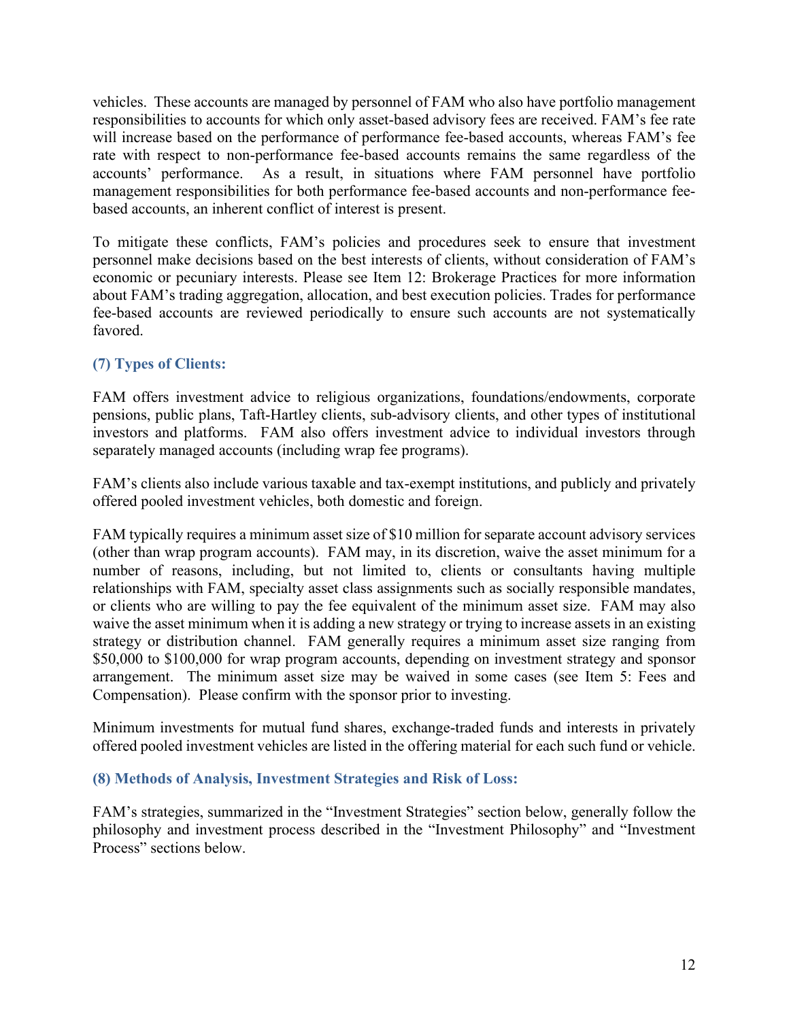vehicles. These accounts are managed by personnel of FAM who also have portfolio management responsibilities to accounts for which only asset-based advisory fees are received. FAM's fee rate will increase based on the performance of performance fee-based accounts, whereas FAM's fee rate with respect to non-performance fee-based accounts remains the same regardless of the accounts' performance. As a result, in situations where FAM personnel have portfolio management responsibilities for both performance fee-based accounts and non-performance feebased accounts, an inherent conflict of interest is present.

To mitigate these conflicts, FAM's policies and procedures seek to ensure that investment personnel make decisions based on the best interests of clients, without consideration of FAM's economic or pecuniary interests. Please see Item 12: Brokerage Practices for more information about FAM's trading aggregation, allocation, and best execution policies. Trades for performance fee-based accounts are reviewed periodically to ensure such accounts are not systematically favored.

# <span id="page-13-0"></span>**(7) Types of Clients:**

FAM offers investment advice to religious organizations, foundations/endowments, corporate pensions, public plans, Taft-Hartley clients, sub-advisory clients, and other types of institutional investors and platforms.FAM also offers investment advice to individual investors through separately managed accounts (including wrap fee programs).

FAM's clients also include various taxable and tax-exempt institutions, and publicly and privately offered pooled investment vehicles, both domestic and foreign.

FAM typically requires a minimum asset size of \$10 million for separate account advisory services (other than wrap program accounts). FAM may, in its discretion, waive the asset minimum for a number of reasons, including, but not limited to, clients or consultants having multiple relationships with FAM, specialty asset class assignments such as socially responsible mandates, or clients who are willing to pay the fee equivalent of the minimum asset size. FAM may also waive the asset minimum when it is adding a new strategy or trying to increase assets in an existing strategy or distribution channel. FAM generally requires a minimum asset size ranging from \$50,000 to \$100,000 for wrap program accounts, depending on investment strategy and sponsor arrangement. The minimum asset size may be waived in some cases (see Item 5: Fees and Compensation). Please confirm with the sponsor prior to investing.

Minimum investments for mutual fund shares, exchange-traded funds and interests in privately offered pooled investment vehicles are listed in the offering material for each such fund or vehicle.

# <span id="page-13-1"></span>**(8) Methods of Analysis, Investment Strategies and Risk of Loss:**

FAM's strategies, summarized in the "Investment Strategies" section below, generally follow the philosophy and investment process described in the "Investment Philosophy" and "Investment Process" sections below.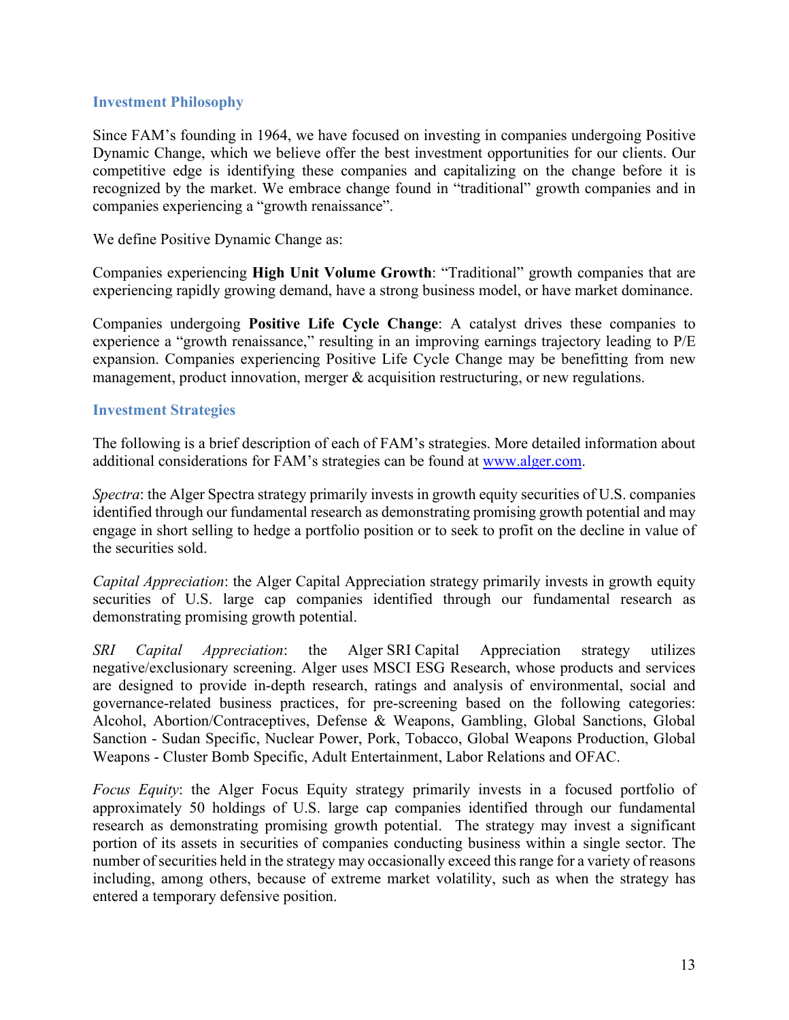#### **Investment Philosophy**

Since FAM's founding in 1964, we have focused on investing in companies undergoing Positive Dynamic Change, which we believe offer the best investment opportunities for our clients. Our competitive edge is identifying these companies and capitalizing on the change before it is recognized by the market. We embrace change found in "traditional" growth companies and in companies experiencing a "growth renaissance".

We define Positive Dynamic Change as:

Companies experiencing **High Unit Volume Growth**: "Traditional" growth companies that are experiencing rapidly growing demand, have a strong business model, or have market dominance.

Companies undergoing **Positive Life Cycle Change**: A catalyst drives these companies to experience a "growth renaissance," resulting in an improving earnings trajectory leading to P/E expansion. Companies experiencing Positive Life Cycle Change may be benefitting from new management, product innovation, merger & acquisition restructuring, or new regulations.

#### **Investment Strategies**

The following is a brief description of each of FAM's strategies. More detailed information about additional considerations for FAM's strategies can be found at [www.alger.com.](http://www.alger.com/)

*Spectra*: the Alger Spectra strategy primarily invests in growth equity securities of U.S. companies identified through our fundamental research as demonstrating promising growth potential and may engage in short selling to hedge a portfolio position or to seek to profit on the decline in value of the securities sold.

*Capital Appreciation*: the Alger Capital Appreciation strategy primarily invests in growth equity securities of U.S. large cap companies identified through our fundamental research as demonstrating promising growth potential.

*SRI Capital Appreciation*: the Alger SRI Capital Appreciation strategy utilizes negative/exclusionary screening. Alger uses MSCI ESG Research, whose products and services are designed to provide in-depth research, ratings and analysis of environmental, social and governance-related business practices, for pre-screening based on the following categories: Alcohol, Abortion/Contraceptives, Defense & Weapons, Gambling, Global Sanctions, Global Sanction - Sudan Specific, Nuclear Power, Pork, Tobacco, Global Weapons Production, Global Weapons - Cluster Bomb Specific, Adult Entertainment, Labor Relations and OFAC.

*Focus Equity*: the Alger Focus Equity strategy primarily invests in a focused portfolio of approximately 50 holdings of U.S. large cap companies identified through our fundamental research as demonstrating promising growth potential. The strategy may invest a significant portion of its assets in securities of companies conducting business within a single sector. The number of securities held in the strategy may occasionally exceed this range for a variety of reasons including, among others, because of extreme market volatility, such as when the strategy has entered a temporary defensive position.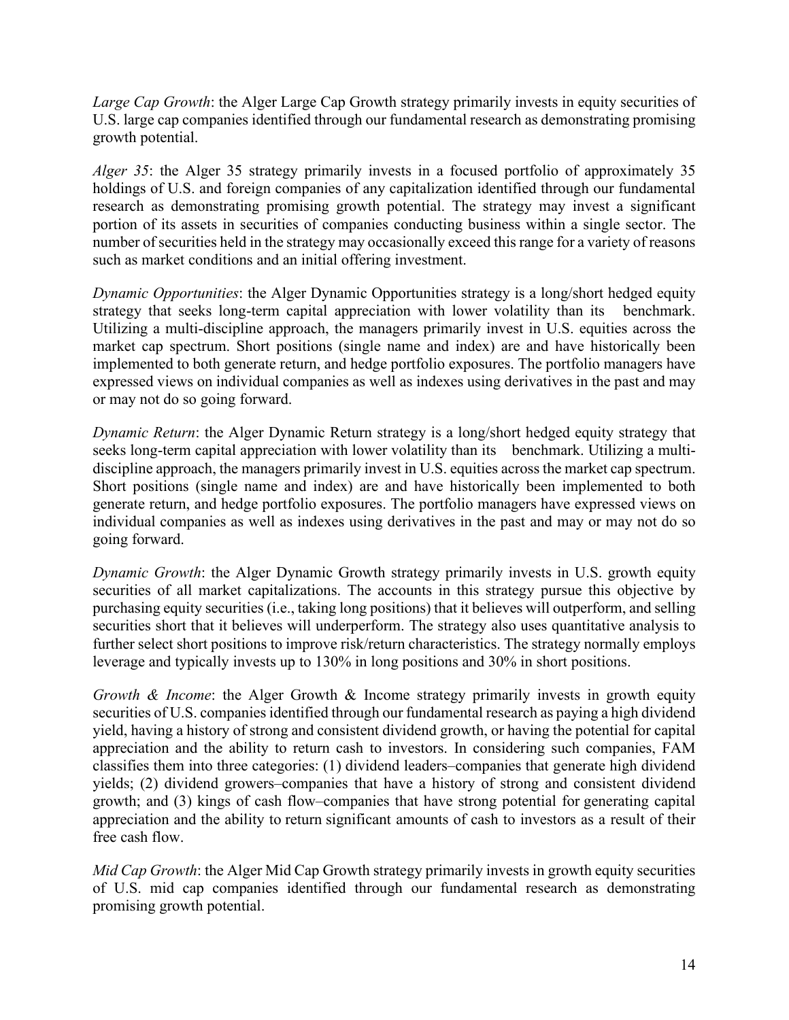*Large Cap Growth*: the Alger Large Cap Growth strategy primarily invests in equity securities of U.S. large cap companies identified through our fundamental research as demonstrating promising growth potential.

*Alger 35*: the Alger 35 strategy primarily invests in a focused portfolio of approximately 35 holdings of U.S. and foreign companies of any capitalization identified through our fundamental research as demonstrating promising growth potential. The strategy may invest a significant portion of its assets in securities of companies conducting business within a single sector. The number of securities held in the strategy may occasionally exceed this range for a variety of reasons such as market conditions and an initial offering investment.

*Dynamic Opportunities*: the Alger Dynamic Opportunities strategy is a long/short hedged equity strategy that seeks long-term capital appreciation with lower volatility than its benchmark. Utilizing a multi-discipline approach, the managers primarily invest in U.S. equities across the market cap spectrum. Short positions (single name and index) are and have historically been implemented to both generate return, and hedge portfolio exposures. The portfolio managers have expressed views on individual companies as well as indexes using derivatives in the past and may or may not do so going forward.

*Dynamic Return*: the Alger Dynamic Return strategy is a long/short hedged equity strategy that seeks long-term capital appreciation with lower volatility than its benchmark. Utilizing a multidiscipline approach, the managers primarily invest in U.S. equities across the market cap spectrum. Short positions (single name and index) are and have historically been implemented to both generate return, and hedge portfolio exposures. The portfolio managers have expressed views on individual companies as well as indexes using derivatives in the past and may or may not do so going forward.

*Dynamic Growth*: the Alger Dynamic Growth strategy primarily invests in U.S. growth equity securities of all market capitalizations. The accounts in this strategy pursue this objective by purchasing equity securities (i.e., taking long positions) that it believes will outperform, and selling securities short that it believes will underperform. The strategy also uses quantitative analysis to further select short positions to improve risk/return characteristics. The strategy normally employs leverage and typically invests up to 130% in long positions and 30% in short positions.

*Growth & Income:* the Alger Growth & Income strategy primarily invests in growth equity securities of U.S. companies identified through our fundamental research as paying a high dividend yield, having a history of strong and consistent dividend growth, or having the potential for capital appreciation and the ability to return cash to investors. In considering such companies, FAM classifies them into three categories: (1) dividend leaders–companies that generate high dividend yields; (2) dividend growers–companies that have a history of strong and consistent dividend growth; and (3) kings of cash flow–companies that have strong potential for generating capital appreciation and the ability to return significant amounts of cash to investors as a result of their free cash flow.

*Mid Cap Growth*: the Alger Mid Cap Growth strategy primarily invests in growth equity securities of U.S. mid cap companies identified through our fundamental research as demonstrating promising growth potential.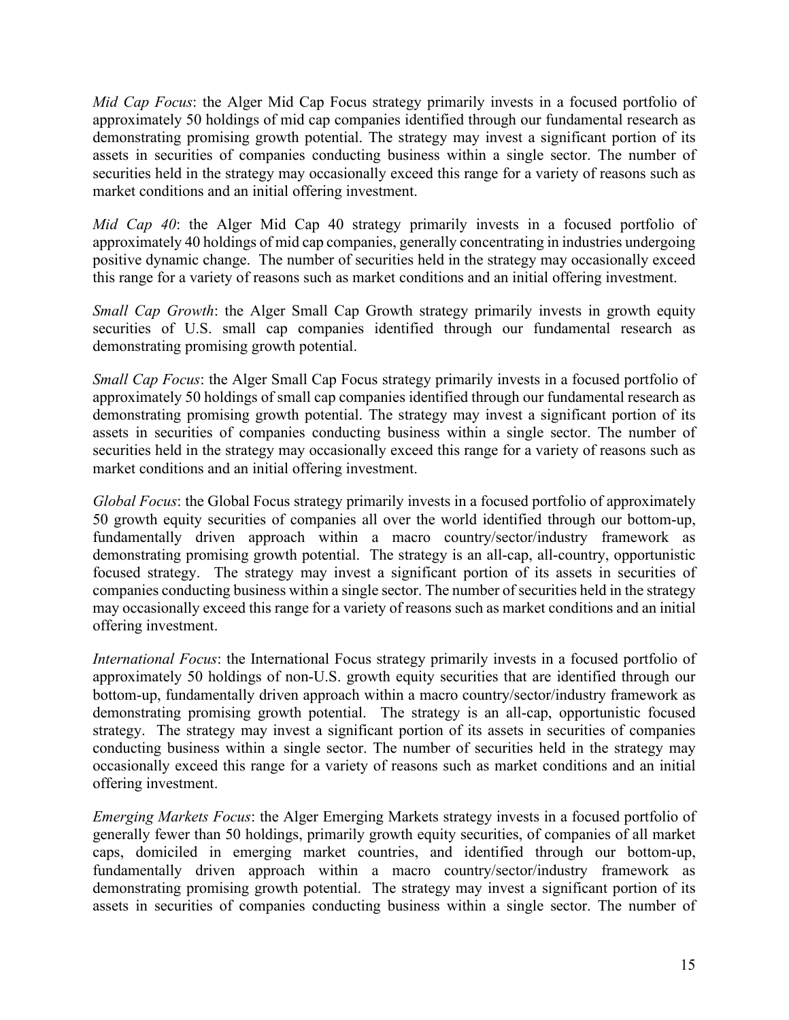*Mid Cap Focus*: the Alger Mid Cap Focus strategy primarily invests in a focused portfolio of approximately 50 holdings of mid cap companies identified through our fundamental research as demonstrating promising growth potential. The strategy may invest a significant portion of its assets in securities of companies conducting business within a single sector. The number of securities held in the strategy may occasionally exceed this range for a variety of reasons such as market conditions and an initial offering investment.

*Mid Cap 40*: the Alger Mid Cap 40 strategy primarily invests in a focused portfolio of approximately 40 holdings of mid cap companies, generally concentrating in industries undergoing positive dynamic change. The number of securities held in the strategy may occasionally exceed this range for a variety of reasons such as market conditions and an initial offering investment.

*Small Cap Growth*: the Alger Small Cap Growth strategy primarily invests in growth equity securities of U.S. small cap companies identified through our fundamental research as demonstrating promising growth potential.

*Small Cap Focus*: the Alger Small Cap Focus strategy primarily invests in a focused portfolio of approximately 50 holdings of small cap companies identified through our fundamental research as demonstrating promising growth potential. The strategy may invest a significant portion of its assets in securities of companies conducting business within a single sector. The number of securities held in the strategy may occasionally exceed this range for a variety of reasons such as market conditions and an initial offering investment.

*Global Focus*: the Global Focus strategy primarily invests in a focused portfolio of approximately 50 growth equity securities of companies all over the world identified through our bottom-up, fundamentally driven approach within a macro country/sector/industry framework as demonstrating promising growth potential. The strategy is an all-cap, all-country, opportunistic focused strategy. The strategy may invest a significant portion of its assets in securities of companies conducting business within a single sector. The number of securities held in the strategy may occasionally exceed this range for a variety of reasons such as market conditions and an initial offering investment.

*International Focus*: the International Focus strategy primarily invests in a focused portfolio of approximately 50 holdings of non-U.S. growth equity securities that are identified through our bottom-up, fundamentally driven approach within a macro country/sector/industry framework as demonstrating promising growth potential. The strategy is an all-cap, opportunistic focused strategy. The strategy may invest a significant portion of its assets in securities of companies conducting business within a single sector. The number of securities held in the strategy may occasionally exceed this range for a variety of reasons such as market conditions and an initial offering investment.

*Emerging Markets Focus*: the Alger Emerging Markets strategy invests in a focused portfolio of generally fewer than 50 holdings, primarily growth equity securities, of companies of all market caps, domiciled in emerging market countries, and identified through our bottom-up, fundamentally driven approach within a macro country/sector/industry framework as demonstrating promising growth potential. The strategy may invest a significant portion of its assets in securities of companies conducting business within a single sector. The number of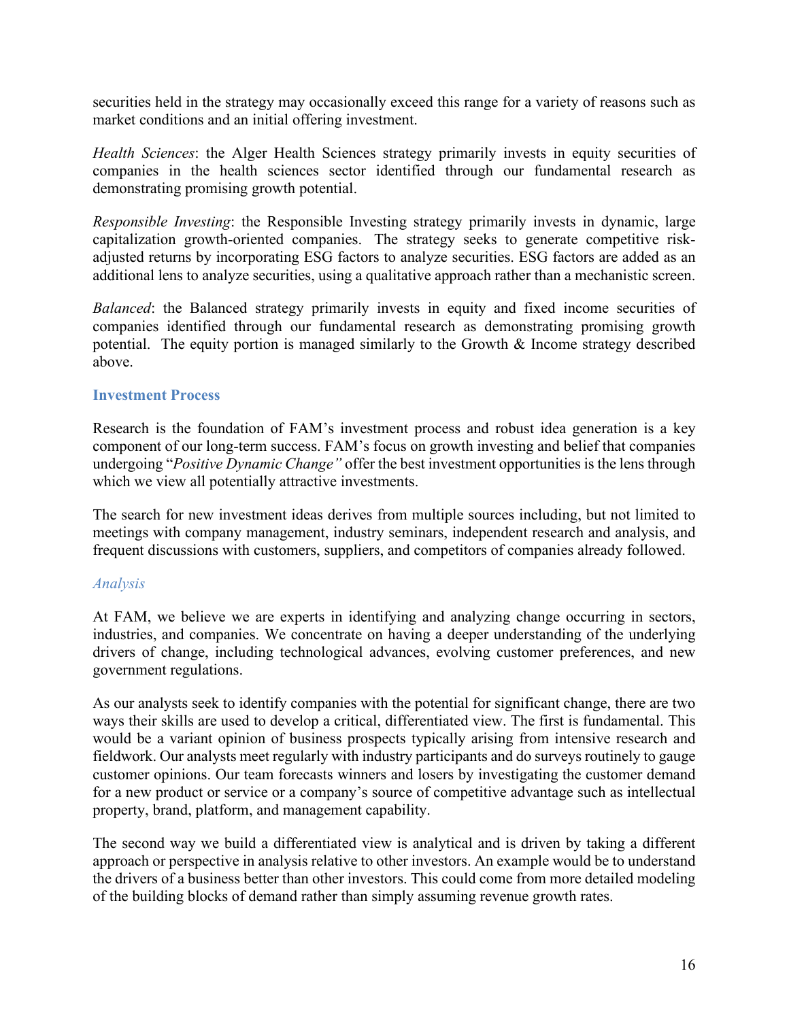securities held in the strategy may occasionally exceed this range for a variety of reasons such as market conditions and an initial offering investment.

*Health Sciences*: the Alger Health Sciences strategy primarily invests in equity securities of companies in the health sciences sector identified through our fundamental research as demonstrating promising growth potential.

*Responsible Investing*: the Responsible Investing strategy primarily invests in dynamic, large capitalization growth-oriented companies. The strategy seeks to generate competitive riskadjusted returns by incorporating ESG factors to analyze securities. ESG factors are added as an additional lens to analyze securities, using a qualitative approach rather than a mechanistic screen.

*Balanced*: the Balanced strategy primarily invests in equity and fixed income securities of companies identified through our fundamental research as demonstrating promising growth potential. The equity portion is managed similarly to the Growth & Income strategy described above.

#### **Investment Process**

Research is the foundation of FAM's investment process and robust idea generation is a key component of our long-term success. FAM's focus on growth investing and belief that companies undergoing "*Positive Dynamic Change"* offer the best investment opportunities is the lens through which we view all potentially attractive investments.

The search for new investment ideas derives from multiple sources including, but not limited to meetings with company management, industry seminars, independent research and analysis, and frequent discussions with customers, suppliers, and competitors of companies already followed.

#### *Analysis*

At FAM, we believe we are experts in identifying and analyzing change occurring in sectors, industries, and companies. We concentrate on having a deeper understanding of the underlying drivers of change, including technological advances, evolving customer preferences, and new government regulations.

As our analysts seek to identify companies with the potential for significant change, there are two ways their skills are used to develop a critical, differentiated view. The first is fundamental. This would be a variant opinion of business prospects typically arising from intensive research and fieldwork. Our analysts meet regularly with industry participants and do surveys routinely to gauge customer opinions. Our team forecasts winners and losers by investigating the customer demand for a new product or service or a company's source of competitive advantage such as intellectual property, brand, platform, and management capability.

The second way we build a differentiated view is analytical and is driven by taking a different approach or perspective in analysis relative to other investors. An example would be to understand the drivers of a business better than other investors. This could come from more detailed modeling of the building blocks of demand rather than simply assuming revenue growth rates.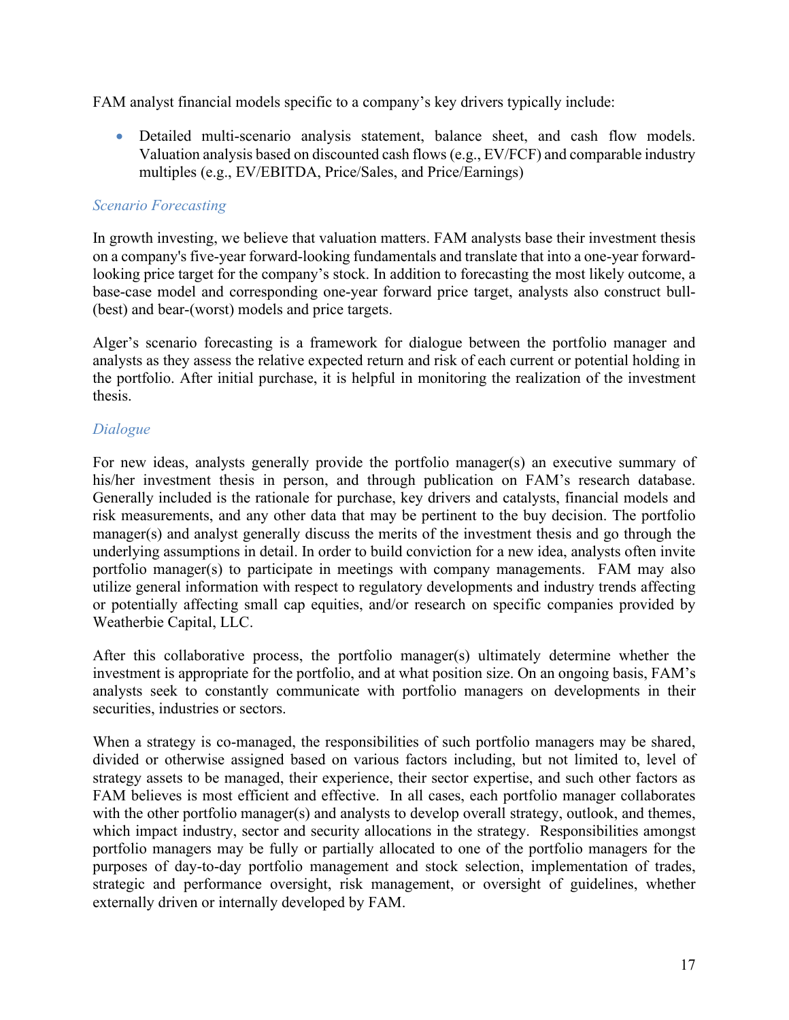FAM analyst financial models specific to a company's key drivers typically include:

• Detailed multi-scenario analysis statement, balance sheet, and cash flow models. Valuation analysis based on discounted cash flows (e.g., EV/FCF) and comparable industry multiples (e.g., EV/EBITDA, Price/Sales, and Price/Earnings)

## *Scenario Forecasting*

In growth investing, we believe that valuation matters. FAM analysts base their investment thesis on a company's five-year forward-looking fundamentals and translate that into a one-year forwardlooking price target for the company's stock. In addition to forecasting the most likely outcome, a base-case model and corresponding one-year forward price target, analysts also construct bull- (best) and bear-(worst) models and price targets.

Alger's scenario forecasting is a framework for dialogue between the portfolio manager and analysts as they assess the relative expected return and risk of each current or potential holding in the portfolio. After initial purchase, it is helpful in monitoring the realization of the investment thesis.

## *Dialogue*

For new ideas, analysts generally provide the portfolio manager(s) an executive summary of his/her investment thesis in person, and through publication on FAM's research database. Generally included is the rationale for purchase, key drivers and catalysts, financial models and risk measurements, and any other data that may be pertinent to the buy decision. The portfolio manager(s) and analyst generally discuss the merits of the investment thesis and go through the underlying assumptions in detail. In order to build conviction for a new idea, analysts often invite portfolio manager(s) to participate in meetings with company managements. FAM may also utilize general information with respect to regulatory developments and industry trends affecting or potentially affecting small cap equities, and/or research on specific companies provided by Weatherbie Capital, LLC.

After this collaborative process, the portfolio manager(s) ultimately determine whether the investment is appropriate for the portfolio, and at what position size. On an ongoing basis, FAM's analysts seek to constantly communicate with portfolio managers on developments in their securities, industries or sectors.

When a strategy is co-managed, the responsibilities of such portfolio managers may be shared, divided or otherwise assigned based on various factors including, but not limited to, level of strategy assets to be managed, their experience, their sector expertise, and such other factors as FAM believes is most efficient and effective. In all cases, each portfolio manager collaborates with the other portfolio manager(s) and analysts to develop overall strategy, outlook, and themes, which impact industry, sector and security allocations in the strategy. Responsibilities amongst portfolio managers may be fully or partially allocated to one of the portfolio managers for the purposes of day-to-day portfolio management and stock selection, implementation of trades, strategic and performance oversight, risk management, or oversight of guidelines, whether externally driven or internally developed by FAM.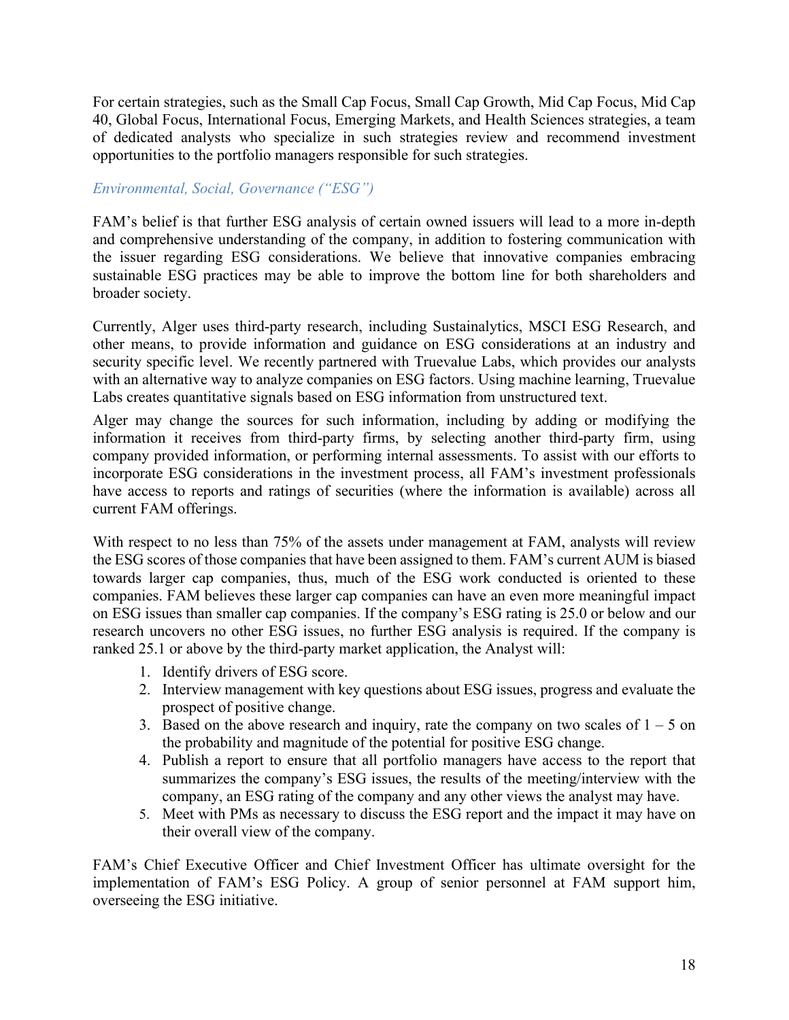For certain strategies, such as the Small Cap Focus, Small Cap Growth, Mid Cap Focus, Mid Cap 40, Global Focus, International Focus, Emerging Markets, and Health Sciences strategies, a team of dedicated analysts who specialize in such strategies review and recommend investment opportunities to the portfolio managers responsible for such strategies.

## *Environmental, Social, Governance ("ESG")*

FAM's belief is that further ESG analysis of certain owned issuers will lead to a more in-depth and comprehensive understanding of the company, in addition to fostering communication with the issuer regarding ESG considerations. We believe that innovative companies embracing sustainable ESG practices may be able to improve the bottom line for both shareholders and broader society.

Currently, Alger uses third-party research, including Sustainalytics, MSCI ESG Research, and other means, to provide information and guidance on ESG considerations at an industry and security specific level. We recently partnered with Truevalue Labs, which provides our analysts with an alternative way to analyze companies on ESG factors. Using machine learning, Truevalue Labs creates quantitative signals based on ESG information from unstructured text.

Alger may change the sources for such information, including by adding or modifying the information it receives from third-party firms, by selecting another third-party firm, using company provided information, or performing internal assessments. To assist with our efforts to incorporate ESG considerations in the investment process, all FAM's investment professionals have access to reports and ratings of securities (where the information is available) across all current FAM offerings.

With respect to no less than 75% of the assets under management at FAM, analysts will review the ESG scores of those companies that have been assigned to them. FAM's current AUM is biased towards larger cap companies, thus, much of the ESG work conducted is oriented to these companies. FAM believes these larger cap companies can have an even more meaningful impact on ESG issues than smaller cap companies. If the company's ESG rating is 25.0 or below and our research uncovers no other ESG issues, no further ESG analysis is required. If the company is ranked 25.1 or above by the third-party market application, the Analyst will:

- 1. Identify drivers of ESG score.
- 2. Interview management with key questions about ESG issues, progress and evaluate the prospect of positive change.
- 3. Based on the above research and inquiry, rate the company on two scales of  $1 5$  on the probability and magnitude of the potential for positive ESG change.
- 4. Publish a report to ensure that all portfolio managers have access to the report that summarizes the company's ESG issues, the results of the meeting/interview with the company, an ESG rating of the company and any other views the analyst may have.
- 5. Meet with PMs as necessary to discuss the ESG report and the impact it may have on their overall view of the company.

FAM's Chief Executive Officer and Chief Investment Officer has ultimate oversight for the implementation of FAM's ESG Policy. A group of senior personnel at FAM support him, overseeing the ESG initiative.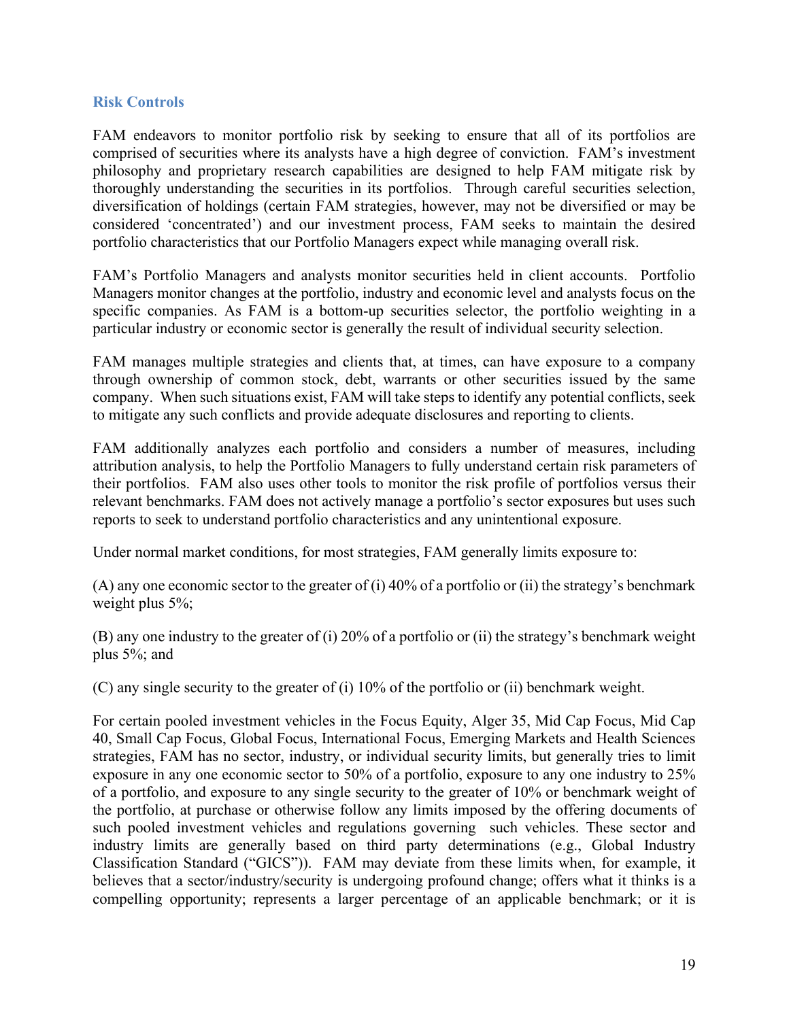#### **Risk Controls**

FAM endeavors to monitor portfolio risk by seeking to ensure that all of its portfolios are comprised of securities where its analysts have a high degree of conviction. FAM's investment philosophy and proprietary research capabilities are designed to help FAM mitigate risk by thoroughly understanding the securities in its portfolios. Through careful securities selection, diversification of holdings (certain FAM strategies, however, may not be diversified or may be considered 'concentrated') and our investment process, FAM seeks to maintain the desired portfolio characteristics that our Portfolio Managers expect while managing overall risk.

FAM's Portfolio Managers and analysts monitor securities held in client accounts. Portfolio Managers monitor changes at the portfolio, industry and economic level and analysts focus on the specific companies. As FAM is a bottom-up securities selector, the portfolio weighting in a particular industry or economic sector is generally the result of individual security selection.

FAM manages multiple strategies and clients that, at times, can have exposure to a company through ownership of common stock, debt, warrants or other securities issued by the same company. When such situations exist, FAM will take steps to identify any potential conflicts, seek to mitigate any such conflicts and provide adequate disclosures and reporting to clients.

FAM additionally analyzes each portfolio and considers a number of measures, including attribution analysis, to help the Portfolio Managers to fully understand certain risk parameters of their portfolios. FAM also uses other tools to monitor the risk profile of portfolios versus their relevant benchmarks. FAM does not actively manage a portfolio's sector exposures but uses such reports to seek to understand portfolio characteristics and any unintentional exposure.

Under normal market conditions, for most strategies, FAM generally limits exposure to:

(A) any one economic sector to the greater of (i)  $40\%$  of a portfolio or (ii) the strategy's benchmark weight plus 5%;

(B) any one industry to the greater of (i) 20% of a portfolio or (ii) the strategy's benchmark weight plus 5%; and

(C) any single security to the greater of (i) 10% of the portfolio or (ii) benchmark weight.

For certain pooled investment vehicles in the Focus Equity, Alger 35, Mid Cap Focus, Mid Cap 40, Small Cap Focus, Global Focus, International Focus, Emerging Markets and Health Sciences strategies, FAM has no sector, industry, or individual security limits, but generally tries to limit exposure in any one economic sector to 50% of a portfolio, exposure to any one industry to 25% of a portfolio, and exposure to any single security to the greater of 10% or benchmark weight of the portfolio, at purchase or otherwise follow any limits imposed by the offering documents of such pooled investment vehicles and regulations governing such vehicles. These sector and industry limits are generally based on third party determinations (e.g., Global Industry Classification Standard ("GICS")). FAM may deviate from these limits when, for example, it believes that a sector/industry/security is undergoing profound change; offers what it thinks is a compelling opportunity; represents a larger percentage of an applicable benchmark; or it is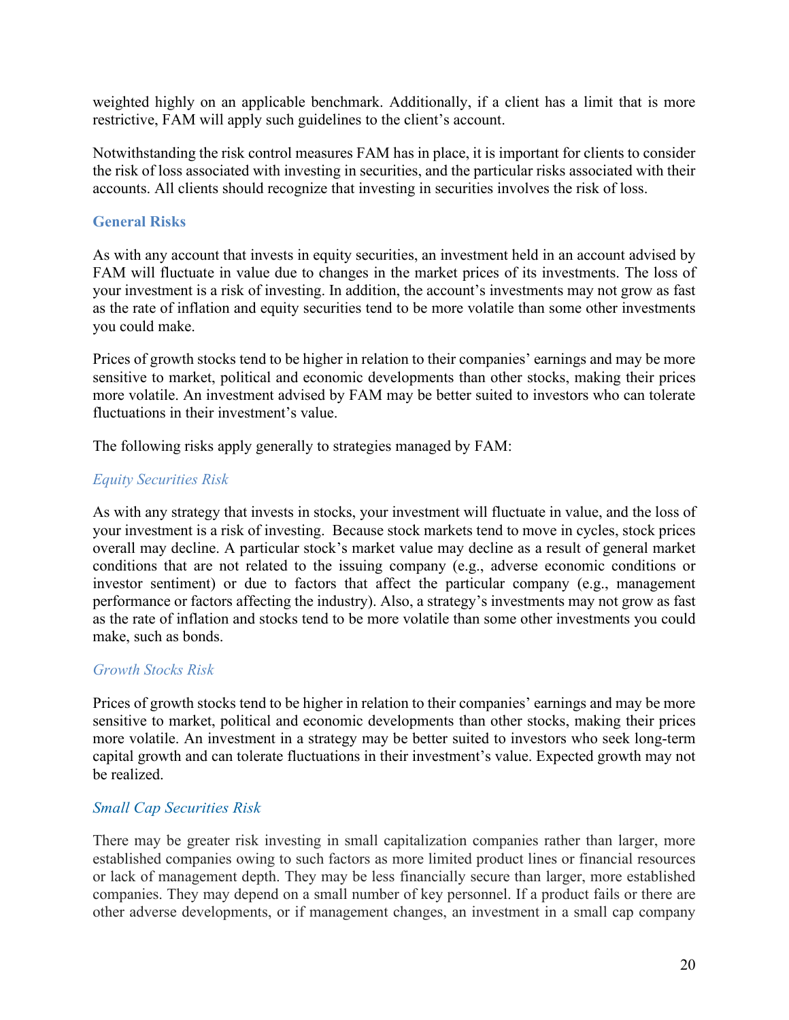weighted highly on an applicable benchmark. Additionally, if a client has a limit that is more restrictive, FAM will apply such guidelines to the client's account.

Notwithstanding the risk control measures FAM has in place, it is important for clients to consider the risk of loss associated with investing in securities, and the particular risks associated with their accounts. All clients should recognize that investing in securities involves the risk of loss.

#### **General Risks**

As with any account that invests in equity securities, an investment held in an account advised by FAM will fluctuate in value due to changes in the market prices of its investments. The loss of your investment is a risk of investing. In addition, the account's investments may not grow as fast as the rate of inflation and equity securities tend to be more volatile than some other investments you could make.

Prices of growth stocks tend to be higher in relation to their companies' earnings and may be more sensitive to market, political and economic developments than other stocks, making their prices more volatile. An investment advised by FAM may be better suited to investors who can tolerate fluctuations in their investment's value.

The following risks apply generally to strategies managed by FAM:

#### *Equity Securities Risk*

As with any strategy that invests in stocks, your investment will fluctuate in value, and the loss of your investment is a risk of investing. Because stock markets tend to move in cycles, stock prices overall may decline. A particular stock's market value may decline as a result of general market conditions that are not related to the issuing company (e.g., adverse economic conditions or investor sentiment) or due to factors that affect the particular company (e.g., management performance or factors affecting the industry). Also, a strategy's investments may not grow as fast as the rate of inflation and stocks tend to be more volatile than some other investments you could make, such as bonds.

#### *Growth Stocks Risk*

Prices of growth stocks tend to be higher in relation to their companies' earnings and may be more sensitive to market, political and economic developments than other stocks, making their prices more volatile. An investment in a strategy may be better suited to investors who seek long-term capital growth and can tolerate fluctuations in their investment's value. Expected growth may not be realized.

#### *Small Cap Securities Risk*

There may be greater risk investing in small capitalization companies rather than larger, more established companies owing to such factors as more limited product lines or financial resources or lack of management depth. They may be less financially secure than larger, more established companies. They may depend on a small number of key personnel. If a product fails or there are other adverse developments, or if management changes, an investment in a small cap company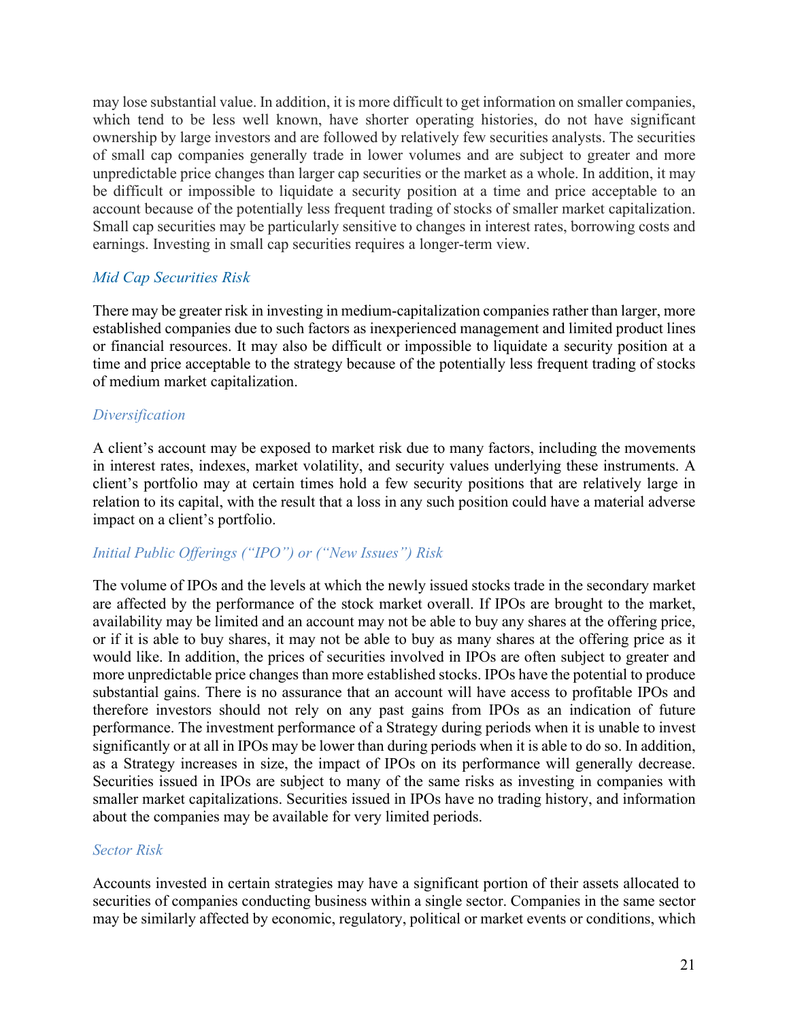may lose substantial value. In addition, it is more difficult to get information on smaller companies, which tend to be less well known, have shorter operating histories, do not have significant ownership by large investors and are followed by relatively few securities analysts. The securities of small cap companies generally trade in lower volumes and are subject to greater and more unpredictable price changes than larger cap securities or the market as a whole. In addition, it may be difficult or impossible to liquidate a security position at a time and price acceptable to an account because of the potentially less frequent trading of stocks of smaller market capitalization. Small cap securities may be particularly sensitive to changes in interest rates, borrowing costs and earnings. Investing in small cap securities requires a longer-term view.

## *Mid Cap Securities Risk*

There may be greater risk in investing in medium-capitalization companies rather than larger, more established companies due to such factors as inexperienced management and limited product lines or financial resources. It may also be difficult or impossible to liquidate a security position at a time and price acceptable to the strategy because of the potentially less frequent trading of stocks of medium market capitalization.

## *Diversification*

A client's account may be exposed to market risk due to many factors, including the movements in interest rates, indexes, market volatility, and security values underlying these instruments. A client's portfolio may at certain times hold a few security positions that are relatively large in relation to its capital, with the result that a loss in any such position could have a material adverse impact on a client's portfolio.

## *Initial Public Offerings ("IPO") or ("New Issues") Risk*

The volume of IPOs and the levels at which the newly issued stocks trade in the secondary market are affected by the performance of the stock market overall. If IPOs are brought to the market, availability may be limited and an account may not be able to buy any shares at the offering price, or if it is able to buy shares, it may not be able to buy as many shares at the offering price as it would like. In addition, the prices of securities involved in IPOs are often subject to greater and more unpredictable price changes than more established stocks. IPOs have the potential to produce substantial gains. There is no assurance that an account will have access to profitable IPOs and therefore investors should not rely on any past gains from IPOs as an indication of future performance. The investment performance of a Strategy during periods when it is unable to invest significantly or at all in IPOs may be lower than during periods when it is able to do so. In addition, as a Strategy increases in size, the impact of IPOs on its performance will generally decrease. Securities issued in IPOs are subject to many of the same risks as investing in companies with smaller market capitalizations. Securities issued in IPOs have no trading history, and information about the companies may be available for very limited periods.

#### *Sector Risk*

Accounts invested in certain strategies may have a significant portion of their assets allocated to securities of companies conducting business within a single sector. Companies in the same sector may be similarly affected by economic, regulatory, political or market events or conditions, which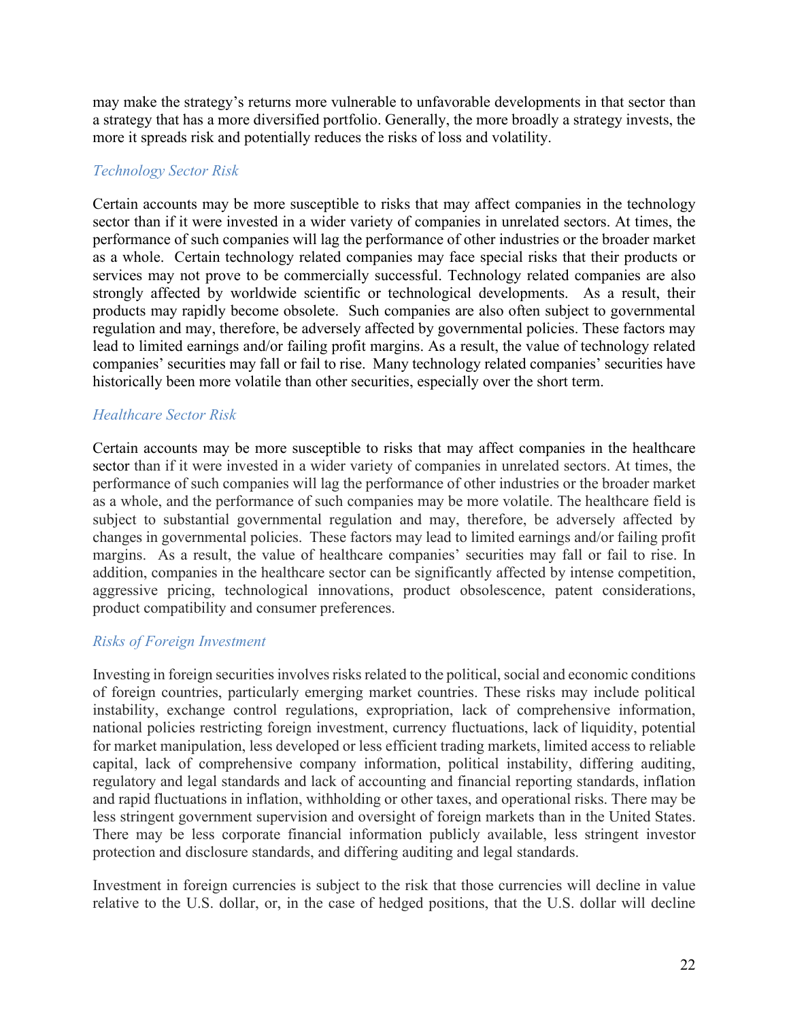may make the strategy's returns more vulnerable to unfavorable developments in that sector than a strategy that has a more diversified portfolio. Generally, the more broadly a strategy invests, the more it spreads risk and potentially reduces the risks of loss and volatility.

#### *Technology Sector Risk*

Certain accounts may be more susceptible to risks that may affect companies in the technology sector than if it were invested in a wider variety of companies in unrelated sectors. At times, the performance of such companies will lag the performance of other industries or the broader market as a whole. Certain technology related companies may face special risks that their products or services may not prove to be commercially successful. Technology related companies are also strongly affected by worldwide scientific or technological developments. As a result, their products may rapidly become obsolete. Such companies are also often subject to governmental regulation and may, therefore, be adversely affected by governmental policies. These factors may lead to limited earnings and/or failing profit margins. As a result, the value of technology related companies' securities may fall or fail to rise. Many technology related companies' securities have historically been more volatile than other securities, especially over the short term.

## *Healthcare Sector Risk*

Certain accounts may be more susceptible to risks that may affect companies in the healthcare sector than if it were invested in a wider variety of companies in unrelated sectors. At times, the performance of such companies will lag the performance of other industries or the broader market as a whole, and the performance of such companies may be more volatile. The healthcare field is subject to substantial governmental regulation and may, therefore, be adversely affected by changes in governmental policies. These factors may lead to limited earnings and/or failing profit margins. As a result, the value of healthcare companies' securities may fall or fail to rise. In addition, companies in the healthcare sector can be significantly affected by intense competition, aggressive pricing, technological innovations, product obsolescence, patent considerations, product compatibility and consumer preferences.

#### *Risks of Foreign Investment*

Investing in foreign securities involves risks related to the political, social and economic conditions of foreign countries, particularly emerging market countries. These risks may include political instability, exchange control regulations, expropriation, lack of comprehensive information, national policies restricting foreign investment, currency fluctuations, lack of liquidity, potential for market manipulation, less developed or less efficient trading markets, limited access to reliable capital, lack of comprehensive company information, political instability, differing auditing, regulatory and legal standards and lack of accounting and financial reporting standards, inflation and rapid fluctuations in inflation, withholding or other taxes, and operational risks. There may be less stringent government supervision and oversight of foreign markets than in the United States. There may be less corporate financial information publicly available, less stringent investor protection and disclosure standards, and differing auditing and legal standards.

Investment in foreign currencies is subject to the risk that those currencies will decline in value relative to the U.S. dollar, or, in the case of hedged positions, that the U.S. dollar will decline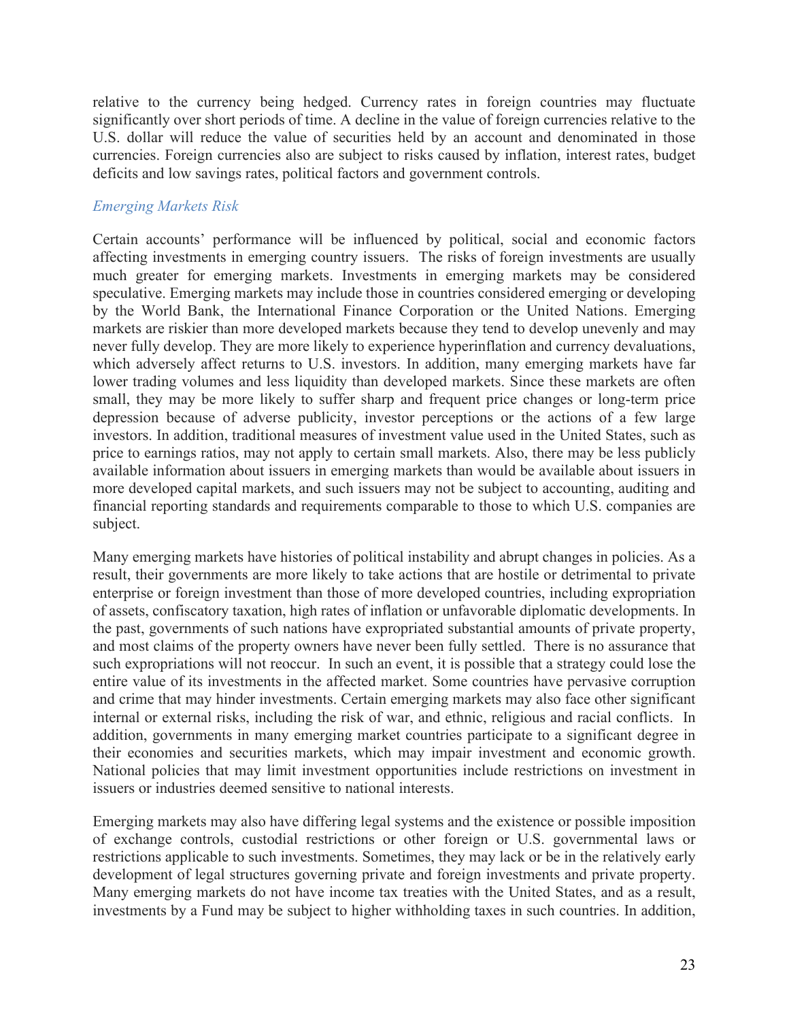relative to the currency being hedged. Currency rates in foreign countries may fluctuate significantly over short periods of time. A decline in the value of foreign currencies relative to the U.S. dollar will reduce the value of securities held by an account and denominated in those currencies. Foreign currencies also are subject to risks caused by inflation, interest rates, budget deficits and low savings rates, political factors and government controls.

## *Emerging Markets Risk*

Certain accounts' performance will be influenced by political, social and economic factors affecting investments in emerging country issuers. The risks of foreign investments are usually much greater for emerging markets. Investments in emerging markets may be considered speculative. Emerging markets may include those in countries considered emerging or developing by the World Bank, the International Finance Corporation or the United Nations. Emerging markets are riskier than more developed markets because they tend to develop unevenly and may never fully develop. They are more likely to experience hyperinflation and currency devaluations, which adversely affect returns to U.S. investors. In addition, many emerging markets have far lower trading volumes and less liquidity than developed markets. Since these markets are often small, they may be more likely to suffer sharp and frequent price changes or long-term price depression because of adverse publicity, investor perceptions or the actions of a few large investors. In addition, traditional measures of investment value used in the United States, such as price to earnings ratios, may not apply to certain small markets. Also, there may be less publicly available information about issuers in emerging markets than would be available about issuers in more developed capital markets, and such issuers may not be subject to accounting, auditing and financial reporting standards and requirements comparable to those to which U.S. companies are subject.

Many emerging markets have histories of political instability and abrupt changes in policies. As a result, their governments are more likely to take actions that are hostile or detrimental to private enterprise or foreign investment than those of more developed countries, including expropriation of assets, confiscatory taxation, high rates of inflation or unfavorable diplomatic developments. In the past, governments of such nations have expropriated substantial amounts of private property, and most claims of the property owners have never been fully settled. There is no assurance that such expropriations will not reoccur. In such an event, it is possible that a strategy could lose the entire value of its investments in the affected market. Some countries have pervasive corruption and crime that may hinder investments. Certain emerging markets may also face other significant internal or external risks, including the risk of war, and ethnic, religious and racial conflicts. In addition, governments in many emerging market countries participate to a significant degree in their economies and securities markets, which may impair investment and economic growth. National policies that may limit investment opportunities include restrictions on investment in issuers or industries deemed sensitive to national interests.

Emerging markets may also have differing legal systems and the existence or possible imposition of exchange controls, custodial restrictions or other foreign or U.S. governmental laws or restrictions applicable to such investments. Sometimes, they may lack or be in the relatively early development of legal structures governing private and foreign investments and private property. Many emerging markets do not have income tax treaties with the United States, and as a result, investments by a Fund may be subject to higher withholding taxes in such countries. In addition,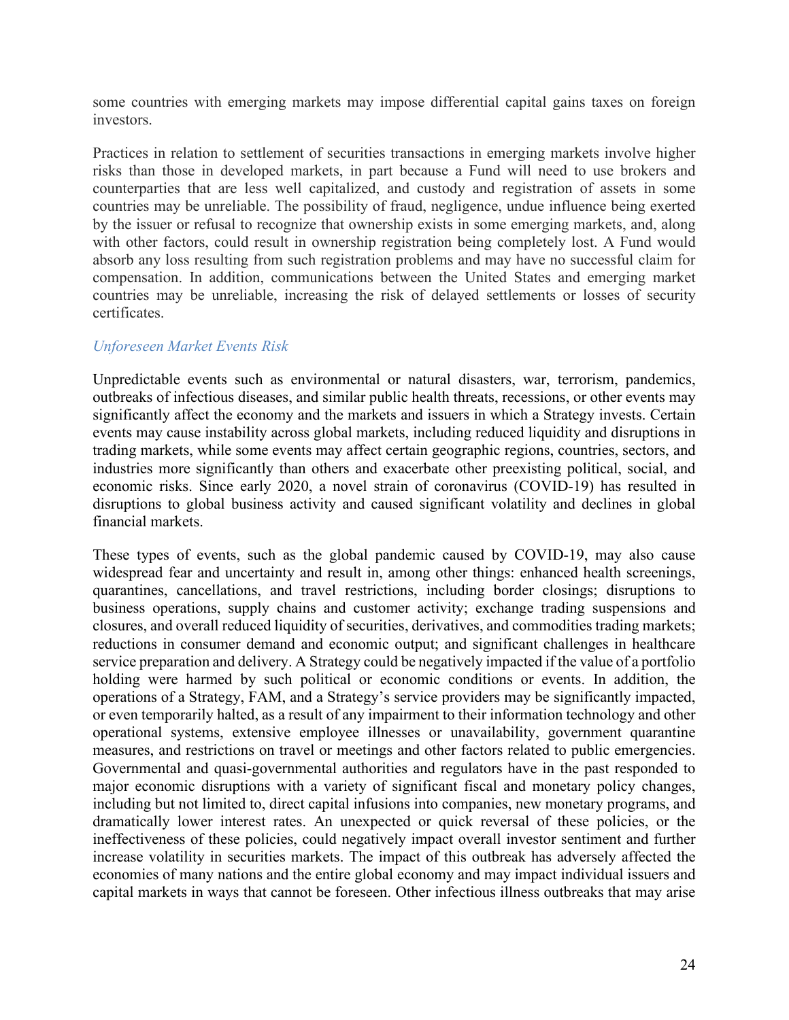some countries with emerging markets may impose differential capital gains taxes on foreign investors.

Practices in relation to settlement of securities transactions in emerging markets involve higher risks than those in developed markets, in part because a Fund will need to use brokers and counterparties that are less well capitalized, and custody and registration of assets in some countries may be unreliable. The possibility of fraud, negligence, undue influence being exerted by the issuer or refusal to recognize that ownership exists in some emerging markets, and, along with other factors, could result in ownership registration being completely lost. A Fund would absorb any loss resulting from such registration problems and may have no successful claim for compensation. In addition, communications between the United States and emerging market countries may be unreliable, increasing the risk of delayed settlements or losses of security certificates.

#### *Unforeseen Market Events Risk*

Unpredictable events such as environmental or natural disasters, war, terrorism, pandemics, outbreaks of infectious diseases, and similar public health threats, recessions, or other events may significantly affect the economy and the markets and issuers in which a Strategy invests. Certain events may cause instability across global markets, including reduced liquidity and disruptions in trading markets, while some events may affect certain geographic regions, countries, sectors, and industries more significantly than others and exacerbate other preexisting political, social, and economic risks. Since early 2020, a novel strain of coronavirus (COVID-19) has resulted in disruptions to global business activity and caused significant volatility and declines in global financial markets.

These types of events, such as the global pandemic caused by COVID-19, may also cause widespread fear and uncertainty and result in, among other things: enhanced health screenings, quarantines, cancellations, and travel restrictions, including border closings; disruptions to business operations, supply chains and customer activity; exchange trading suspensions and closures, and overall reduced liquidity of securities, derivatives, and commodities trading markets; reductions in consumer demand and economic output; and significant challenges in healthcare service preparation and delivery. A Strategy could be negatively impacted if the value of a portfolio holding were harmed by such political or economic conditions or events. In addition, the operations of a Strategy, FAM, and a Strategy's service providers may be significantly impacted, or even temporarily halted, as a result of any impairment to their information technology and other operational systems, extensive employee illnesses or unavailability, government quarantine measures, and restrictions on travel or meetings and other factors related to public emergencies. Governmental and quasi-governmental authorities and regulators have in the past responded to major economic disruptions with a variety of significant fiscal and monetary policy changes, including but not limited to, direct capital infusions into companies, new monetary programs, and dramatically lower interest rates. An unexpected or quick reversal of these policies, or the ineffectiveness of these policies, could negatively impact overall investor sentiment and further increase volatility in securities markets. The impact of this outbreak has adversely affected the economies of many nations and the entire global economy and may impact individual issuers and capital markets in ways that cannot be foreseen. Other infectious illness outbreaks that may arise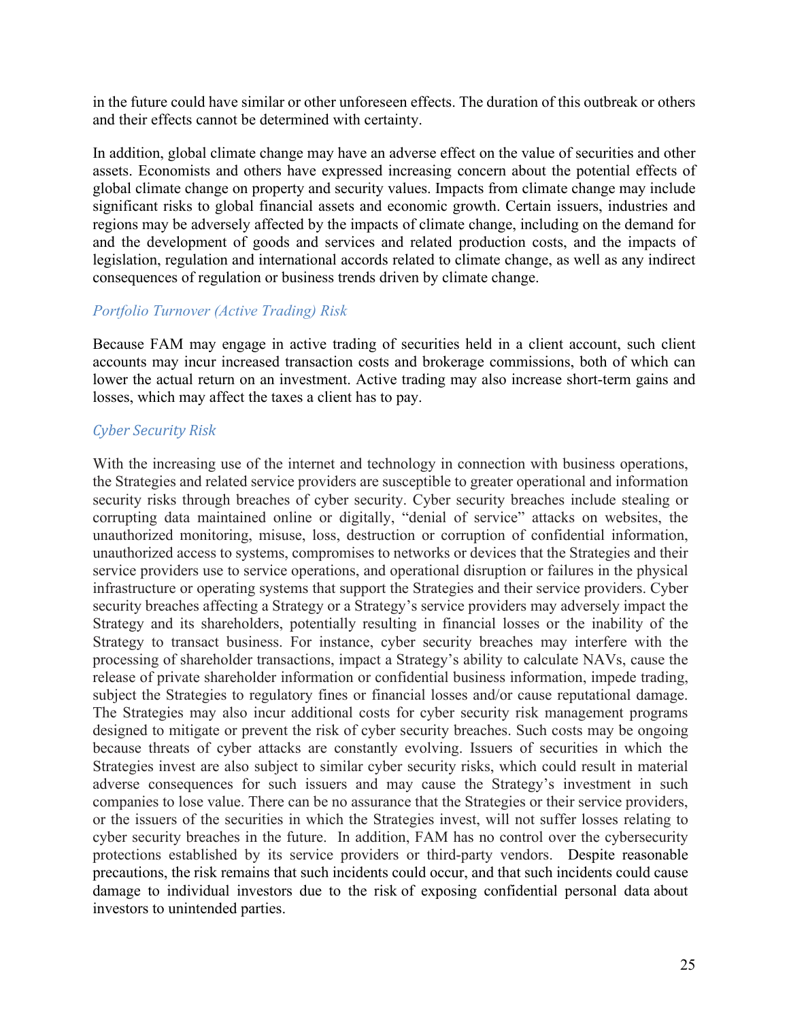in the future could have similar or other unforeseen effects. The duration of this outbreak or others and their effects cannot be determined with certainty.

In addition, global climate change may have an adverse effect on the value of securities and other assets. Economists and others have expressed increasing concern about the potential effects of global climate change on property and security values. Impacts from climate change may include significant risks to global financial assets and economic growth. Certain issuers, industries and regions may be adversely affected by the impacts of climate change, including on the demand for and the development of goods and services and related production costs, and the impacts of legislation, regulation and international accords related to climate change, as well as any indirect consequences of regulation or business trends driven by climate change.

#### *Portfolio Turnover (Active Trading) Risk*

Because FAM may engage in active trading of securities held in a client account, such client accounts may incur increased transaction costs and brokerage commissions, both of which can lower the actual return on an investment. Active trading may also increase short-term gains and losses, which may affect the taxes a client has to pay.

#### *Cyber Security Risk*

With the increasing use of the internet and technology in connection with business operations, the Strategies and related service providers are susceptible to greater operational and information security risks through breaches of cyber security. Cyber security breaches include stealing or corrupting data maintained online or digitally, "denial of service" attacks on websites, the unauthorized monitoring, misuse, loss, destruction or corruption of confidential information, unauthorized access to systems, compromises to networks or devices that the Strategies and their service providers use to service operations, and operational disruption or failures in the physical infrastructure or operating systems that support the Strategies and their service providers. Cyber security breaches affecting a Strategy or a Strategy's service providers may adversely impact the Strategy and its shareholders, potentially resulting in financial losses or the inability of the Strategy to transact business. For instance, cyber security breaches may interfere with the processing of shareholder transactions, impact a Strategy's ability to calculate NAVs, cause the release of private shareholder information or confidential business information, impede trading, subject the Strategies to regulatory fines or financial losses and/or cause reputational damage. The Strategies may also incur additional costs for cyber security risk management programs designed to mitigate or prevent the risk of cyber security breaches. Such costs may be ongoing because threats of cyber attacks are constantly evolving. Issuers of securities in which the Strategies invest are also subject to similar cyber security risks, which could result in material adverse consequences for such issuers and may cause the Strategy's investment in such companies to lose value. There can be no assurance that the Strategies or their service providers, or the issuers of the securities in which the Strategies invest, will not suffer losses relating to cyber security breaches in the future. In addition, FAM has no control over the cybersecurity protections established by its service providers or third-party vendors. Despite reasonable precautions, the risk remains that such incidents could occur, and that such incidents could cause damage to individual investors due to the risk of exposing confidential personal data about investors to unintended parties.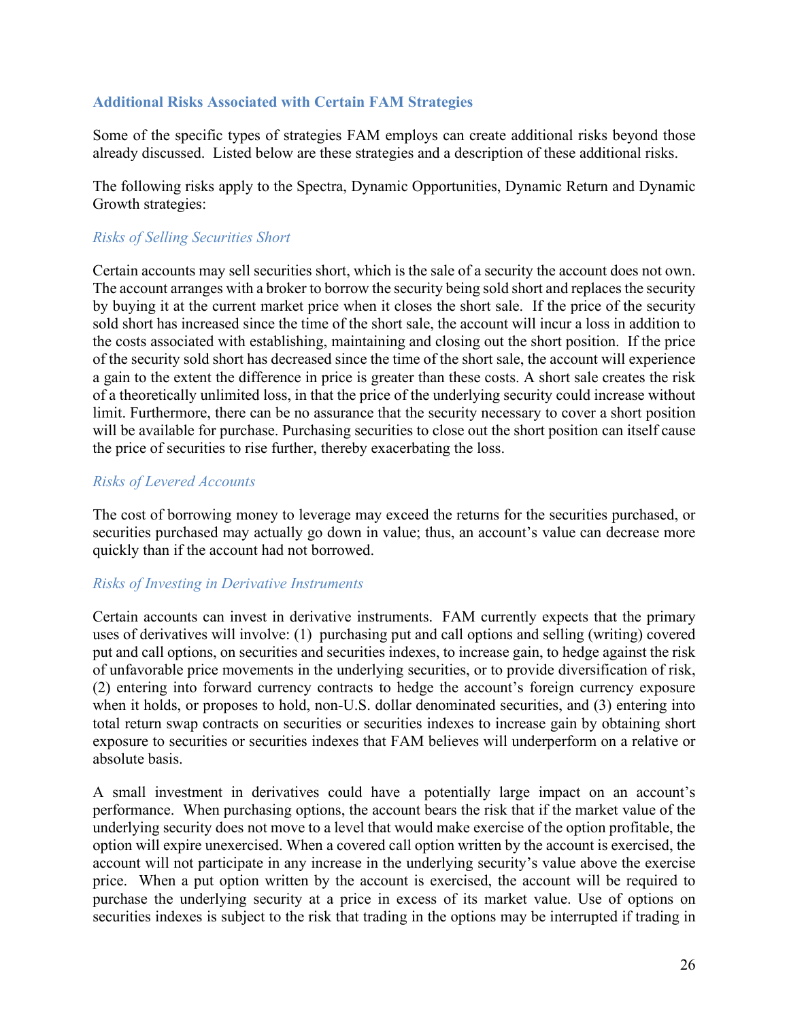#### **Additional Risks Associated with Certain FAM Strategies**

Some of the specific types of strategies FAM employs can create additional risks beyond those already discussed. Listed below are these strategies and a description of these additional risks.

The following risks apply to the Spectra, Dynamic Opportunities, Dynamic Return and Dynamic Growth strategies:

## *Risks of Selling Securities Short*

Certain accounts may sell securities short, which is the sale of a security the account does not own. The account arranges with a broker to borrow the security being sold short and replaces the security by buying it at the current market price when it closes the short sale. If the price of the security sold short has increased since the time of the short sale, the account will incur a loss in addition to the costs associated with establishing, maintaining and closing out the short position. If the price of the security sold short has decreased since the time of the short sale, the account will experience a gain to the extent the difference in price is greater than these costs. A short sale creates the risk of a theoretically unlimited loss, in that the price of the underlying security could increase without limit. Furthermore, there can be no assurance that the security necessary to cover a short position will be available for purchase. Purchasing securities to close out the short position can itself cause the price of securities to rise further, thereby exacerbating the loss.

#### *Risks of Levered Accounts*

The cost of borrowing money to leverage may exceed the returns for the securities purchased, or securities purchased may actually go down in value; thus, an account's value can decrease more quickly than if the account had not borrowed.

#### *Risks of Investing in Derivative Instruments*

Certain accounts can invest in derivative instruments. FAM currently expects that the primary uses of derivatives will involve: (1) purchasing put and call options and selling (writing) covered put and call options, on securities and securities indexes, to increase gain, to hedge against the risk of unfavorable price movements in the underlying securities, or to provide diversification of risk, (2) entering into forward currency contracts to hedge the account's foreign currency exposure when it holds, or proposes to hold, non-U.S. dollar denominated securities, and (3) entering into total return swap contracts on securities or securities indexes to increase gain by obtaining short exposure to securities or securities indexes that FAM believes will underperform on a relative or absolute basis.

A small investment in derivatives could have a potentially large impact on an account's performance. When purchasing options, the account bears the risk that if the market value of the underlying security does not move to a level that would make exercise of the option profitable, the option will expire unexercised. When a covered call option written by the account is exercised, the account will not participate in any increase in the underlying security's value above the exercise price. When a put option written by the account is exercised, the account will be required to purchase the underlying security at a price in excess of its market value. Use of options on securities indexes is subject to the risk that trading in the options may be interrupted if trading in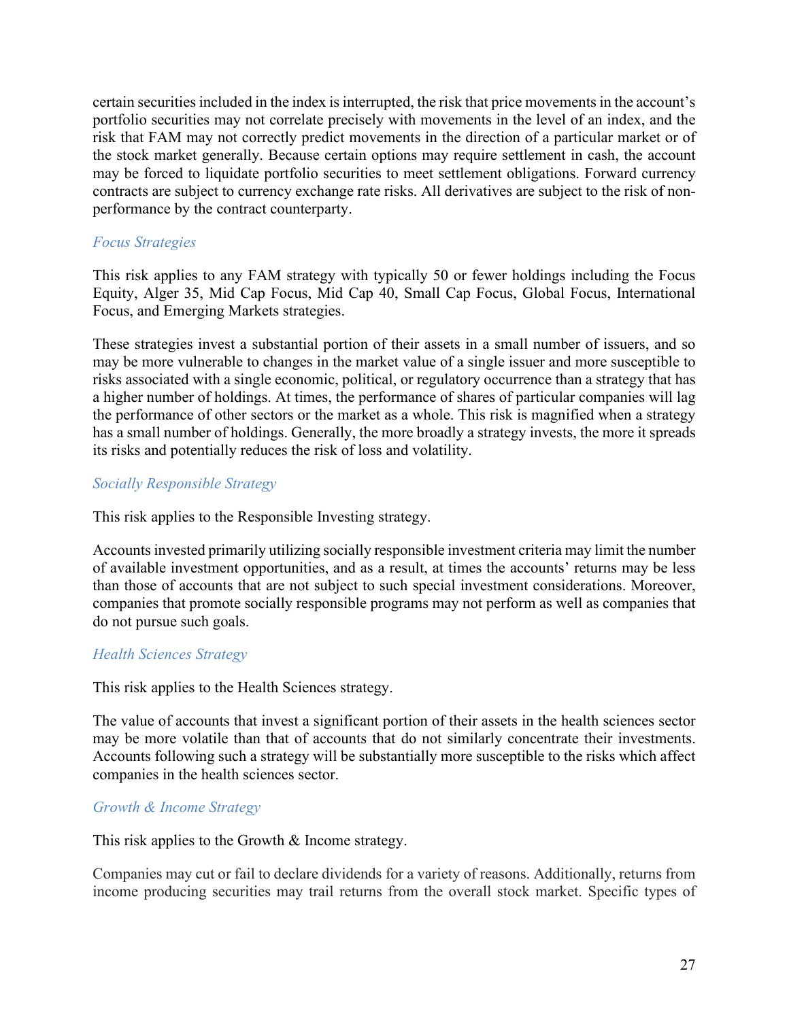certain securities included in the index is interrupted, the risk that price movements in the account's portfolio securities may not correlate precisely with movements in the level of an index, and the risk that FAM may not correctly predict movements in the direction of a particular market or of the stock market generally. Because certain options may require settlement in cash, the account may be forced to liquidate portfolio securities to meet settlement obligations. Forward currency contracts are subject to currency exchange rate risks. All derivatives are subject to the risk of nonperformance by the contract counterparty.

#### *Focus Strategies*

This risk applies to any FAM strategy with typically 50 or fewer holdings including the Focus Equity, Alger 35, Mid Cap Focus, Mid Cap 40, Small Cap Focus, Global Focus, International Focus, and Emerging Markets strategies.

These strategies invest a substantial portion of their assets in a small number of issuers, and so may be more vulnerable to changes in the market value of a single issuer and more susceptible to risks associated with a single economic, political, or regulatory occurrence than a strategy that has a higher number of holdings. At times, the performance of shares of particular companies will lag the performance of other sectors or the market as a whole. This risk is magnified when a strategy has a small number of holdings. Generally, the more broadly a strategy invests, the more it spreads its risks and potentially reduces the risk of loss and volatility.

#### *Socially Responsible Strategy*

This risk applies to the Responsible Investing strategy.

Accounts invested primarily utilizing socially responsible investment criteria may limit the number of available investment opportunities, and as a result, at times the accounts' returns may be less than those of accounts that are not subject to such special investment considerations. Moreover, companies that promote socially responsible programs may not perform as well as companies that do not pursue such goals.

#### *Health Sciences Strategy*

This risk applies to the Health Sciences strategy.

The value of accounts that invest a significant portion of their assets in the health sciences sector may be more volatile than that of accounts that do not similarly concentrate their investments. Accounts following such a strategy will be substantially more susceptible to the risks which affect companies in the health sciences sector.

#### *Growth & Income Strategy*

This risk applies to the Growth & Income strategy.

Companies may cut or fail to declare dividends for a variety of reasons. Additionally, returns from income producing securities may trail returns from the overall stock market. Specific types of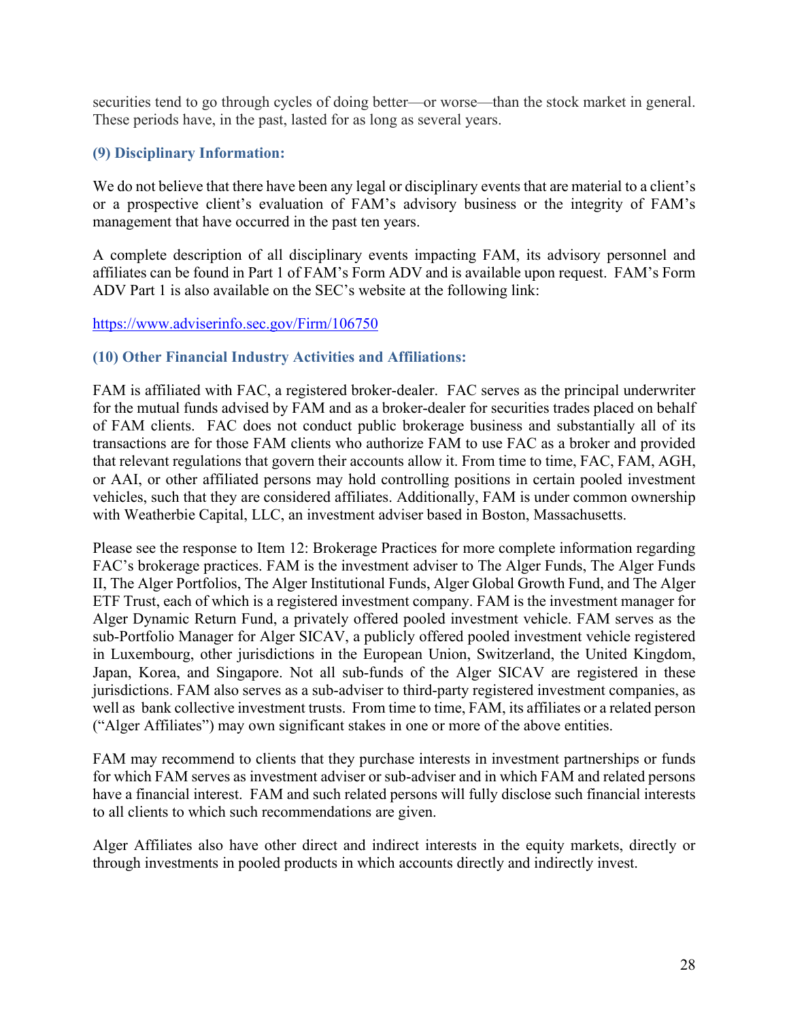securities tend to go through cycles of doing better—or worse—than the stock market in general. These periods have, in the past, lasted for as long as several years.

## <span id="page-29-0"></span>**(9) Disciplinary Information:**

We do not believe that there have been any legal or disciplinary events that are material to a client's or a prospective client's evaluation of FAM's advisory business or the integrity of FAM's management that have occurred in the past ten years.

A complete description of all disciplinary events impacting FAM, its advisory personnel and affiliates can be found in Part 1 of FAM's Form ADV and is available upon request. FAM's Form ADV Part 1 is also available on the SEC's website at the following link:

#### <https://www.adviserinfo.sec.gov/Firm/106750>

## <span id="page-29-1"></span>**(10) Other Financial Industry Activities and Affiliations:**

FAM is affiliated with FAC, a registered broker-dealer. FAC serves as the principal underwriter for the mutual funds advised by FAM and as a broker-dealer for securities trades placed on behalf of FAM clients. FAC does not conduct public brokerage business and substantially all of its transactions are for those FAM clients who authorize FAM to use FAC as a broker and provided that relevant regulations that govern their accounts allow it. From time to time, FAC, FAM, AGH, or AAI, or other affiliated persons may hold controlling positions in certain pooled investment vehicles, such that they are considered affiliates. Additionally, FAM is under common ownership with Weatherbie Capital, LLC, an investment adviser based in Boston, Massachusetts.

Please see the response to Item 12: Brokerage Practices for more complete information regarding FAC's brokerage practices. FAM is the investment adviser to The Alger Funds, The Alger Funds II, The Alger Portfolios, The Alger Institutional Funds, Alger Global Growth Fund, and The Alger ETF Trust, each of which is a registered investment company. FAM is the investment manager for Alger Dynamic Return Fund, a privately offered pooled investment vehicle. FAM serves as the sub-Portfolio Manager for Alger SICAV, a publicly offered pooled investment vehicle registered in Luxembourg, other jurisdictions in the European Union, Switzerland, the United Kingdom, Japan, Korea, and Singapore. Not all sub-funds of the Alger SICAV are registered in these jurisdictions. FAM also serves as a sub-adviser to third-party registered investment companies, as well as bank collective investment trusts. From time to time, FAM, its affiliates or a related person ("Alger Affiliates") may own significant stakes in one or more of the above entities.

FAM may recommend to clients that they purchase interests in investment partnerships or funds for which FAM serves as investment adviser or sub-adviser and in which FAM and related persons have a financial interest. FAM and such related persons will fully disclose such financial interests to all clients to which such recommendations are given.

Alger Affiliates also have other direct and indirect interests in the equity markets, directly or through investments in pooled products in which accounts directly and indirectly invest.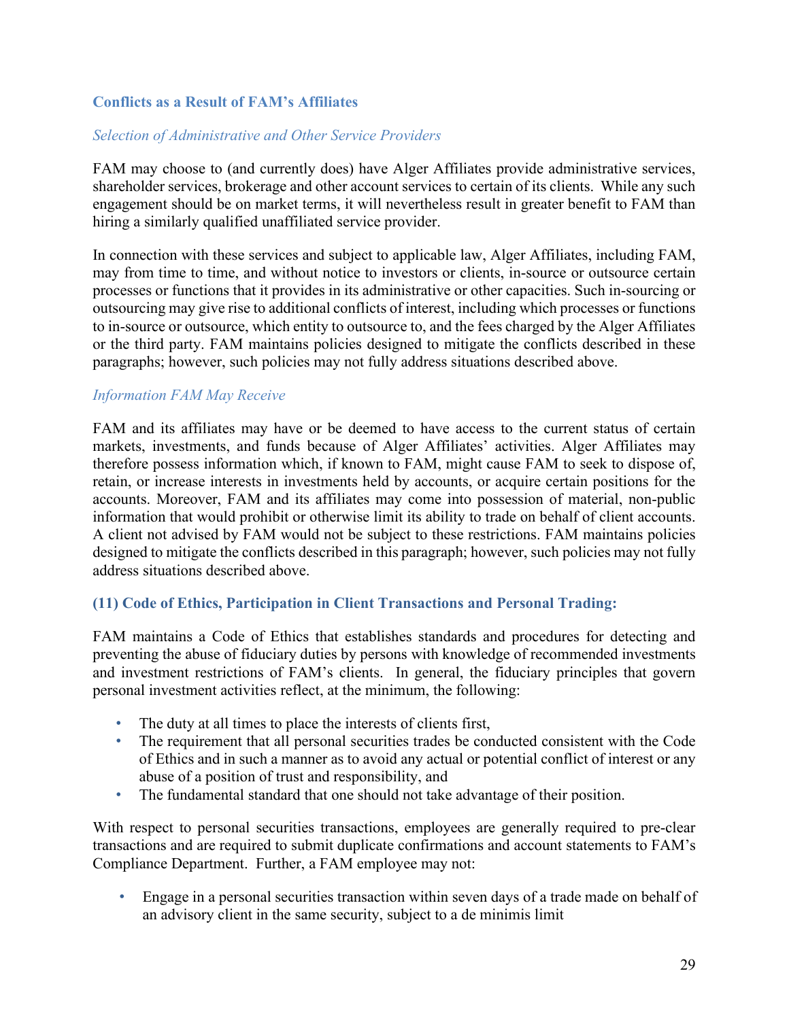# **Conflicts as a Result of FAM's Affiliates**

#### *Selection of Administrative and Other Service Providers*

FAM may choose to (and currently does) have Alger Affiliates provide administrative services, shareholder services, brokerage and other account services to certain of its clients. While any such engagement should be on market terms, it will nevertheless result in greater benefit to FAM than hiring a similarly qualified unaffiliated service provider.

In connection with these services and subject to applicable law, Alger Affiliates, including FAM, may from time to time, and without notice to investors or clients, in-source or outsource certain processes or functions that it provides in its administrative or other capacities. Such in-sourcing or outsourcing may give rise to additional conflicts of interest, including which processes or functions to in-source or outsource, which entity to outsource to, and the fees charged by the Alger Affiliates or the third party. FAM maintains policies designed to mitigate the conflicts described in these paragraphs; however, such policies may not fully address situations described above.

#### *Information FAM May Receive*

FAM and its affiliates may have or be deemed to have access to the current status of certain markets, investments, and funds because of Alger Affiliates' activities. Alger Affiliates may therefore possess information which, if known to FAM, might cause FAM to seek to dispose of, retain, or increase interests in investments held by accounts, or acquire certain positions for the accounts. Moreover, FAM and its affiliates may come into possession of material, non-public information that would prohibit or otherwise limit its ability to trade on behalf of client accounts. A client not advised by FAM would not be subject to these restrictions. FAM maintains policies designed to mitigate the conflicts described in this paragraph; however, such policies may not fully address situations described above.

#### <span id="page-30-0"></span>**(11) Code of Ethics, Participation in Client Transactions and Personal Trading:**

FAM maintains a Code of Ethics that establishes standards and procedures for detecting and preventing the abuse of fiduciary duties by persons with knowledge of recommended investments and investment restrictions of FAM's clients. In general, the fiduciary principles that govern personal investment activities reflect, at the minimum, the following:

- The duty at all times to place the interests of clients first,
- The requirement that all personal securities trades be conducted consistent with the Code of Ethics and in such a manner as to avoid any actual or potential conflict of interest or any abuse of a position of trust and responsibility, and
- The fundamental standard that one should not take advantage of their position.

With respect to personal securities transactions, employees are generally required to pre-clear transactions and are required to submit duplicate confirmations and account statements to FAM's Compliance Department. Further, a FAM employee may not:

• Engage in a personal securities transaction within seven days of a trade made on behalf of an advisory client in the same security, subject to a de minimis limit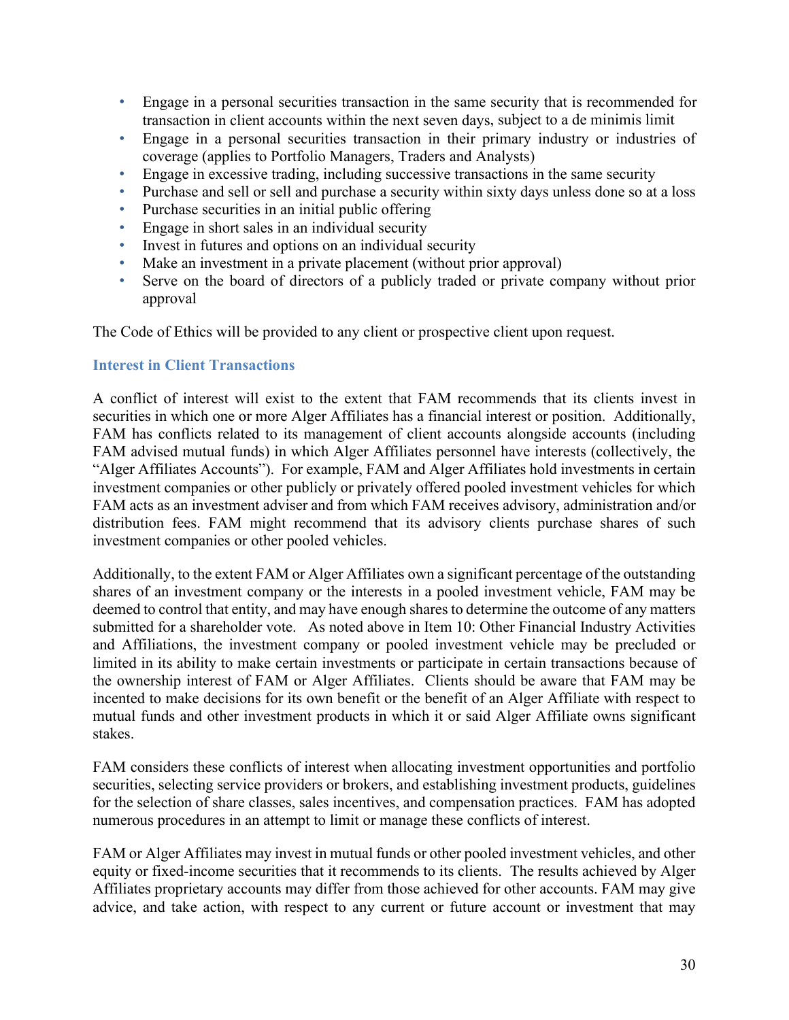- Engage in a personal securities transaction in the same security that is recommended for transaction in client accounts within the next seven days, subject to a de minimis limit
- Engage in a personal securities transaction in their primary industry or industries of coverage (applies to Portfolio Managers, Traders and Analysts)
- Engage in excessive trading, including successive transactions in the same security
- Purchase and sell or sell and purchase a security within sixty days unless done so at a loss
- Purchase securities in an initial public offering
- Engage in short sales in an individual security
- Invest in futures and options on an individual security
- Make an investment in a private placement (without prior approval)
- Serve on the board of directors of a publicly traded or private company without prior approval

The Code of Ethics will be provided to any client or prospective client upon request.

#### **Interest in Client Transactions**

A conflict of interest will exist to the extent that FAM recommends that its clients invest in securities in which one or more Alger Affiliates has a financial interest or position. Additionally, FAM has conflicts related to its management of client accounts alongside accounts (including FAM advised mutual funds) in which Alger Affiliates personnel have interests (collectively, the "Alger Affiliates Accounts"). For example, FAM and Alger Affiliates hold investments in certain investment companies or other publicly or privately offered pooled investment vehicles for which FAM acts as an investment adviser and from which FAM receives advisory, administration and/or distribution fees. FAM might recommend that its advisory clients purchase shares of such investment companies or other pooled vehicles.

Additionally, to the extent FAM or Alger Affiliates own a significant percentage of the outstanding shares of an investment company or the interests in a pooled investment vehicle, FAM may be deemed to control that entity, and may have enough shares to determine the outcome of any matters submitted for a shareholder vote. As noted above in Item 10: Other Financial Industry Activities and Affiliations, the investment company or pooled investment vehicle may be precluded or limited in its ability to make certain investments or participate in certain transactions because of the ownership interest of FAM or Alger Affiliates. Clients should be aware that FAM may be incented to make decisions for its own benefit or the benefit of an Alger Affiliate with respect to mutual funds and other investment products in which it or said Alger Affiliate owns significant stakes.

FAM considers these conflicts of interest when allocating investment opportunities and portfolio securities, selecting service providers or brokers, and establishing investment products, guidelines for the selection of share classes, sales incentives, and compensation practices. FAM has adopted numerous procedures in an attempt to limit or manage these conflicts of interest.

FAM or Alger Affiliates may invest in mutual funds or other pooled investment vehicles, and other equity or fixed-income securities that it recommends to its clients. The results achieved by Alger Affiliates proprietary accounts may differ from those achieved for other accounts. FAM may give advice, and take action, with respect to any current or future account or investment that may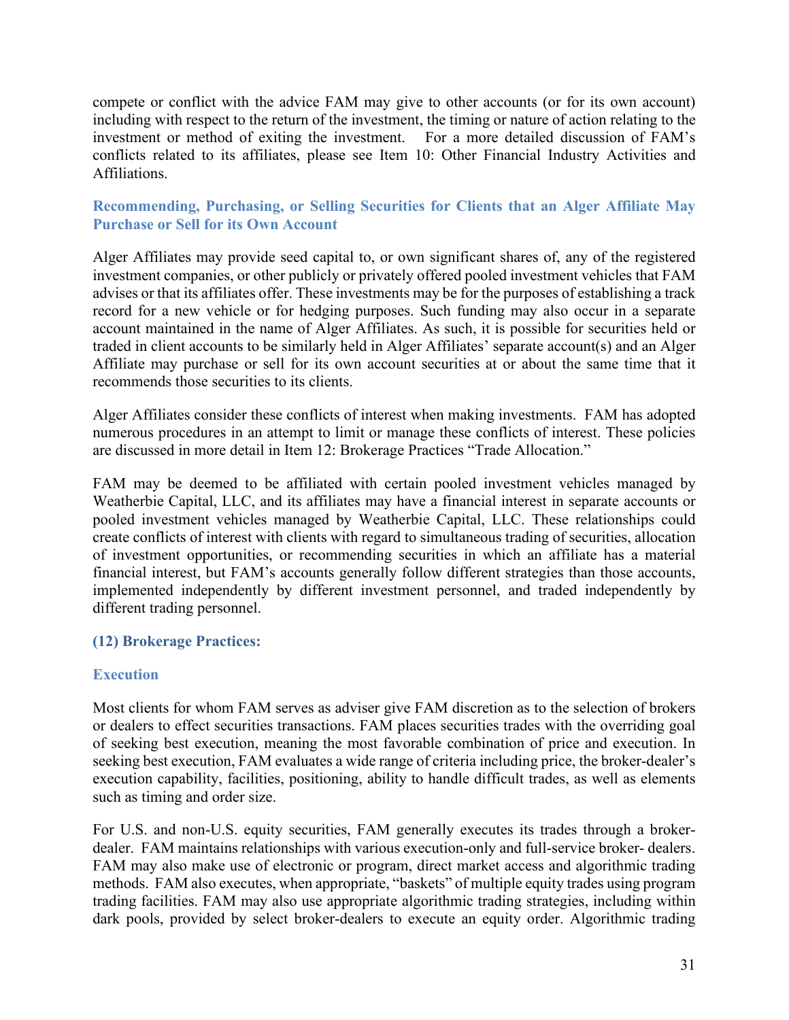compete or conflict with the advice FAM may give to other accounts (or for its own account) including with respect to the return of the investment, the timing or nature of action relating to the investment or method of exiting the investment. For a more detailed discussion of FAM's conflicts related to its affiliates, please see Item 10: Other Financial Industry Activities and Affiliations.

## **Recommending, Purchasing, or Selling Securities for Clients that an Alger Affiliate May Purchase or Sell for its Own Account**

Alger Affiliates may provide seed capital to, or own significant shares of, any of the registered investment companies, or other publicly or privately offered pooled investment vehicles that FAM advises or that its affiliates offer. These investments may be for the purposes of establishing a track record for a new vehicle or for hedging purposes. Such funding may also occur in a separate account maintained in the name of Alger Affiliates. As such, it is possible for securities held or traded in client accounts to be similarly held in Alger Affiliates' separate account(s) and an Alger Affiliate may purchase or sell for its own account securities at or about the same time that it recommends those securities to its clients.

Alger Affiliates consider these conflicts of interest when making investments. FAM has adopted numerous procedures in an attempt to limit or manage these conflicts of interest. These policies are discussed in more detail in Item 12: Brokerage Practices "Trade Allocation."

FAM may be deemed to be affiliated with certain pooled investment vehicles managed by Weatherbie Capital, LLC, and its affiliates may have a financial interest in separate accounts or pooled investment vehicles managed by Weatherbie Capital, LLC. These relationships could create conflicts of interest with clients with regard to simultaneous trading of securities, allocation of investment opportunities, or recommending securities in which an affiliate has a material financial interest, but FAM's accounts generally follow different strategies than those accounts, implemented independently by different investment personnel, and traded independently by different trading personnel.

## <span id="page-32-0"></span>**(12) Brokerage Practices:**

## **Execution**

Most clients for whom FAM serves as adviser give FAM discretion as to the selection of brokers or dealers to effect securities transactions. FAM places securities trades with the overriding goal of seeking best execution, meaning the most favorable combination of price and execution. In seeking best execution, FAM evaluates a wide range of criteria including price, the broker-dealer's execution capability, facilities, positioning, ability to handle difficult trades, as well as elements such as timing and order size.

For U.S. and non-U.S. equity securities, FAM generally executes its trades through a brokerdealer. FAM maintains relationships with various execution-only and full-service broker- dealers. FAM may also make use of electronic or program, direct market access and algorithmic trading methods. FAM also executes, when appropriate, "baskets" of multiple equity trades using program trading facilities. FAM may also use appropriate algorithmic trading strategies, including within dark pools, provided by select broker-dealers to execute an equity order. Algorithmic trading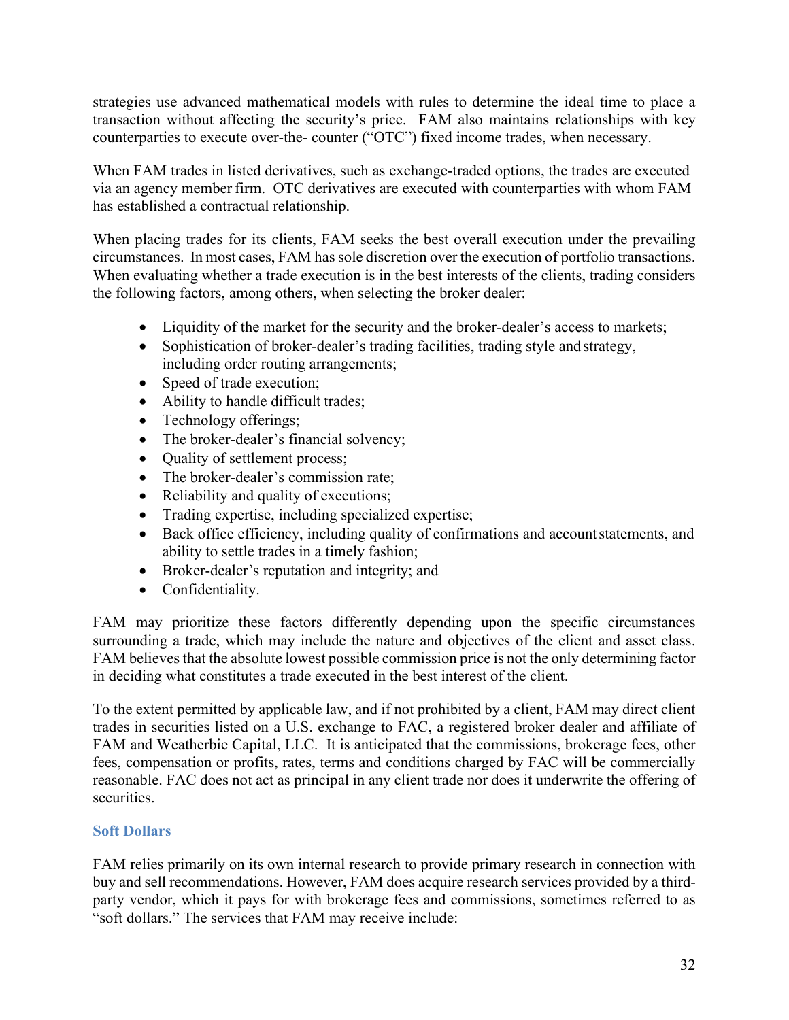strategies use advanced mathematical models with rules to determine the ideal time to place a transaction without affecting the security's price. FAM also maintains relationships with key counterparties to execute over-the- counter ("OTC") fixed income trades, when necessary.

When FAM trades in listed derivatives, such as exchange-traded options, the trades are executed via an agency member firm. OTC derivatives are executed with counterparties with whom FAM has established a contractual relationship.

When placing trades for its clients, FAM seeks the best overall execution under the prevailing circumstances. In most cases, FAM has sole discretion over the execution of portfolio transactions. When evaluating whether a trade execution is in the best interests of the clients, trading considers the following factors, among others, when selecting the broker dealer:

- Liquidity of the market for the security and the broker-dealer's access to markets;
- Sophistication of broker-dealer's trading facilities, trading style and strategy, including order routing arrangements;
- Speed of trade execution;
- Ability to handle difficult trades;
- Technology offerings;
- The broker-dealer's financial solvency;
- Quality of settlement process;
- The broker-dealer's commission rate;
- Reliability and quality of executions;
- Trading expertise, including specialized expertise;
- Back office efficiency, including quality of confirmations and account statements, and ability to settle trades in a timely fashion;
- Broker-dealer's reputation and integrity; and
- Confidentiality.

FAM may prioritize these factors differently depending upon the specific circumstances surrounding a trade, which may include the nature and objectives of the client and asset class. FAM believes that the absolute lowest possible commission price is not the only determining factor in deciding what constitutes a trade executed in the best interest of the client.

To the extent permitted by applicable law, and if not prohibited by a client, FAM may direct client trades in securities listed on a U.S. exchange to FAC, a registered broker dealer and affiliate of FAM and Weatherbie Capital, LLC. It is anticipated that the commissions, brokerage fees, other fees, compensation or profits, rates, terms and conditions charged by FAC will be commercially reasonable. FAC does not act as principal in any client trade nor does it underwrite the offering of securities.

## **Soft Dollars**

FAM relies primarily on its own internal research to provide primary research in connection with buy and sell recommendations. However, FAM does acquire research services provided by a thirdparty vendor, which it pays for with brokerage fees and commissions, sometimes referred to as "soft dollars." The services that FAM may receive include: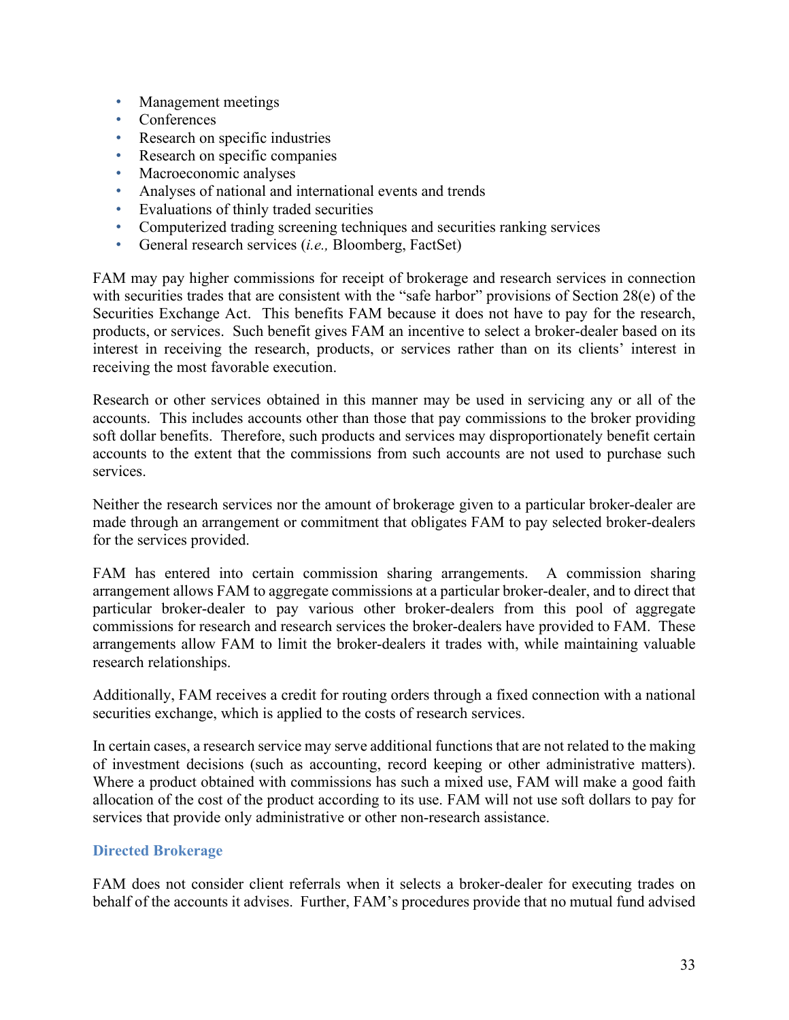- Management meetings
- Conferences
- Research on specific industries
- Research on specific companies
- Macroeconomic analyses
- Analyses of national and international events and trends
- Evaluations of thinly traded securities
- Computerized trading screening techniques and securities ranking services
- General research services (*i.e.,* Bloomberg, FactSet)

FAM may pay higher commissions for receipt of brokerage and research services in connection with securities trades that are consistent with the "safe harbor" provisions of Section 28(e) of the Securities Exchange Act. This benefits FAM because it does not have to pay for the research, products, or services. Such benefit gives FAM an incentive to select a broker-dealer based on its interest in receiving the research, products, or services rather than on its clients' interest in receiving the most favorable execution.

Research or other services obtained in this manner may be used in servicing any or all of the accounts. This includes accounts other than those that pay commissions to the broker providing soft dollar benefits. Therefore, such products and services may disproportionately benefit certain accounts to the extent that the commissions from such accounts are not used to purchase such services.

Neither the research services nor the amount of brokerage given to a particular broker-dealer are made through an arrangement or commitment that obligates FAM to pay selected broker-dealers for the services provided.

FAM has entered into certain commission sharing arrangements. A commission sharing arrangement allows FAM to aggregate commissions at a particular broker-dealer, and to direct that particular broker-dealer to pay various other broker-dealers from this pool of aggregate commissions for research and research services the broker-dealers have provided to FAM. These arrangements allow FAM to limit the broker-dealers it trades with, while maintaining valuable research relationships.

Additionally, FAM receives a credit for routing orders through a fixed connection with a national securities exchange, which is applied to the costs of research services.

In certain cases, a research service may serve additional functions that are not related to the making of investment decisions (such as accounting, record keeping or other administrative matters). Where a product obtained with commissions has such a mixed use, FAM will make a good faith allocation of the cost of the product according to its use. FAM will not use soft dollars to pay for services that provide only administrative or other non-research assistance.

#### **Directed Brokerage**

FAM does not consider client referrals when it selects a broker-dealer for executing trades on behalf of the accounts it advises. Further, FAM's procedures provide that no mutual fund advised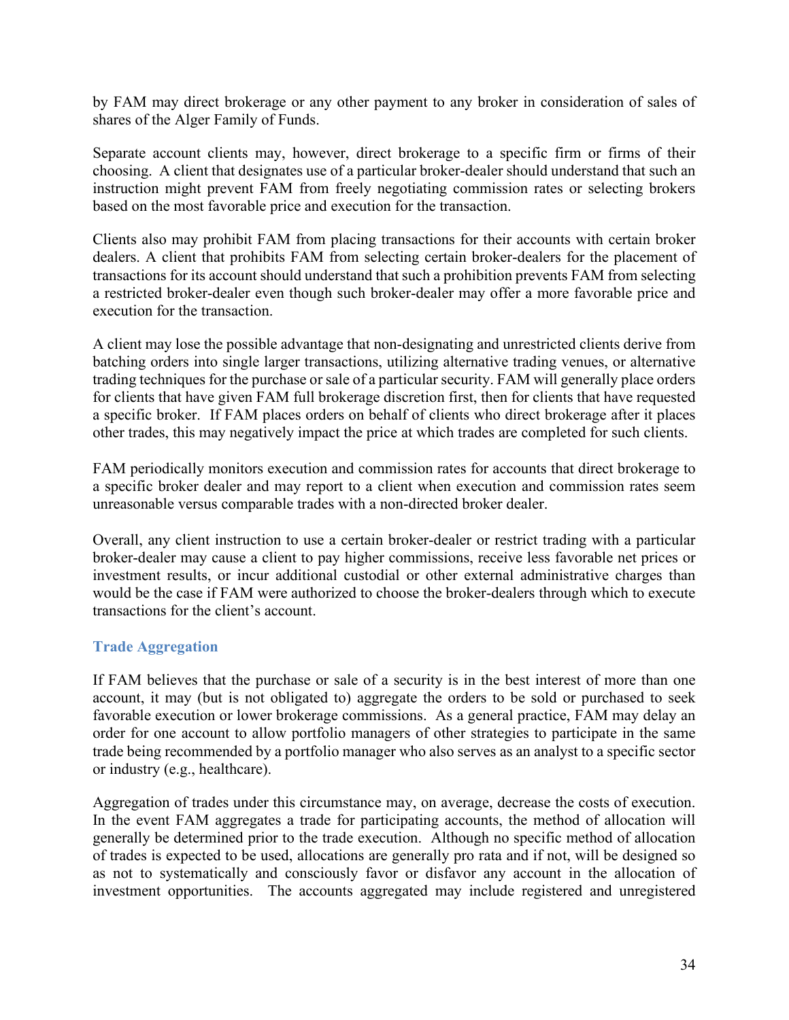by FAM may direct brokerage or any other payment to any broker in consideration of sales of shares of the Alger Family of Funds.

Separate account clients may, however, direct brokerage to a specific firm or firms of their choosing. A client that designates use of a particular broker-dealer should understand that such an instruction might prevent FAM from freely negotiating commission rates or selecting brokers based on the most favorable price and execution for the transaction.

Clients also may prohibit FAM from placing transactions for their accounts with certain broker dealers. A client that prohibits FAM from selecting certain broker-dealers for the placement of transactions for its account should understand that such a prohibition prevents FAM from selecting a restricted broker-dealer even though such broker-dealer may offer a more favorable price and execution for the transaction.

A client may lose the possible advantage that non-designating and unrestricted clients derive from batching orders into single larger transactions, utilizing alternative trading venues, or alternative trading techniques for the purchase or sale of a particular security. FAM will generally place orders for clients that have given FAM full brokerage discretion first, then for clients that have requested a specific broker. If FAM places orders on behalf of clients who direct brokerage after it places other trades, this may negatively impact the price at which trades are completed for such clients.

FAM periodically monitors execution and commission rates for accounts that direct brokerage to a specific broker dealer and may report to a client when execution and commission rates seem unreasonable versus comparable trades with a non-directed broker dealer.

Overall, any client instruction to use a certain broker-dealer or restrict trading with a particular broker-dealer may cause a client to pay higher commissions, receive less favorable net prices or investment results, or incur additional custodial or other external administrative charges than would be the case if FAM were authorized to choose the broker-dealers through which to execute transactions for the client's account.

## **Trade Aggregation**

If FAM believes that the purchase or sale of a security is in the best interest of more than one account, it may (but is not obligated to) aggregate the orders to be sold or purchased to seek favorable execution or lower brokerage commissions. As a general practice, FAM may delay an order for one account to allow portfolio managers of other strategies to participate in the same trade being recommended by a portfolio manager who also serves as an analyst to a specific sector or industry (e.g., healthcare).

Aggregation of trades under this circumstance may, on average, decrease the costs of execution. In the event FAM aggregates a trade for participating accounts, the method of allocation will generally be determined prior to the trade execution. Although no specific method of allocation of trades is expected to be used, allocations are generally pro rata and if not, will be designed so as not to systematically and consciously favor or disfavor any account in the allocation of investment opportunities. The accounts aggregated may include registered and unregistered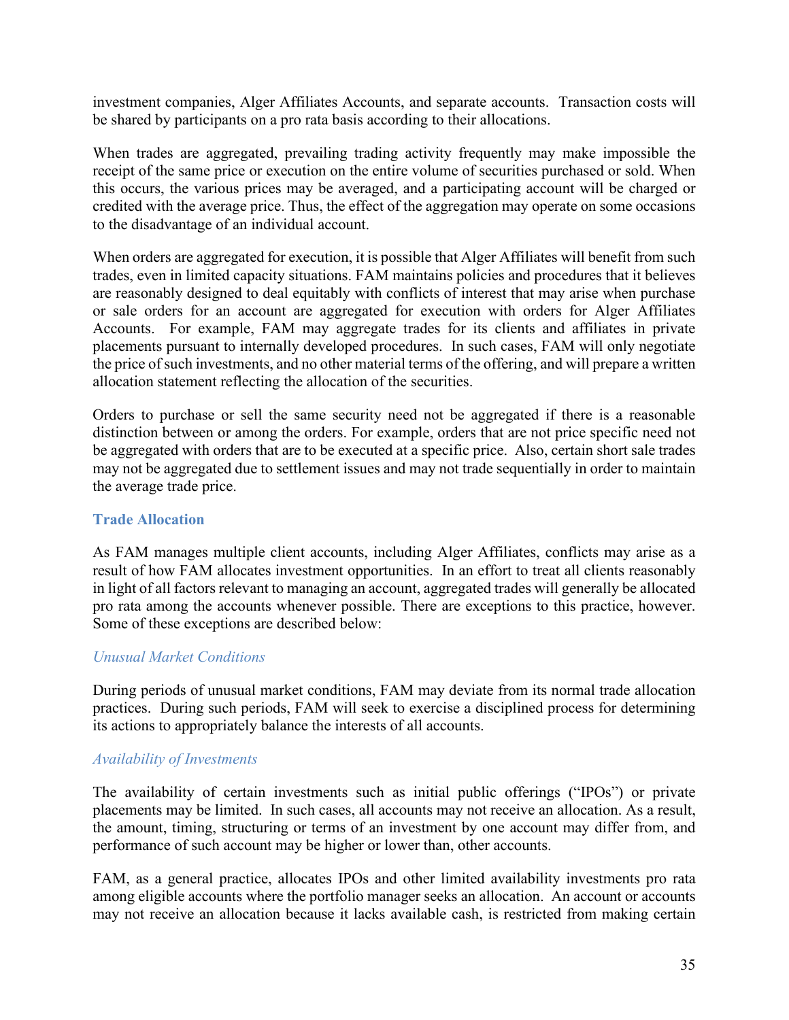investment companies, Alger Affiliates Accounts, and separate accounts. Transaction costs will be shared by participants on a pro rata basis according to their allocations.

When trades are aggregated, prevailing trading activity frequently may make impossible the receipt of the same price or execution on the entire volume of securities purchased or sold. When this occurs, the various prices may be averaged, and a participating account will be charged or credited with the average price. Thus, the effect of the aggregation may operate on some occasions to the disadvantage of an individual account.

When orders are aggregated for execution, it is possible that Alger Affiliates will benefit from such trades, even in limited capacity situations. FAM maintains policies and procedures that it believes are reasonably designed to deal equitably with conflicts of interest that may arise when purchase or sale orders for an account are aggregated for execution with orders for Alger Affiliates Accounts. For example, FAM may aggregate trades for its clients and affiliates in private placements pursuant to internally developed procedures. In such cases, FAM will only negotiate the price of such investments, and no other material terms of the offering, and will prepare a written allocation statement reflecting the allocation of the securities.

Orders to purchase or sell the same security need not be aggregated if there is a reasonable distinction between or among the orders. For example, orders that are not price specific need not be aggregated with orders that are to be executed at a specific price. Also, certain short sale trades may not be aggregated due to settlement issues and may not trade sequentially in order to maintain the average trade price.

## **Trade Allocation**

As FAM manages multiple client accounts, including Alger Affiliates, conflicts may arise as a result of how FAM allocates investment opportunities. In an effort to treat all clients reasonably in light of all factors relevant to managing an account, aggregated trades will generally be allocated pro rata among the accounts whenever possible. There are exceptions to this practice, however. Some of these exceptions are described below:

## *Unusual Market Conditions*

During periods of unusual market conditions, FAM may deviate from its normal trade allocation practices. During such periods, FAM will seek to exercise a disciplined process for determining its actions to appropriately balance the interests of all accounts.

## *Availability of Investments*

The availability of certain investments such as initial public offerings ("IPOs") or private placements may be limited. In such cases, all accounts may not receive an allocation. As a result, the amount, timing, structuring or terms of an investment by one account may differ from, and performance of such account may be higher or lower than, other accounts.

FAM, as a general practice, allocates IPOs and other limited availability investments pro rata among eligible accounts where the portfolio manager seeks an allocation. An account or accounts may not receive an allocation because it lacks available cash, is restricted from making certain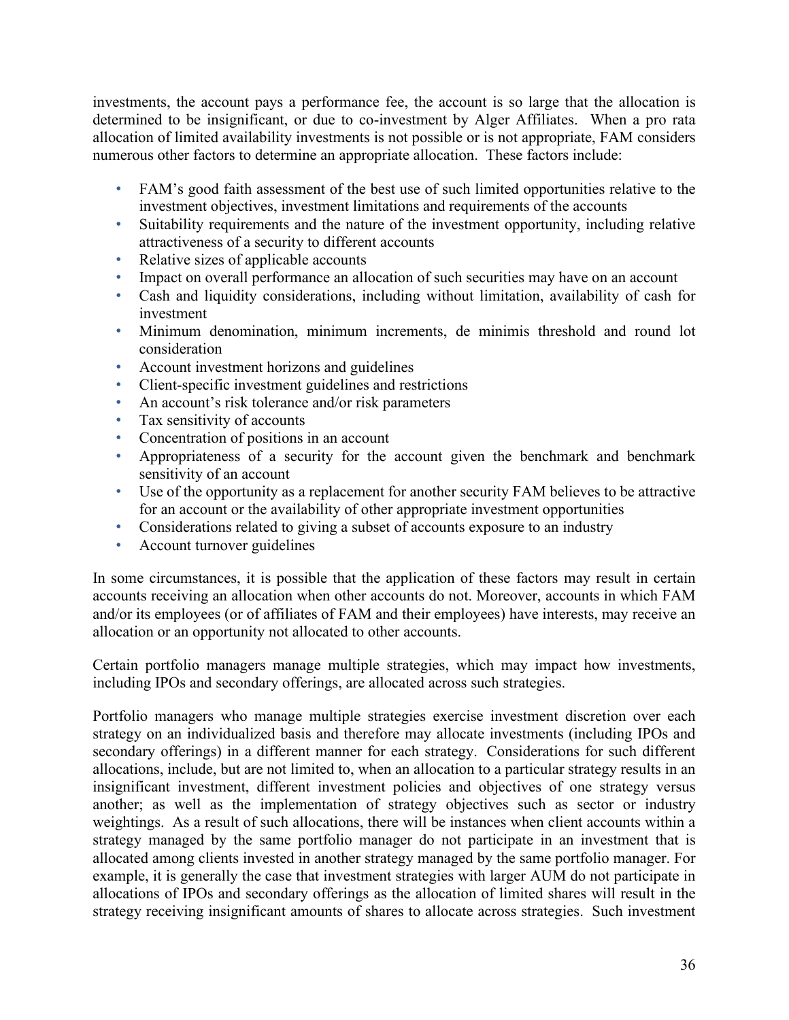investments, the account pays a performance fee, the account is so large that the allocation is determined to be insignificant, or due to co-investment by Alger Affiliates. When a pro rata allocation of limited availability investments is not possible or is not appropriate, FAM considers numerous other factors to determine an appropriate allocation. These factors include:

- FAM's good faith assessment of the best use of such limited opportunities relative to the investment objectives, investment limitations and requirements of the accounts
- Suitability requirements and the nature of the investment opportunity, including relative attractiveness of a security to different accounts
- Relative sizes of applicable accounts
- Impact on overall performance an allocation of such securities may have on an account
- Cash and liquidity considerations, including without limitation, availability of cash for investment
- Minimum denomination, minimum increments, de minimis threshold and round lot consideration
- Account investment horizons and guidelines
- Client-specific investment guidelines and restrictions
- An account's risk tolerance and/or risk parameters
- Tax sensitivity of accounts
- Concentration of positions in an account
- Appropriateness of a security for the account given the benchmark and benchmark sensitivity of an account
- Use of the opportunity as a replacement for another security FAM believes to be attractive for an account or the availability of other appropriate investment opportunities
- Considerations related to giving a subset of accounts exposure to an industry
- Account turnover guidelines

In some circumstances, it is possible that the application of these factors may result in certain accounts receiving an allocation when other accounts do not. Moreover, accounts in which FAM and/or its employees (or of affiliates of FAM and their employees) have interests, may receive an allocation or an opportunity not allocated to other accounts.

Certain portfolio managers manage multiple strategies, which may impact how investments, including IPOs and secondary offerings, are allocated across such strategies.

Portfolio managers who manage multiple strategies exercise investment discretion over each strategy on an individualized basis and therefore may allocate investments (including IPOs and secondary offerings) in a different manner for each strategy. Considerations for such different allocations, include, but are not limited to, when an allocation to a particular strategy results in an insignificant investment, different investment policies and objectives of one strategy versus another; as well as the implementation of strategy objectives such as sector or industry weightings. As a result of such allocations, there will be instances when client accounts within a strategy managed by the same portfolio manager do not participate in an investment that is allocated among clients invested in another strategy managed by the same portfolio manager. For example, it is generally the case that investment strategies with larger AUM do not participate in allocations of IPOs and secondary offerings as the allocation of limited shares will result in the strategy receiving insignificant amounts of shares to allocate across strategies. Such investment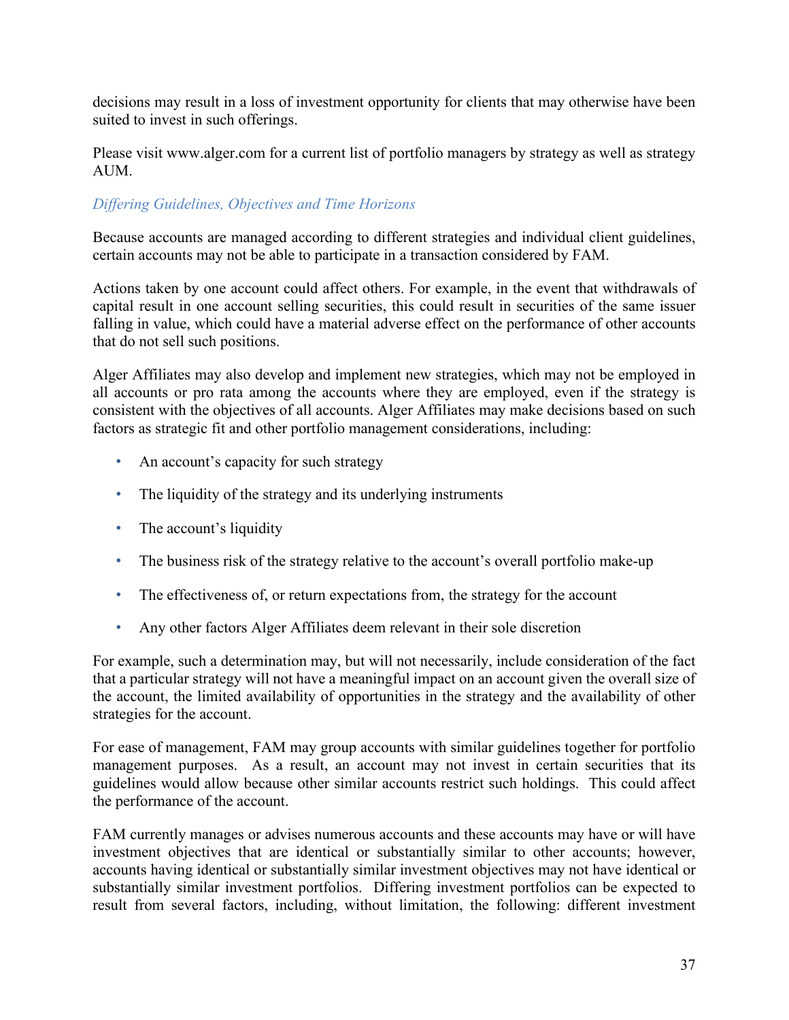decisions may result in a loss of investment opportunity for clients that may otherwise have been suited to invest in such offerings.

Please visit [www.alger.com](http://www.alger.com/) for a current list of portfolio managers by strategy as well as strategy AUM.

## *Differing Guidelines, Objectives and Time Horizons*

Because accounts are managed according to different strategies and individual client guidelines, certain accounts may not be able to participate in a transaction considered by FAM.

Actions taken by one account could affect others. For example, in the event that withdrawals of capital result in one account selling securities, this could result in securities of the same issuer falling in value, which could have a material adverse effect on the performance of other accounts that do not sell such positions.

Alger Affiliates may also develop and implement new strategies, which may not be employed in all accounts or pro rata among the accounts where they are employed, even if the strategy is consistent with the objectives of all accounts. Alger Affiliates may make decisions based on such factors as strategic fit and other portfolio management considerations, including:

- An account's capacity for such strategy
- The liquidity of the strategy and its underlying instruments
- The account's liquidity
- The business risk of the strategy relative to the account's overall portfolio make-up
- The effectiveness of, or return expectations from, the strategy for the account
- Any other factors Alger Affiliates deem relevant in their sole discretion

For example, such a determination may, but will not necessarily, include consideration of the fact that a particular strategy will not have a meaningful impact on an account given the overall size of the account, the limited availability of opportunities in the strategy and the availability of other strategies for the account.

For ease of management, FAM may group accounts with similar guidelines together for portfolio management purposes. As a result, an account may not invest in certain securities that its guidelines would allow because other similar accounts restrict such holdings. This could affect the performance of the account.

FAM currently manages or advises numerous accounts and these accounts may have or will have investment objectives that are identical or substantially similar to other accounts; however, accounts having identical or substantially similar investment objectives may not have identical or substantially similar investment portfolios. Differing investment portfolios can be expected to result from several factors, including, without limitation, the following: different investment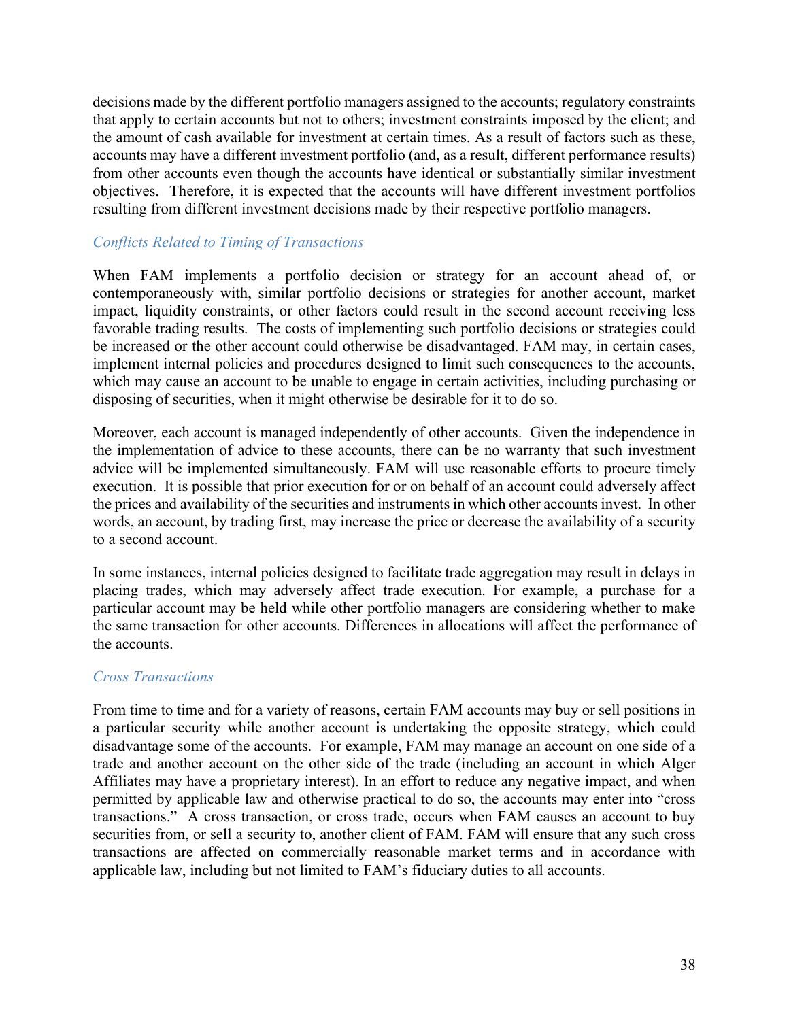decisions made by the different portfolio managers assigned to the accounts; regulatory constraints that apply to certain accounts but not to others; investment constraints imposed by the client; and the amount of cash available for investment at certain times. As a result of factors such as these, accounts may have a different investment portfolio (and, as a result, different performance results) from other accounts even though the accounts have identical or substantially similar investment objectives. Therefore, it is expected that the accounts will have different investment portfolios resulting from different investment decisions made by their respective portfolio managers.

## *Conflicts Related to Timing of Transactions*

When FAM implements a portfolio decision or strategy for an account ahead of, or contemporaneously with, similar portfolio decisions or strategies for another account, market impact, liquidity constraints, or other factors could result in the second account receiving less favorable trading results. The costs of implementing such portfolio decisions or strategies could be increased or the other account could otherwise be disadvantaged. FAM may, in certain cases, implement internal policies and procedures designed to limit such consequences to the accounts, which may cause an account to be unable to engage in certain activities, including purchasing or disposing of securities, when it might otherwise be desirable for it to do so.

Moreover, each account is managed independently of other accounts. Given the independence in the implementation of advice to these accounts, there can be no warranty that such investment advice will be implemented simultaneously. FAM will use reasonable efforts to procure timely execution. It is possible that prior execution for or on behalf of an account could adversely affect the prices and availability of the securities and instruments in which other accounts invest. In other words, an account, by trading first, may increase the price or decrease the availability of a security to a second account.

In some instances, internal policies designed to facilitate trade aggregation may result in delays in placing trades, which may adversely affect trade execution. For example, a purchase for a particular account may be held while other portfolio managers are considering whether to make the same transaction for other accounts. Differences in allocations will affect the performance of the accounts.

#### *Cross Transactions*

From time to time and for a variety of reasons, certain FAM accounts may buy or sell positions in a particular security while another account is undertaking the opposite strategy, which could disadvantage some of the accounts. For example, FAM may manage an account on one side of a trade and another account on the other side of the trade (including an account in which Alger Affiliates may have a proprietary interest). In an effort to reduce any negative impact, and when permitted by applicable law and otherwise practical to do so, the accounts may enter into "cross transactions." A cross transaction, or cross trade, occurs when FAM causes an account to buy securities from, or sell a security to, another client of FAM. FAM will ensure that any such cross transactions are affected on commercially reasonable market terms and in accordance with applicable law, including but not limited to FAM's fiduciary duties to all accounts.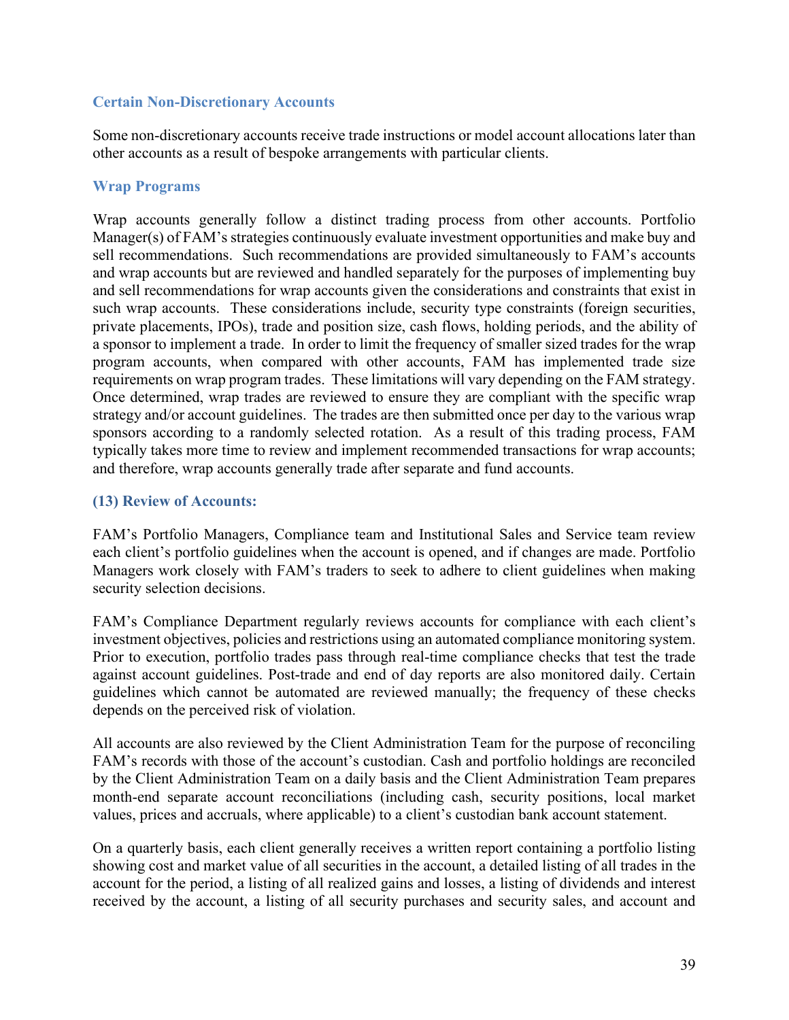#### **Certain Non-Discretionary Accounts**

Some non-discretionary accounts receive trade instructions or model account allocations later than other accounts as a result of bespoke arrangements with particular clients.

#### **Wrap Programs**

Wrap accounts generally follow a distinct trading process from other accounts. Portfolio Manager(s) of FAM's strategies continuously evaluate investment opportunities and make buy and sell recommendations. Such recommendations are provided simultaneously to FAM's accounts and wrap accounts but are reviewed and handled separately for the purposes of implementing buy and sell recommendations for wrap accounts given the considerations and constraints that exist in such wrap accounts. These considerations include, security type constraints (foreign securities, private placements, IPOs), trade and position size, cash flows, holding periods, and the ability of a sponsor to implement a trade. In order to limit the frequency of smaller sized trades for the wrap program accounts, when compared with other accounts, FAM has implemented trade size requirements on wrap program trades. These limitations will vary depending on the FAM strategy. Once determined, wrap trades are reviewed to ensure they are compliant with the specific wrap strategy and/or account guidelines. The trades are then submitted once per day to the various wrap sponsors according to a randomly selected rotation. As a result of this trading process, FAM typically takes more time to review and implement recommended transactions for wrap accounts; and therefore, wrap accounts generally trade after separate and fund accounts.

#### <span id="page-40-0"></span>**(13) Review of Accounts:**

FAM's Portfolio Managers, Compliance team and Institutional Sales and Service team review each client's portfolio guidelines when the account is opened, and if changes are made. Portfolio Managers work closely with FAM's traders to seek to adhere to client guidelines when making security selection decisions.

FAM's Compliance Department regularly reviews accounts for compliance with each client's investment objectives, policies and restrictions using an automated compliance monitoring system. Prior to execution, portfolio trades pass through real-time compliance checks that test the trade against account guidelines. Post-trade and end of day reports are also monitored daily. Certain guidelines which cannot be automated are reviewed manually; the frequency of these checks depends on the perceived risk of violation.

All accounts are also reviewed by the Client Administration Team for the purpose of reconciling FAM's records with those of the account's custodian. Cash and portfolio holdings are reconciled by the Client Administration Team on a daily basis and the Client Administration Team prepares month-end separate account reconciliations (including cash, security positions, local market values, prices and accruals, where applicable) to a client's custodian bank account statement.

On a quarterly basis, each client generally receives a written report containing a portfolio listing showing cost and market value of all securities in the account, a detailed listing of all trades in the account for the period, a listing of all realized gains and losses, a listing of dividends and interest received by the account, a listing of all security purchases and security sales, and account and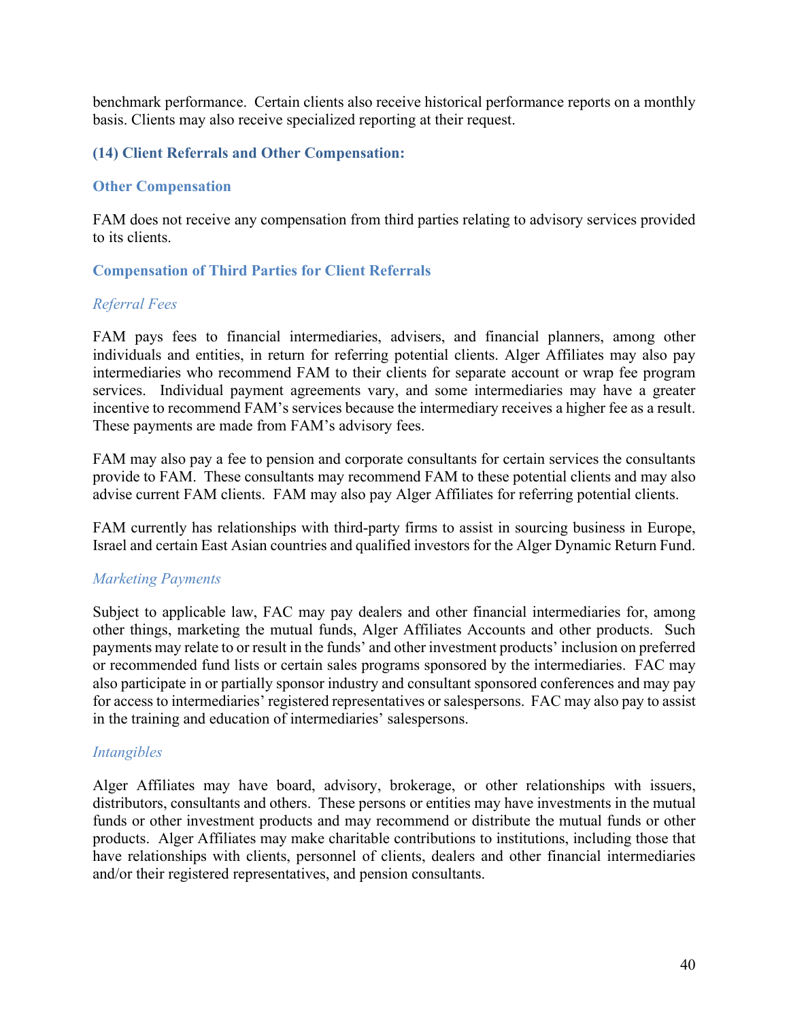benchmark performance. Certain clients also receive historical performance reports on a monthly basis. Clients may also receive specialized reporting at their request.

## <span id="page-41-0"></span>**(14) Client Referrals and Other Compensation:**

#### **Other Compensation**

FAM does not receive any compensation from third parties relating to advisory services provided to its clients.

## **Compensation of Third Parties for Client Referrals**

#### *Referral Fees*

FAM pays fees to financial intermediaries, advisers, and financial planners, among other individuals and entities, in return for referring potential clients. Alger Affiliates may also pay intermediaries who recommend FAM to their clients for separate account or wrap fee program services. Individual payment agreements vary, and some intermediaries may have a greater incentive to recommend FAM's services because the intermediary receives a higher fee as a result. These payments are made from FAM's advisory fees.

FAM may also pay a fee to pension and corporate consultants for certain services the consultants provide to FAM. These consultants may recommend FAM to these potential clients and may also advise current FAM clients. FAM may also pay Alger Affiliates for referring potential clients.

FAM currently has relationships with third-party firms to assist in sourcing business in Europe, Israel and certain East Asian countries and qualified investors for the Alger Dynamic Return Fund.

## *Marketing Payments*

Subject to applicable law, FAC may pay dealers and other financial intermediaries for, among other things, marketing the mutual funds, Alger Affiliates Accounts and other products. Such payments may relate to or result in the funds' and other investment products' inclusion on preferred or recommended fund lists or certain sales programs sponsored by the intermediaries. FAC may also participate in or partially sponsor industry and consultant sponsored conferences and may pay for access to intermediaries' registered representatives or salespersons. FAC may also pay to assist in the training and education of intermediaries' salespersons.

#### *Intangibles*

Alger Affiliates may have board, advisory, brokerage, or other relationships with issuers, distributors, consultants and others. These persons or entities may have investments in the mutual funds or other investment products and may recommend or distribute the mutual funds or other products. Alger Affiliates may make charitable contributions to institutions, including those that have relationships with clients, personnel of clients, dealers and other financial intermediaries and/or their registered representatives, and pension consultants.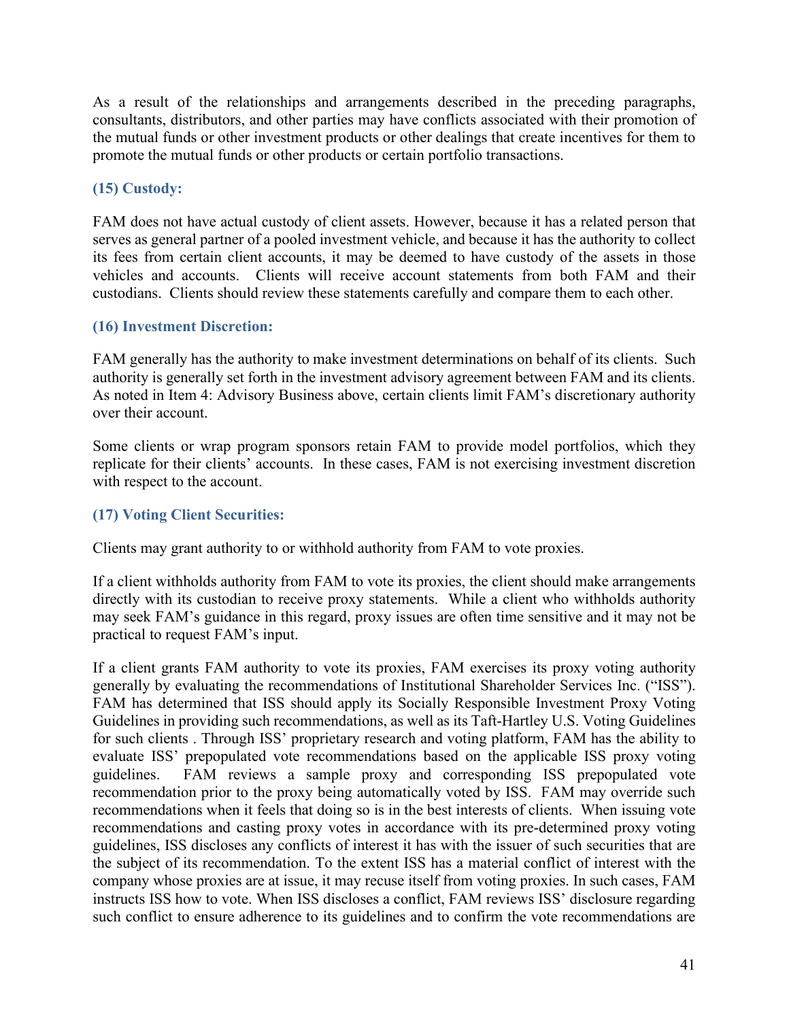As a result of the relationships and arrangements described in the preceding paragraphs, consultants, distributors, and other parties may have conflicts associated with their promotion of the mutual funds or other investment products or other dealings that create incentives for them to promote the mutual funds or other products or certain portfolio transactions.

# <span id="page-42-0"></span>**(15) Custody:**

FAM does not have actual custody of client assets. However, because it has a related person that serves as general partner of a pooled investment vehicle, and because it has the authority to collect its fees from certain client accounts, it may be deemed to have custody of the assets in those vehicles and accounts. Clients will receive account statements from both FAM and their custodians. Clients should review these statements carefully and compare them to each other.

## <span id="page-42-1"></span>**(16) Investment Discretion:**

FAM generally has the authority to make investment determinations on behalf of its clients. Such authority is generally set forth in the investment advisory agreement between FAM and its clients. As noted in Item 4: Advisory Business above, certain clients limit FAM's discretionary authority over their account.

Some clients or wrap program sponsors retain FAM to provide model portfolios, which they replicate for their clients' accounts. In these cases, FAM is not exercising investment discretion with respect to the account.

## <span id="page-42-2"></span>**(17) Voting Client Securities:**

Clients may grant authority to or withhold authority from FAM to vote proxies.

If a client withholds authority from FAM to vote its proxies, the client should make arrangements directly with its custodian to receive proxy statements. While a client who withholds authority may seek FAM's guidance in this regard, proxy issues are often time sensitive and it may not be practical to request FAM's input.

If a client grants FAM authority to vote its proxies, FAM exercises its proxy voting authority generally by evaluating the recommendations of Institutional Shareholder Services Inc. ("ISS"). FAM has determined that ISS should apply its Socially Responsible Investment Proxy Voting Guidelines in providing such recommendations, as well as its Taft-Hartley U.S. Voting Guidelines for such clients . Through ISS' proprietary research and voting platform, FAM has the ability to evaluate ISS' prepopulated vote recommendations based on the applicable ISS proxy voting guidelines. FAM reviews a sample proxy and corresponding ISS prepopulated vote recommendation prior to the proxy being automatically voted by ISS. FAM may override such recommendations when it feels that doing so is in the best interests of clients. When issuing vote recommendations and casting proxy votes in accordance with its pre-determined proxy voting guidelines, ISS discloses any conflicts of interest it has with the issuer of such securities that are the subject of its recommendation. To the extent ISS has a material conflict of interest with the company whose proxies are at issue, it may recuse itself from voting proxies. In such cases, FAM instructs ISS how to vote. When ISS discloses a conflict, FAM reviews ISS' disclosure regarding such conflict to ensure adherence to its guidelines and to confirm the vote recommendations are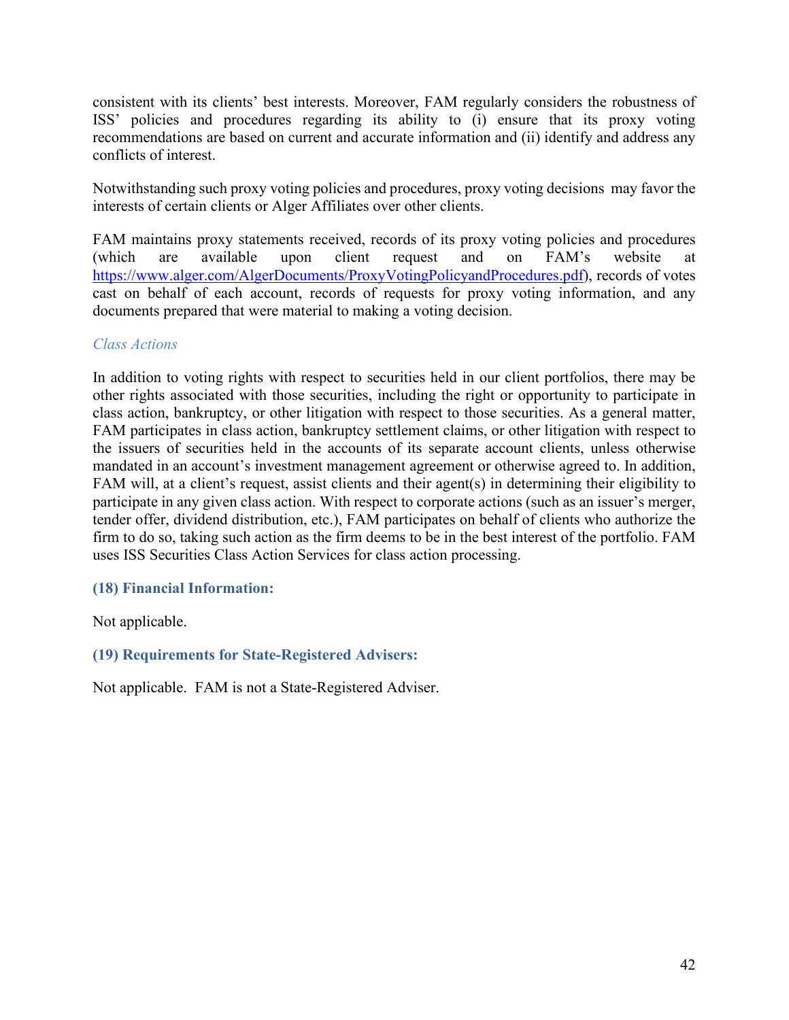consistent with its clients' best interests. Moreover, FAM regularly considers the robustness of ISS' policies and procedures regarding its ability to (i) ensure that its proxy voting recommendations are based on current and accurate information and (ii) identify and address any conflicts of interest.

Notwithstanding such proxy voting policies and procedures, proxy voting decisions may favor the interests of certain clients or Alger Affiliates over other clients.

FAM maintains proxy statements received, records of its proxy voting policies and procedures (which are available upon client request and on FAM's website at [https://www.alger.com/AlgerDocuments/ProxyVotingPolicyandProcedures.pdf\)](https://www.alger.com/AlgerDocuments/ProxyVotingPolicyandProcedures.pdf), records of votes cast on behalf of each account, records of requests for proxy voting information, and any documents prepared that were material to making a voting decision.

## *Class Actions*

In addition to voting rights with respect to securities held in our client portfolios, there may be other rights associated with those securities, including the right or opportunity to participate in class action, bankruptcy, or other litigation with respect to those securities. As a general matter, FAM participates in class action, bankruptcy settlement claims, or other litigation with respect to the issuers of securities held in the accounts of its separate account clients, unless otherwise mandated in an account's investment management agreement or otherwise agreed to. In addition, FAM will, at a client's request, assist clients and their agent(s) in determining their eligibility to participate in any given class action. With respect to corporate actions (such as an issuer's merger, tender offer, dividend distribution, etc.), FAM participates on behalf of clients who authorize the firm to do so, taking such action as the firm deems to be in the best interest of the portfolio. FAM uses ISS Securities Class Action Services for class action processing.

## <span id="page-43-0"></span>**(18) Financial Information:**

Not applicable.

## <span id="page-43-1"></span>**(19) Requirements for State-Registered Advisers:**

Not applicable. FAM is not a State-Registered Adviser.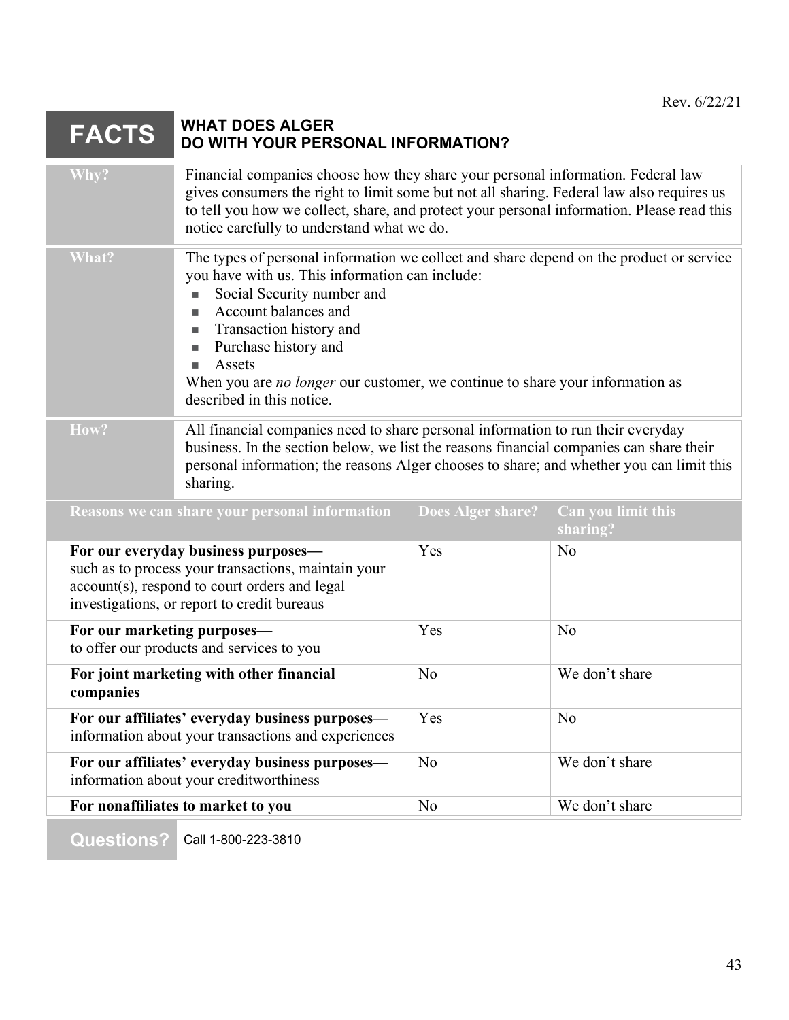# **FACTS WHAT DOES ALGER DO WITH YOUR PERSONAL INFORMATION?**

| Why?                                                                                       | Financial companies choose how they share your personal information. Federal law<br>gives consumers the right to limit some but not all sharing. Federal law also requires us<br>to tell you how we collect, share, and protect your personal information. Please read this<br>notice carefully to understand what we do.                                                          |                          |                                |
|--------------------------------------------------------------------------------------------|------------------------------------------------------------------------------------------------------------------------------------------------------------------------------------------------------------------------------------------------------------------------------------------------------------------------------------------------------------------------------------|--------------------------|--------------------------------|
| What?                                                                                      | The types of personal information we collect and share depend on the product or service<br>you have with us. This information can include:<br>Social Security number and<br>Account balances and<br>Transaction history and<br>Purchase history and<br>Assets<br>When you are <i>no longer</i> our customer, we continue to share your information as<br>described in this notice. |                          |                                |
| How?                                                                                       | All financial companies need to share personal information to run their everyday<br>business. In the section below, we list the reasons financial companies can share their<br>personal information; the reasons Alger chooses to share; and whether you can limit this<br>sharing.                                                                                                |                          |                                |
|                                                                                            | Reasons we can share your personal information                                                                                                                                                                                                                                                                                                                                     | <b>Does Alger share?</b> | Can you limit this<br>sharing? |
|                                                                                            | For our everyday business purposes-<br>such as to process your transactions, maintain your<br>account(s), respond to court orders and legal<br>investigations, or report to credit bureaus                                                                                                                                                                                         | Yes                      | No                             |
| For our marketing purposes-                                                                | to offer our products and services to you                                                                                                                                                                                                                                                                                                                                          | Yes                      | No                             |
| companies                                                                                  | For joint marketing with other financial                                                                                                                                                                                                                                                                                                                                           | N <sub>o</sub>           | We don't share                 |
|                                                                                            | For our affiliates' everyday business purposes—<br>information about your transactions and experiences                                                                                                                                                                                                                                                                             | Yes                      | No                             |
| For our affiliates' everyday business purposes—<br>information about your creditworthiness |                                                                                                                                                                                                                                                                                                                                                                                    | No                       | We don't share                 |
|                                                                                            | For nonaffiliates to market to you                                                                                                                                                                                                                                                                                                                                                 | N <sub>o</sub>           | We don't share                 |
| <b>Questions?</b>                                                                          | Call 1-800-223-3810                                                                                                                                                                                                                                                                                                                                                                |                          |                                |